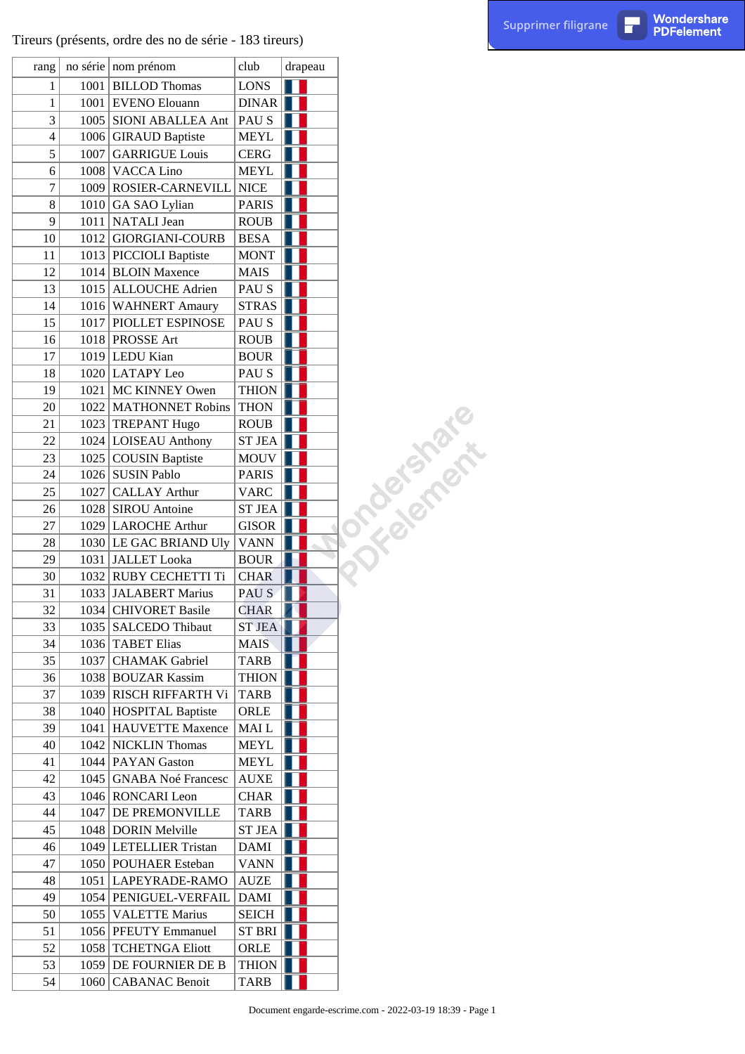|                          |      | Tireurs (présents, ordre des no de série - 183 tireurs) |                  |         |               | Supprimer filigrane | П | Wondershare<br><b>PDFelement</b> |
|--------------------------|------|---------------------------------------------------------|------------------|---------|---------------|---------------------|---|----------------------------------|
| rang                     |      | no série nom prénom                                     | club             | drapeau |               |                     |   |                                  |
| $\mathbf{1}$             |      | 1001 BILLOD Thomas                                      | <b>LONS</b>      |         |               |                     |   |                                  |
| $\mathbf{1}$             |      | 1001 EVENO Elouann                                      | DINAR            |         |               |                     |   |                                  |
| 3                        | 1005 | <b>SIONI ABALLEA Ant</b>                                | PAU S            |         |               |                     |   |                                  |
| $\overline{\mathcal{A}}$ |      | 1006 GIRAUD Baptiste                                    | <b>MEYL</b>      |         |               |                     |   |                                  |
| 5                        | 1007 | <b>GARRIGUE Louis</b>                                   | <b>CERG</b>      |         |               |                     |   |                                  |
| 6                        |      | 1008 VACCA Lino                                         | <b>MEYL</b>      |         |               |                     |   |                                  |
| 7                        | 1009 | ROSIER-CARNEVILL                                        | <b>NICE</b>      |         |               |                     |   |                                  |
| $8\,$                    |      | $1010$ GA SAO Lylian                                    | <b>PARIS</b>     |         |               |                     |   |                                  |
| 9                        |      | 1011   NATALI Jean                                      | <b>ROUB</b>      |         |               |                     |   |                                  |
| 10                       |      | 1012 GIORGIANI-COURB                                    | <b>BESA</b>      |         |               |                     |   |                                  |
| 11                       |      |                                                         |                  |         |               |                     |   |                                  |
|                          |      | 1013 PICCIOLI Baptiste                                  | <b>MONT</b>      |         |               |                     |   |                                  |
| 12                       |      | 1014 BLOIN Maxence                                      | <b>MAIS</b>      |         |               |                     |   |                                  |
| 13                       |      | 1015 ALLOUCHE Adrien                                    | PAU S            |         |               |                     |   |                                  |
| 14                       |      | 1016 WAHNERT Amaury                                     | STRAS            |         |               |                     |   |                                  |
| 15                       | 1017 | PIOLLET ESPINOSE                                        | PAU S            |         |               |                     |   |                                  |
| 16                       |      | 1018 PROSSE Art                                         | <b>ROUB</b>      |         |               |                     |   |                                  |
| 17                       |      | 1019 LEDU Kian                                          | <b>BOUR</b>      |         |               |                     |   |                                  |
| 18                       |      | 1020 LATAPY Leo                                         | PAU S            |         |               |                     |   |                                  |
| 19                       | 1021 | MC KINNEY Owen                                          | THION            |         |               |                     |   |                                  |
| 20                       | 1022 | <b>MATHONNET Robins</b>                                 | <b>THON</b>      |         |               |                     |   |                                  |
| 21                       |      | 1023 TREPANT Hugo                                       | <b>ROUB</b>      |         | Yorkaking the |                     |   |                                  |
| 22                       |      | 1024   LOISEAU Anthony                                  | $ST$ JEA $  $    |         |               |                     |   |                                  |
| 23                       |      | 1025 COUSIN Baptiste                                    | <b>MOUV</b>      |         |               |                     |   |                                  |
| 24                       |      | 1026 SUSIN Pablo                                        | PARIS            |         |               |                     |   |                                  |
| 25                       | 1027 | <b>CALLAY Arthur</b>                                    | <b>VARC</b>      |         |               |                     |   |                                  |
| 26                       |      | 1028 SIROU Antoine                                      | ST JEA           |         |               |                     |   |                                  |
| 27                       | 1029 | <b>LAROCHE Arthur</b>                                   | <b>GISOR</b>     |         |               |                     |   |                                  |
| 28                       |      | 1030 LE GAC BRIAND Uly                                  | <b>VANN</b>      |         |               |                     |   |                                  |
| 29                       |      | 1031 JALLET Looka                                       | <b>BOUR</b>      |         |               |                     |   |                                  |
| 30                       |      | 1032 RUBY CECHETTI Ti                                   | CHAR             |         |               |                     |   |                                  |
| 31                       |      | 1033 JALABERT Marius                                    | PAU <sub>S</sub> |         |               |                     |   |                                  |
| 32                       |      | 1034 CHIVORET Basile                                    | <b>CHAR</b>      |         |               |                     |   |                                  |
| 33                       |      | 1035   SALCEDO Thibaut                                  | <b>ST JEA</b>    |         |               |                     |   |                                  |
| 34                       |      | 1036 TABET Elias                                        | <b>MAIS</b>      |         |               |                     |   |                                  |
| 35                       | 1037 | <b>CHAMAK</b> Gabriel                                   | <b>TARB</b>      |         |               |                     |   |                                  |
| 36                       |      | 1038 BOUZAR Kassim                                      | <b>THION</b>     |         |               |                     |   |                                  |
| 37                       |      | 1039 RISCH RIFFARTH Vi                                  | <b>TARB</b>      |         |               |                     |   |                                  |
| 38                       |      | 1040 HOSPITAL Baptiste                                  | ORLE             |         |               |                     |   |                                  |
| 39                       |      | 1041   HAUVETTE Maxence                                 | MAI L            |         |               |                     |   |                                  |
| 40                       |      | 1042 NICKLIN Thomas                                     | <b>MEYL</b>      |         |               |                     |   |                                  |
| 41                       |      | 1044 PAYAN Gaston                                       | <b>MEYL</b>      |         |               |                     |   |                                  |
| 42                       |      | 1045   GNABA Noé Francesc                               | AUXE             |         |               |                     |   |                                  |
| 43                       |      | 1046 RONCARI Leon                                       | <b>CHAR</b>      |         |               |                     |   |                                  |
| 44                       |      | <b>DE PREMONVILLE</b>                                   |                  |         |               |                     |   |                                  |
| 45                       | 1047 |                                                         | <b>TARB</b>      |         |               |                     |   |                                  |
|                          |      | 1048 DORIN Melville                                     | <b>ST JEA</b>    |         |               |                     |   |                                  |
| 46                       |      | 1049 LETELLIER Tristan                                  | <b>DAMI</b>      |         |               |                     |   |                                  |
| 47                       |      | 1050 POUHAER Esteban                                    | <b>VANN</b>      |         |               |                     |   |                                  |
| 48                       |      | 1051   LAPEYRADE-RAMO                                   | AUZE             |         |               |                     |   |                                  |
| 49                       |      | 1054 PENIGUEL-VERFAIL                                   | <b>DAMI</b>      |         |               |                     |   |                                  |
| 50                       |      | 1055   VALETTE Marius                                   | <b>SEICH</b>     |         |               |                     |   |                                  |
| 51                       |      | 1056 PFEUTY Emmanuel                                    | $ST$ BRI         |         |               |                     |   |                                  |
| 52                       |      | 1058   TCHETNGA Eliott                                  | ORLE             |         |               |                     |   |                                  |
| 53                       |      | 1059 DE FOURNIER DE B                                   | <b>THION</b>     |         |               |                     |   |                                  |
| 54                       |      | 1060   CABANAC Benoit                                   | <b>TARB</b>      |         |               |                     |   |                                  |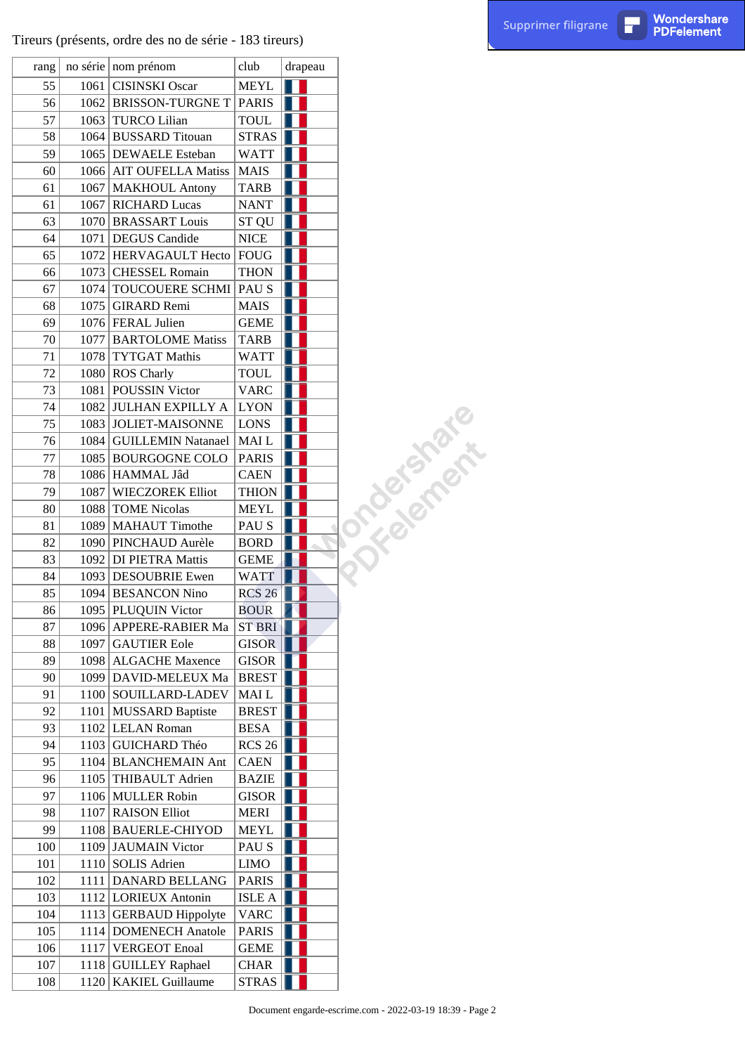| rang |      | no série   nom prénom     | club             | drapeau |               |
|------|------|---------------------------|------------------|---------|---------------|
| 55   | 1061 | <b>CISINSKI</b> Oscar     | <b>MEYL</b>      |         |               |
| 56   |      | 1062 BRISSON-TURGNE T     | <b>PARIS</b>     |         |               |
| 57   |      | 1063 TURCO Lilian         | <b>TOUL</b>      |         |               |
| 58   |      | 1064 BUSSARD Titouan      | <b>STRAS</b>     |         |               |
| 59   |      | 1065 DEWAELE Esteban      | WATT             |         |               |
| 60   |      | 1066   AIT OUFELLA Matiss | <b>MAIS</b>      |         |               |
| 61   |      | 1067   MAKHOUL Antony     | <b>TARB</b>      |         |               |
| 61   |      | 1067 RICHARD Lucas        | <b>NANT</b>      |         |               |
| 63   |      | 1070 BRASSART Louis       | ST QU            |         |               |
| 64   |      | 1071   DEGUS Candide      | <b>NICE</b>      |         |               |
| 65   |      | 1072   HERVAGAULT Hecto   | <b>FOUG</b>      |         |               |
| 66   |      | 1073 CHESSEL Romain       | <b>THON</b>      |         |               |
| 67   | 1074 | TOUCOUERE SCHMI           | PAU <sub>S</sub> |         |               |
| 68   |      | 1075 GIRARD Remi          | <b>MAIS</b>      |         |               |
| 69   |      | 1076 FERAL Julien         | <b>GEME</b>      |         |               |
| 70   |      | 1077   BARTOLOME Matiss   | <b>TARB</b>      |         |               |
| 71   |      | 1078 TYTGAT Mathis        | <b>WATT</b>      |         |               |
| 72   |      | 1080 ROS Charly           | <b>TOUL</b>      |         |               |
| 73   |      | 1081 POUSSIN Victor       | <b>VARC</b>      |         |               |
| 74   |      | 1082 JULHAN EXPILLY A     | <b>LYON</b>      |         |               |
| 75   |      | 1083 JOLIET-MAISONNE      | <b>LONS</b>      |         | J TROBASTOS - |
| 76   |      | 1084   GUILLEMIN Natanael | MAI L            |         |               |
| 77   |      | 1085 BOURGOGNE COLO       | <b>PARIS</b>     |         |               |
| 78   |      | 1086   HAMMAL Jâd         | <b>CAEN</b>      |         |               |
| 79   |      | 1087   WIECZOREK Elliot   | <b>THION</b>     |         |               |
| 80   |      | 1088 TOME Nicolas         | <b>MEYL</b>      |         |               |
| 81   |      | 1089 MAHAUT Timothe       | PAU S            |         |               |
| 82   |      | 1090 PINCHAUD Aurèle      | <b>BORD</b>      |         |               |
| 83   |      | 1092 DI PIETRA Mattis     | <b>GEME</b>      |         |               |
| 84   |      | 1093 DESOUBRIE Ewen       | <b>WATT</b>      |         |               |
| 85   |      | 1094 BESANCON Nino        | <b>RCS 26</b>    |         |               |
| 86   |      | 1095   PLUQUIN Victor     | <b>BOUR</b>      |         |               |
| 87   |      | 1096   APPERE-RABIER Ma   | <b>ST BRI</b>    |         |               |
| 88   | 1097 | <b>GAUTIER Eole</b>       | <b>GISOR</b>     |         |               |
| 89   |      | 1098 ALGACHE Maxence      | <b>GISOR</b>     |         |               |
| 90   |      | 1099   DAVID-MELEUX Ma    | <b>BREST</b>     |         |               |
| 91   |      | 1100 SOUILLARD-LADEV      | MAI L            |         |               |
| 92   |      | 1101 MUSSARD Baptiste     | <b>BREST</b>     |         |               |
| 93   |      | 1102 LELAN Roman          | <b>BESA</b>      |         |               |
| 94   |      | 1103 GUICHARD Théo        | <b>RCS 26</b>    |         |               |
| 95   |      | 1104 BLANCHEMAIN Ant      | <b>CAEN</b>      |         |               |
| 96   |      | 1105 THIBAULT Adrien      | <b>BAZIE</b>     |         |               |
| 97   |      | 1106 MULLER Robin         | GISOR            |         |               |
| 98   |      | 1107 RAISON Elliot        | <b>MERI</b>      |         |               |
| 99   |      | 1108 BAUERLE-CHIYOD       | <b>MEYL</b>      |         |               |
| 100  |      | 1109 JAUMAIN Victor       | PAU S            |         |               |
| 101  |      | 1110 SOLIS Adrien         | <b>LIMO</b>      |         |               |
| 102  | 1111 | DANARD BELLANG            | <b>PARIS</b>     |         |               |
| 103  |      | 1112   LORIEUX Antonin    | <b>ISLE A</b>    |         |               |
| 104  |      | 1113 GERBAUD Hippolyte    | <b>VARC</b>      |         |               |
| 105  |      | 1114 DOMENECH Anatole     | <b>PARIS</b>     |         |               |
| 106  | 1117 | <b>VERGEOT Enoal</b>      | <b>GEME</b>      |         |               |
| 107  | 1118 | <b>GUILLEY Raphael</b>    | <b>CHAR</b>      |         |               |
| 108  | 1120 | <b>KAKIEL Guillaume</b>   | <b>STRAS</b>     |         |               |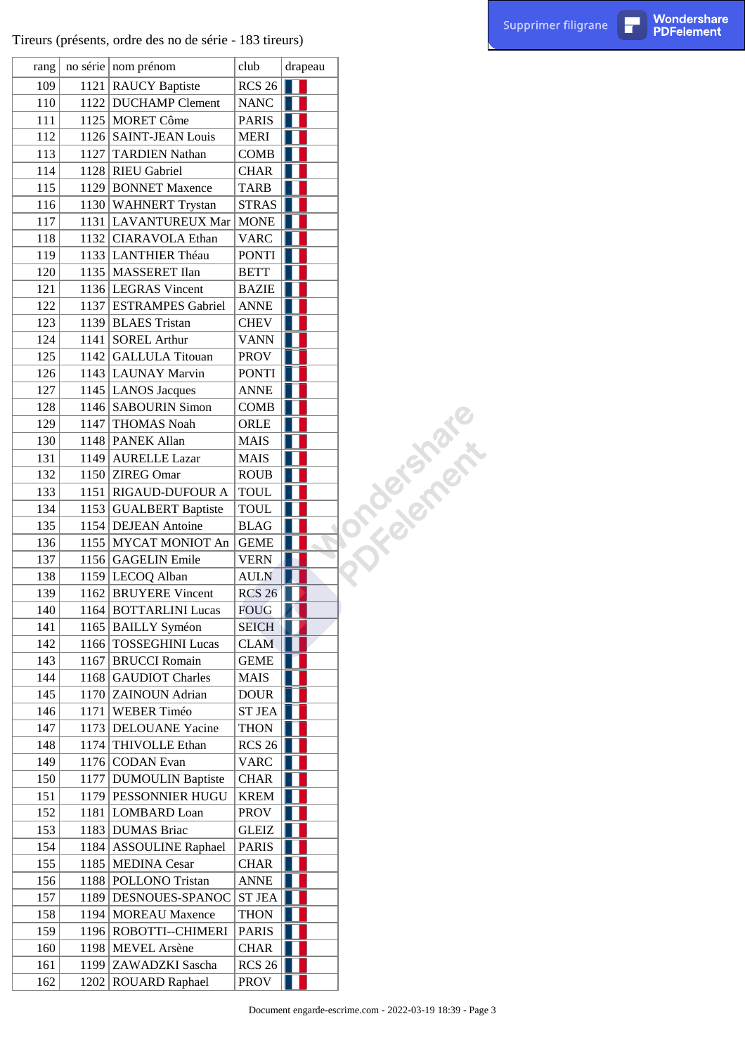| rang | no série   nom prénom    | club          | drapeau |              |
|------|--------------------------|---------------|---------|--------------|
| 109  | 1121 RAUCY Baptiste      | <b>RCS 26</b> |         |              |
| 110  | 1122 DUCHAMP Clement     | <b>NANC</b>   |         |              |
| 111  | 1125   MORET Côme        | <b>PARIS</b>  |         |              |
| 112  | 1126 SAINT-JEAN Louis    | <b>MERI</b>   |         |              |
| 113  | 1127 TARDIEN Nathan      | <b>COMB</b>   |         |              |
| 114  | 1128 RIEU Gabriel        | <b>CHAR</b>   |         |              |
| 115  | 1129 BONNET Maxence      | <b>TARB</b>   |         |              |
| 116  | 1130 WAHNERT Trystan     | <b>STRAS</b>  |         |              |
| 117  | 1131   LAVANTUREUX Mar   | <b>MONE</b>   |         |              |
| 118  | 1132 CIARAVOLA Ethan     | <b>VARC</b>   |         |              |
| 119  | 1133 LANTHIER Théau      | <b>PONTI</b>  |         |              |
| 120  | 1135   MASSERET Ilan     | <b>BETT</b>   |         |              |
| 121  | 1136 LEGRAS Vincent      | <b>BAZIE</b>  |         |              |
| 122  | 1137 ESTRAMPES Gabriel   | <b>ANNE</b>   |         |              |
| 123  | 1139 BLAES Tristan       | <b>CHEV</b>   |         |              |
| 124  | 1141 SOREL Arthur        | <b>VANN</b>   |         |              |
| 125  | 1142 GALLULA Titouan     | <b>PROV</b>   |         |              |
| 126  | 1143 LAUNAY Marvin       | <b>PONTI</b>  |         |              |
| 127  | 1145 LANOS Jacques       | <b>ANNE</b>   |         |              |
| 128  | 1146 SABOURIN Simon      | <b>COMB</b>   |         | J shakesheet |
| 129  | 1147 THOMAS Noah         | ORLE          |         |              |
| 130  | 1148   PANEK Allan       | <b>MAIS</b>   |         |              |
| 131  | 1149   AURELLE Lazar     | <b>MAIS</b>   |         |              |
| 132  | 1150 ZIREG Omar          | <b>ROUB</b>   |         |              |
| 133  | 1151   RIGAUD-DUFOUR A   | <b>TOUL</b>   |         |              |
| 134  | 1153 GUALBERT Baptiste   | <b>TOUL</b>   |         |              |
| 135  | 1154   DEJEAN Antoine    | <b>BLAG</b>   |         |              |
| 136  | 1155 MYCAT MONIOT An     | <b>GEME</b>   |         |              |
| 137  | 1156 GAGELIN Emile       | <b>VERN</b>   |         |              |
| 138  | 1159 LECOQ Alban         | <b>AULN</b>   |         |              |
| 139  | 1162 BRUYERE Vincent     | <b>RCS 26</b> |         |              |
| 140  | 1164 BOTTARLINI Lucas    | <b>FOUG</b>   |         |              |
| 141  | 1165 BAILLY Syméon       | <b>SEICH</b>  |         |              |
| 142  | 1166 TOSSEGHINI Lucas    | <b>CLAM</b>   |         |              |
| 143  | 1167   BRUCCI Romain     | <b>GEME</b>   |         |              |
| 144  | 1168 GAUDIOT Charles     | MAIS          |         |              |
| 145  | 1170 ZAINOUN Adrian      | <b>DOUR</b>   |         |              |
| 146  | 1171 WEBER Timéo         | <b>ST JEA</b> |         |              |
| 147  | 1173   DELOUANE Yacine   | THON          |         |              |
| 148  | 1174 THIVOLLE Ethan      | <b>RCS 26</b> |         |              |
| 149  | 1176 CODAN Evan          | VARC          |         |              |
| 150  | 1177 DUMOULIN Baptiste   | <b>CHAR</b>   |         |              |
| 151  | 1179   PESSONNIER HUGU   | <b>KREM</b>   |         |              |
| 152  | 1181   LOMBARD Loan      | <b>PROV</b>   |         |              |
| 153  | 1183 DUMAS Briac         | GLEIZ         |         |              |
| 154  | 1184   ASSOULINE Raphael | <b>PARIS</b>  |         |              |
| 155  | 1185   MEDINA Cesar      | <b>CHAR</b>   |         |              |
| 156  | 1188   POLLONO Tristan   | <b>ANNE</b>   |         |              |
| 157  | 1189 DESNOUES-SPANOC     | <b>ST JEA</b> |         |              |
| 158  | 1194 MOREAU Maxence      | <b>THON</b>   |         |              |
| 159  | 1196 ROBOTTI--CHIMERI    | <b>PARIS</b>  |         |              |
| 160  | 1198 MEVEL Arsène        | <b>CHAR</b>   |         |              |
| 161  | 1199 ZAWADZKI Sascha     | RCS26         |         |              |
| 162  | 1202 ROUARD Raphael      | <b>PROV</b>   |         |              |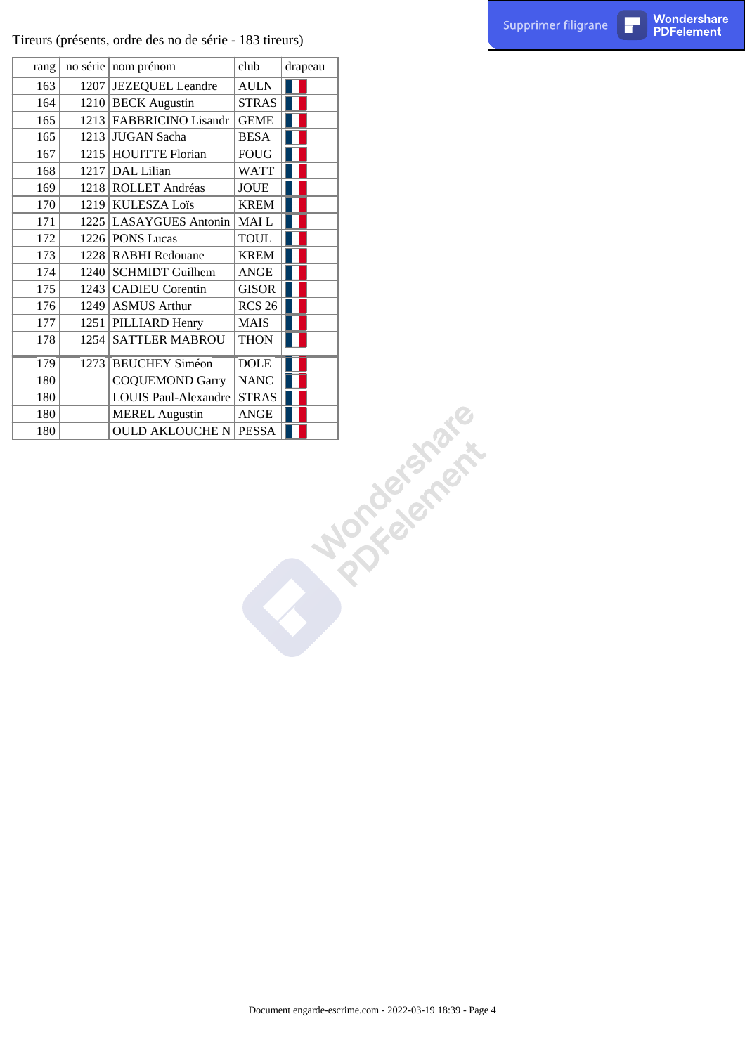|      | Tireurs (présents, ordre des no de série - 183 tireurs) |                                  |         |                                                          | Supprimer filigrane | П | Wondershare<br><b>PDFelement</b> |
|------|---------------------------------------------------------|----------------------------------|---------|----------------------------------------------------------|---------------------|---|----------------------------------|
| rang | no série nom prénom                                     | club                             | drapeau |                                                          |                     |   |                                  |
| 163  | 1207 JEZEQUEL Leandre                                   | $\mbox{AULN}$                    | Ш       |                                                          |                     |   |                                  |
| 164  | 1210 BECK Augustin                                      | STRAS                            |         |                                                          |                     |   |                                  |
| 165  | 1213 FABBRICINO Lisandr                                 | <b>GEME</b>                      |         |                                                          |                     |   |                                  |
| 165  | 1213 JUGAN Sacha                                        | <b>BESA</b>                      |         |                                                          |                     |   |                                  |
| 167  | 1215 HOUITTE Florian                                    | ${\rm F}{{\rm O}{\rm U}{\rm G}}$ |         |                                                          |                     |   |                                  |
| 168  | $1217$ DAL Lilian                                       | <b>WATT</b>                      | ٠       |                                                          |                     |   |                                  |
| 169  | 1218 ROLLET Andréas                                     | $\rm JOUE$                       |         |                                                          |                     |   |                                  |
| 170  | 1219 KULESZA Loïs                                       | <b>KREM</b>                      |         |                                                          |                     |   |                                  |
| 171  | 1225 LASAYGUES Antonin                                  | $\operatorname{MAI}$ L           |         |                                                          |                     |   |                                  |
| 172  | 1226 PONS Lucas                                         | $\operatorname{TOLL}$            |         |                                                          |                     |   |                                  |
| 173  | 1228 RABHI Redouane                                     | <b>KREM</b>                      |         |                                                          |                     |   |                                  |
| 174  | 1240 SCHMIDT Guilhem                                    | ANGE                             |         |                                                          |                     |   |                                  |
| 175  | 1243 CADIEU Corentin                                    | GISOR                            |         |                                                          |                     |   |                                  |
| 176  | $1249$ ASMUS Arthur                                     | RCS 26                           |         |                                                          |                     |   |                                  |
| 177  | 1251 PILLIARD Henry                                     | $\rm MAIS$                       |         |                                                          |                     |   |                                  |
| 178  | 1254 SATTLER MABROU                                     | <b>THON</b>                      |         |                                                          |                     |   |                                  |
|      |                                                         |                                  | H.      |                                                          |                     |   |                                  |
| 179  | 1273 BEUCHEY Siméon                                     | DOLE                             | Ш       |                                                          |                     |   |                                  |
| 180  | <b>COQUEMOND Garry</b>                                  | $\ensuremath{\mathsf{NANC}}$     |         |                                                          |                     |   |                                  |
| 180  | LOUIS Paul-Alexandre                                    | STRAS                            |         |                                                          |                     |   |                                  |
| 180  | <b>MEREL Augustin</b>                                   | ANGE                             |         |                                                          |                     |   |                                  |
| 180  | <b>OULD AKLOUCHE N PESSA</b>                            |                                  |         |                                                          |                     |   |                                  |
|      |                                                         |                                  |         | <b>Norderfalls</b>                                       |                     |   |                                  |
|      |                                                         |                                  |         |                                                          |                     |   |                                  |
|      |                                                         |                                  |         |                                                          |                     |   |                                  |
|      |                                                         |                                  |         |                                                          |                     |   |                                  |
|      |                                                         |                                  |         |                                                          |                     |   |                                  |
|      |                                                         |                                  |         |                                                          |                     |   |                                  |
|      |                                                         |                                  |         |                                                          |                     |   |                                  |
|      |                                                         |                                  |         |                                                          |                     |   |                                  |
|      |                                                         |                                  |         |                                                          |                     |   |                                  |
|      |                                                         |                                  |         |                                                          |                     |   |                                  |
|      |                                                         |                                  |         |                                                          |                     |   |                                  |
|      |                                                         |                                  |         |                                                          |                     |   |                                  |
|      |                                                         |                                  |         |                                                          |                     |   |                                  |
|      |                                                         |                                  |         |                                                          |                     |   |                                  |
|      |                                                         |                                  |         |                                                          |                     |   |                                  |
|      |                                                         |                                  |         |                                                          |                     |   |                                  |
|      |                                                         |                                  |         |                                                          |                     |   |                                  |
|      |                                                         |                                  |         |                                                          |                     |   |                                  |
|      |                                                         |                                  |         | Document engarde-escrime.com - 2022-03-19 18:39 - Page 4 |                     |   |                                  |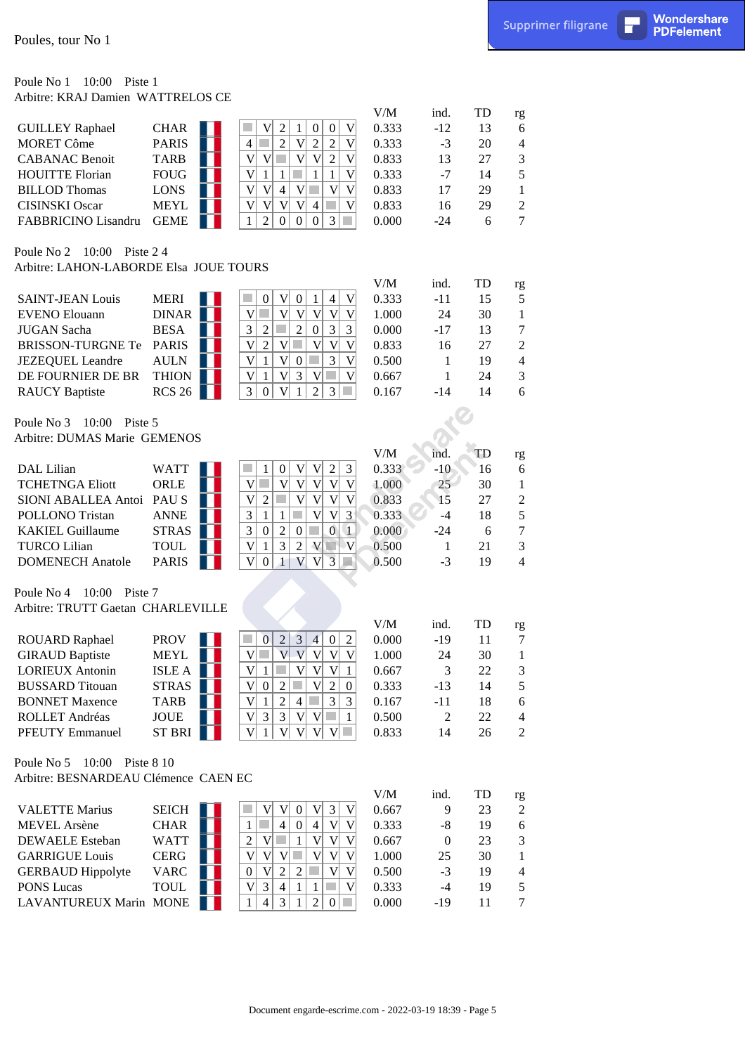#### Poule No 1 10:00 Piste 1 Arbitre: KRAJ Damien WATTRELOS CE

| Poules, tour No 1                                                |                          |                                                                                                                                                          |                |                         |          | Supprimer filigrane            | П | Wondershare<br><b>PDFelement</b> |
|------------------------------------------------------------------|--------------------------|----------------------------------------------------------------------------------------------------------------------------------------------------------|----------------|-------------------------|----------|--------------------------------|---|----------------------------------|
| Poule No 1<br>10:00 Piste 1<br>Arbitre: KRAJ Damien WATTRELOS CE |                          |                                                                                                                                                          |                |                         |          |                                |   |                                  |
|                                                                  |                          |                                                                                                                                                          | V/M            | ind.                    | TD       | rg                             |   |                                  |
| <b>GUILLEY Raphael</b>                                           | <b>CHAR</b>              | $\boldsymbol{2}$<br>V<br>$\mathbf V$<br>$\boldsymbol{0}$<br>$\boldsymbol{0}$<br>1                                                                        | 0.333          | $-12$                   | 13       | 6                              |   |                                  |
| <b>MORET Côme</b>                                                | <b>PARIS</b>             | $\sqrt{2}$<br>$\overline{2}$<br>V<br>$\overline{2}$<br>4<br>in a<br>V                                                                                    | 0.333          | $-3$                    | 20       | 4                              |   |                                  |
| <b>CABANAC Benoit</b>                                            | <b>TARB</b>              | V<br>V<br>V <sub>l</sub><br>$\overline{2}$<br> V <br>V                                                                                                   | 0.833          | 13                      | 27       | 3                              |   |                                  |
| <b>HOUITTE Florian</b>                                           | <b>FOUG</b>              | V<br>$\mathbf{1}$<br>$\mathbf{1}$<br>V<br>$\mathbf{1}$<br>$\mathbf{1}$                                                                                   | 0.333          | $-7$                    | 14       | 5                              |   |                                  |
| <b>BILLOD Thomas</b>                                             | <b>LONS</b>              | V<br>$V\Box$<br>V<br>$\mathbf V$<br>V<br>$\vert 4 \vert$                                                                                                 | 0.833          | 17                      | 29       | $\mathbf{1}$                   |   |                                  |
| <b>CISINSKI</b> Oscar                                            | <b>MEYL</b>              | V<br> V <br>V<br>V 4<br>$\mathbf V$<br>M.                                                                                                                | 0.833          | 16                      | 29       | $\mathfrak{2}$                 |   |                                  |
| FABBRICINO Lisandru                                              | <b>GEME</b>              | $\overline{2}$<br>3<br>$\mathbf{1}$<br>$\boldsymbol{0}$<br>$\boldsymbol{0}$<br> 0 <br>a s                                                                | 0.000          | $-24$                   | 6        | $\tau$                         |   |                                  |
| Poule No 2 10:00 Piste 24                                        |                          |                                                                                                                                                          |                |                         |          |                                |   |                                  |
| Arbitre: LAHON-LABORDE Elsa JOUE TOURS                           |                          |                                                                                                                                                          | V/M            |                         |          |                                |   |                                  |
| <b>SAINT-JEAN Louis</b>                                          | <b>MERI</b>              | V <sub>l</sub><br>$\overline{0}$<br>$\overline{4}$<br>$\boldsymbol{0}$<br>V<br>$\mathbf{1}$                                                              | 0.333          | ind.<br>$-11$           | TD<br>15 | rg<br>5                        |   |                                  |
| <b>EVENO Elouann</b>                                             | DINAR                    | V<br>V<br> V <br>V<br>T<br>V<br> V                                                                                                                       | 1.000          | 24                      | 30       | $\mathbf{1}$                   |   |                                  |
| <b>JUGAN</b> Sacha                                               | <b>BESA</b>              | 3<br>$\overline{2}$<br>3<br>$\overline{2}$<br>×<br>3<br>$\overline{0}$                                                                                   | 0.000          | $-17$                   | 13       | $\tau$                         |   |                                  |
| <b>BRISSON-TURGNE Te</b>                                         | <b>PARIS</b>             | $\mathbf V$<br>$\overline{2}$<br>V<br>$\mathbf V$<br> V <br>V                                                                                            | 0.833          | 16                      | 27       | $\overline{2}$                 |   |                                  |
| <b>JEZEQUEL</b> Leandre                                          | <b>AULN</b>              | V<br>3<br>$\mathbf{1}$<br>V <sub>l</sub><br>$\boldsymbol{0}$<br>$\mathbf V$                                                                              | 0.500          | 1                       | 19       | $\overline{4}$                 |   |                                  |
| DE FOURNIER DE BR                                                | <b>THION</b>             | V<br>M.<br>V<br>V<br>3<br>V<br>$\mathbf{1}$                                                                                                              | 0.667          | 1                       | 24       | 3                              |   |                                  |
| <b>RAUCY Baptiste</b>                                            | RCS26                    | 3 <br>3<br>$\overline{c}$<br>$\boldsymbol{0}$<br>V<br>-1<br><b>College</b>                                                                               | 0.167          | $-14$                   | 14       | 6                              |   |                                  |
| Poule No 3<br>10:00<br>Piste 5                                   |                          |                                                                                                                                                          |                |                         |          |                                |   |                                  |
| Arbitre: DUMAS Marie GEMENOS                                     |                          |                                                                                                                                                          |                |                         |          |                                |   |                                  |
|                                                                  |                          |                                                                                                                                                          | V/M            | ind.                    | TD       | rg                             |   |                                  |
| DAL Lilian                                                       | <b>WATT</b>              | V <sub>l</sub><br>$\mathfrak{Z}$<br>V<br>$\overline{2}$<br>$\boldsymbol{0}$<br>$\mathbf{1}$<br>$\mathcal{L}_{\mathcal{A}}$                               | 0.333          | $-10$                   | 16       | 6                              |   |                                  |
| <b>TCHETNGA Eliott</b><br>SIONI ABALLEA Antoi                    | ORLE<br>PAU <sub>S</sub> | V<br> V <br> V <br> V <br> V <br>V<br>V<br>V<br>$\overline{2}$<br>V<br> V                                                                                | 1.000          | 25<br>15                | 30<br>27 | $\mathbf{1}$<br>$\mathfrak{2}$ |   |                                  |
| POLLONO Tristan                                                  | <b>ANNE</b>              | V<br>3<br> V <br>3 <sup>°</sup><br>$\mathbf{1}$<br>$\mathbf{1}$<br>in a<br>V                                                                             | 0.833<br>0.333 | $-4$                    | 18       | 5                              |   |                                  |
| <b>KAKIEL Guillaume</b>                                          | <b>STRAS</b>             | 3<br>$\sqrt{2}$<br>$\overline{0}$<br>$\mathbf{1}$<br>$\boldsymbol{0}$<br>$0$ $\Box$                                                                      | 0.000          | $-24$                   | 6        | $\boldsymbol{7}$               |   |                                  |
| <b>TURCO Lilian</b>                                              | <b>TOUL</b>              | $\ensuremath{\mathfrak{Z}}$<br>$\mathbf V$<br>V<br>$\sqrt{2}$<br>$\mathbf{V}$<br>$\overline{2}$<br>$\mathbf{1}$                                          | 0.500          | $\mathbf{1}$            | 21       | 3                              |   |                                  |
| <b>DOMENECH</b> Anatole                                          | <b>PARIS</b>             | $\mathbf{V}$<br>3<br>$\boldsymbol{0}$<br>V<br>V<br>$\mathbf{1}$<br><b>A</b>                                                                              | 0.500          | $-3$                    | 19       | $\overline{4}$                 |   |                                  |
| Poule No 4 10:00 Piste 7                                         |                          |                                                                                                                                                          |                |                         |          |                                |   |                                  |
| Arbitre: TRUTT Gaetan CHARLEVILLE                                |                          |                                                                                                                                                          |                |                         |          |                                |   |                                  |
|                                                                  |                          |                                                                                                                                                          | V/M            | ind.                    | TD       | rg                             |   |                                  |
| <b>ROUARD Raphael</b>                                            | <b>PROV</b>              | $\sqrt{2}$<br>$\overline{c}$<br>$\overline{0}$<br>3<br>$\overline{4}$<br>$\boldsymbol{0}$                                                                | 0.000          | $-19$                   | 11       | $\tau$                         |   |                                  |
| <b>GIRAUD Baptiste</b>                                           | <b>MEYL</b>              | V<br>V<br>$\mathbf{V}$<br>V <sub>l</sub><br>V<br>V                                                                                                       | 1.000          | 24                      | 30       | $\mathbf{1}$                   |   |                                  |
| <b>LORIEUX Antonin</b>                                           | ISLE A                   | V<br>$\mathbf{1}$<br>V<br>V<br>V<br>$\mathbf{1}$<br>V                                                                                                    | 0.667          | 3                       | 22       | 3                              |   |                                  |
| <b>BUSSARD</b> Titouan<br><b>BONNET Maxence</b>                  | STRAS  <br><b>TARB</b>   | $\sqrt{2}$<br>V<br>$\overline{2}$<br>$\boldsymbol{0}$<br>$\boldsymbol{0}$<br>V<br>$\boldsymbol{2}$<br>$\mathfrak{Z}$<br>$\mathfrak{Z}$<br>$\overline{4}$ | 0.333          | $-13$                   | 14       | 5                              |   |                                  |
| ROLLET Andréas                                                   | <b>JOUE</b>              | $\mathbf{1}$<br>V<br>$\mathbf{3}$<br>$\overline{3}$<br>V V <br>$\mathbf{1}$                                                                              | 0.167<br>0.500 | $-11$<br>$\overline{c}$ | 18<br>22 | 6<br>$\overline{4}$            |   |                                  |
| PFEUTY Emmanuel                                                  | ST BRI                   | V<br>V<br>V <sub>l</sub><br>$\mathbf{1}$<br>V<br>$V$ $\Box$                                                                                              | 0.833          | 14                      | 26       | $\overline{2}$                 |   |                                  |
| Poule No 5 10:00 Piste 8 10                                      |                          |                                                                                                                                                          |                |                         |          |                                |   |                                  |
| Arbitre: BESNARDEAU Clémence CAEN EC                             |                          |                                                                                                                                                          |                |                         |          |                                |   |                                  |
|                                                                  |                          |                                                                                                                                                          | V/M            | ind.                    | TD       | rg                             |   |                                  |
| <b>VALETTE Marius</b>                                            | <b>SEICH</b>             | V <sub>l</sub><br>$V $ 3<br> 0 <br>V<br>V                                                                                                                | 0.667          | 9                       | 23       | $\mathfrak{2}$                 |   |                                  |
| <b>MEVEL</b> Arsène                                              | <b>CHAR</b>              | $\mathcal{L}_{\mathcal{A}}$<br>V<br>$\vert 4 \vert$<br>$\mathbf{1}$<br>$\boldsymbol{0}$<br>$\overline{4}$<br>V                                           | 0.333          | $-8$                    | 19       | $\sqrt{6}$                     |   |                                  |
| <b>DEWAELE</b> Esteban                                           | <b>WATT</b>              | $\mathbf V$<br>$\overline{2}$<br>V<br>V<br>V<br>1                                                                                                        | 0.667          | $\mathbf{0}$            | 23       | 3                              |   |                                  |
| <b>GARRIGUE Louis</b>                                            | <b>CERG</b>              | $\mathbf V$<br>V<br>$V$ $\Box$<br>V<br>V<br>V                                                                                                            | 1.000          | 25                      | 30       | $\mathbf{1}$                   |   |                                  |
| <b>GERBAUD Hippolyte</b>                                         | <b>VARC</b>              | $\sqrt{2}$<br>$\mathbf V$<br>V<br>$\overline{2}$<br>V<br>$\boldsymbol{0}$                                                                                | 0.500          | $-3$                    | 19       | $\overline{\mathcal{A}}$       |   |                                  |
| <b>PONS</b> Lucas                                                | <b>TOUL</b>              | V<br>3<br>V<br>$\overline{4}$<br>1<br>1                                                                                                                  | 0.333          | $-4$                    | 19       | 5                              |   |                                  |
| LAVANTUREUX Marin MONE                                           |                          | $\overline{4}$<br>3<br>2<br>$\mathbf{0}$<br>a s<br>$\mathbf{1}$<br>1                                                                                     | 0.000          | $-19$                   | 11       | $\overline{7}$                 |   |                                  |
|                                                                  |                          |                                                                                                                                                          |                |                         |          |                                |   |                                  |
|                                                                  |                          |                                                                                                                                                          |                |                         |          |                                |   |                                  |
|                                                                  |                          |                                                                                                                                                          |                |                         |          |                                |   |                                  |
|                                                                  |                          | Document engarde-escrime.com - 2022-03-19 18:39 - Page 5                                                                                                 |                |                         |          |                                |   |                                  |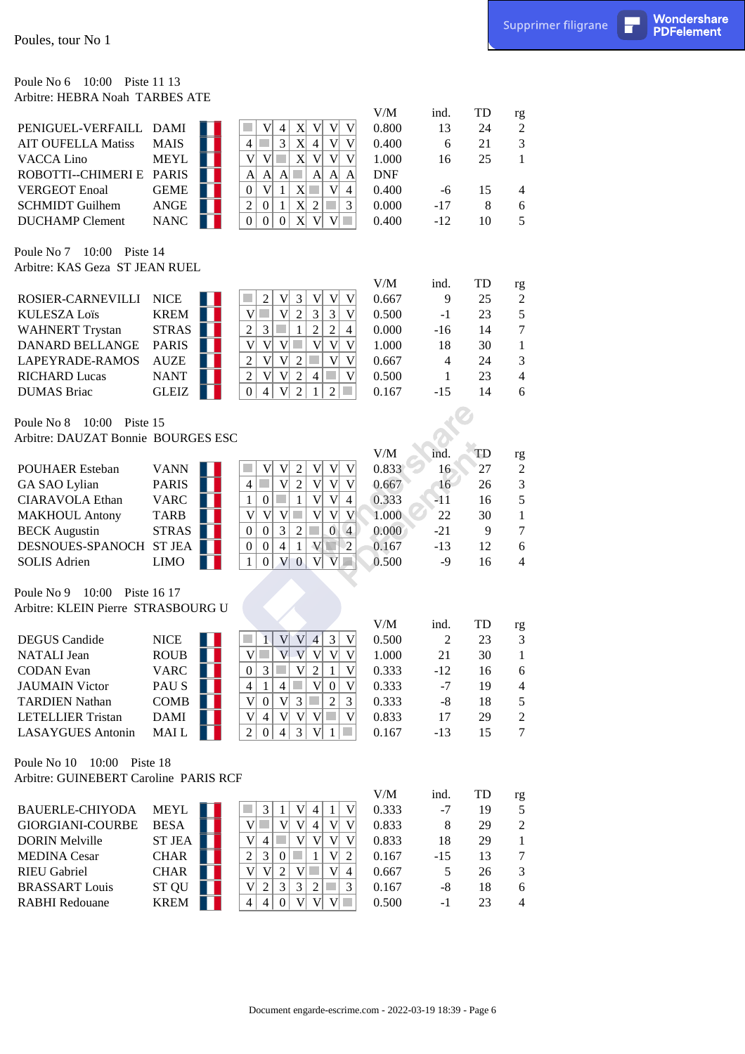#### Poule No 6 10:00 Piste 11 13 Arbitre: HEBRA Noah TARBES ATE

| Poules, tour No 1                                                   |                             |                                                                                                                                                                              |                     |                |          |                     | Supprimer filigrane | П | Wondershare<br><b>PDFelement</b> |
|---------------------------------------------------------------------|-----------------------------|------------------------------------------------------------------------------------------------------------------------------------------------------------------------------|---------------------|----------------|----------|---------------------|---------------------|---|----------------------------------|
| 10:00 Piste 11 13<br>Poule No 6<br>Arbitre: HEBRA Noah TARBES ATE   |                             |                                                                                                                                                                              |                     |                |          |                     |                     |   |                                  |
|                                                                     |                             |                                                                                                                                                                              | V/M                 | ind.           | TD       | rg                  |                     |   |                                  |
| PENIGUEL-VERFAILL DAMI                                              |                             | V<br>$\mathbf{X}$<br> V <br>V<br><b>College</b><br> V <br>4                                                                                                                  | 0.800               | 13             | 24       | $\overline{c}$      |                     |   |                                  |
| <b>AIT OUFELLA Matiss</b>                                           | <b>MAIS</b>                 | $\mathfrak{Z}$<br>X <sub>l</sub><br>4<br>r.<br>$\overline{4}$<br>V<br>V                                                                                                      | 0.400               | 6              | 21       | 3                   |                     |   |                                  |
| <b>VACCA Lino</b>                                                   | <b>MEYL</b>                 | $\mathbf V$<br>V<br>X <sub>l</sub><br> V <br>×<br> V <br>V                                                                                                                   | 1.000               | 16             | 25       | 1                   |                     |   |                                  |
| ROBOTTI--CHIMERI E PARIS<br><b>VERGEOT Enoal</b>                    | <b>GEME</b>                 | $\mathbf{A}$<br>$\mathbf{A}$<br>$\mathbf{A}$<br> A <br>$\mathbf{A}$<br>A<br> V <br>$\mathbf{X}$<br>$\boldsymbol{0}$<br> V <br>1                                              | <b>DNF</b><br>0.400 |                |          |                     |                     |   |                                  |
| <b>SCHMIDT Guilhem</b>                                              | ANGE                        | $\overline{4}$<br>$\boldsymbol{2}$<br>$\mathbf{X}$<br>$\overline{2}$<br>3<br>$\boldsymbol{0}$<br>h.<br>1                                                                     | 0.000               | $-6$<br>$-17$  | 15<br>8  | 4<br>6              |                     |   |                                  |
| <b>DUCHAMP</b> Clement                                              | <b>NANC</b>                 | X <sup>2</sup><br>V<br>$\overline{0}$<br>$\boldsymbol{0}$<br>$\boldsymbol{0}$<br>V                                                                                           | 0.400               | $-12$          | 10       | 5                   |                     |   |                                  |
| Poule No 7 10:00 Piste 14<br>Arbitre: KAS Geza ST JEAN RUEL         |                             |                                                                                                                                                                              |                     |                |          |                     |                     |   |                                  |
|                                                                     |                             |                                                                                                                                                                              | V/M                 | ind.           | TD       | rg                  |                     |   |                                  |
| ROSIER-CARNEVILLI                                                   | <b>NICE</b>                 | 3 <br>V<br>V<br>$\overline{2}$<br>$\mathbf V$<br> V <br>$\overline{2}$<br>$\overline{3}$<br>$\overline{\mathsf{V}}$<br>V<br>V<br>п                                           | 0.667               | 9              | 25       | $\mathfrak{2}$<br>5 |                     |   |                                  |
| <b>KULESZA Loïs</b><br><b>WAHNERT Trystan</b>                       | <b>KREM</b><br><b>STRAS</b> | 3<br>$\mathfrak{2}$<br>$\overline{2}$<br>$\mathfrak{Z}$<br>×<br>$\overline{c}$<br>$\mathbf{1}$<br>$\overline{4}$                                                             | 0.500<br>0.000      | $-1$<br>$-16$  | 23<br>14 | $\tau$              |                     |   |                                  |
| DANARD BELLANGE                                                     | <b>PARIS</b>                | $\overline{\mathsf{V}}$<br>V<br> V <br>V<br>V<br>$\ensuremath{\mathsf{V}}$                                                                                                   | 1.000               | 18             | 30       | $\mathbf{1}$        |                     |   |                                  |
| LAPEYRADE-RAMOS                                                     | <b>AUZE</b>                 | V<br>V<br>$\overline{2}$<br>$\mathbf V$<br>$\overline{2}$<br>V                                                                                                               | 0.667               | $\overline{4}$ | 24       | 3                   |                     |   |                                  |
| <b>RICHARD Lucas</b>                                                | <b>NANT</b>                 | $\overline{c}$<br>$\mathbf V$<br>$\sqrt{2}$<br>V<br>V<br>4                                                                                                                   | 0.500               | 1              | 23       | $\overline{4}$      |                     |   |                                  |
| <b>DUMAS</b> Briac                                                  | <b>GLEIZ</b>                | $\overline{0}$<br>V<br>$\overline{2}$<br>$\overline{c}$<br>$\overline{4}$<br>1                                                                                               | 0.167               | $-15$          | 14       | 6                   |                     |   |                                  |
| Poule No 8<br>10:00 Piste 15<br>Arbitre: DAUZAT Bonnie BOURGES ESC  |                             |                                                                                                                                                                              |                     |                |          |                     |                     |   |                                  |
|                                                                     |                             |                                                                                                                                                                              | $V\!/\!M$           | ind.           | TD       | rg                  |                     |   |                                  |
| <b>POUHAER Esteban</b>                                              | <b>VANN</b>                 | $\ensuremath{\text{V}}$<br>V<br>V<br>$\overline{c}$<br>$\mathbf{V}$<br> V                                                                                                    | 0.833               | 16             | 27       | $\mathfrak{2}$      |                     |   |                                  |
| GA SAO Lylian                                                       | <b>PARIS</b><br><b>VARC</b> | $\mathbf V$<br>$\overline{2}$<br>V<br>$\vert 4 \vert$<br>$\mathbf V$<br>٠<br> V <br>$\overline{V}$<br>$\mathcal{L}_{\mathcal{A}}$<br>$\boldsymbol{0}$<br> V <br>$\mathbf{1}$ | 0.667               | 16<br>$-11$    | 26<br>16 | 3<br>5              |                     |   |                                  |
| <b>CIARAVOLA Ethan</b><br><b>MAKHOUL Antony</b>                     | <b>TARB</b>                 | $\mathbf{1}$<br>$\overline{4}$<br> V <br> V <br>$\mathbf V$<br>V<br>V<br>٠<br> V                                                                                             | 0.333<br>1.000      | 22             | 30       | $\mathbf{1}$        |                     |   |                                  |
| <b>BECK</b> Augustin                                                | <b>STRAS</b>                | 3<br>$\sqrt{2}$<br>$\overline{0}$<br>$\overline{0}$<br> 0 <br>$\overline{4}$                                                                                                 | 0.000               | $-21$          | 9        | $\tau$              |                     |   |                                  |
| DESNOUES-SPANOCH ST JEA                                             |                             | $\overline{4}$<br>V<br>$\overline{c}$<br>$\mathbf{1}$<br>$\boldsymbol{0}$<br>$\overline{0}$<br>N                                                                             | 0.167               | $-13$          | 12       | 6                   |                     |   |                                  |
| <b>SOLIS Adrien</b>                                                 | <b>LIMO</b>                 | V<br> V <br>$\mathbf{0}$<br>V<br>$\mathbf{1}$<br> 0 <br>$\sqrt{2}$                                                                                                           | 0.500               | $-9$           | 16       | $\overline{4}$      |                     |   |                                  |
| Poule No 9 10:00 Piste 16 17<br>Arbitre: KLEIN Pierre STRASBOURG U  |                             |                                                                                                                                                                              |                     |                |          |                     |                     |   |                                  |
|                                                                     |                             |                                                                                                                                                                              | V/M                 | ind.           | TD       | rg                  |                     |   |                                  |
| <b>DEGUS</b> Candide<br><b>NATALI</b> Jean                          | <b>NICE</b><br><b>ROUB</b>  | $\mathfrak{Z}$<br>V<br>V<br>$\overline{4}$<br>1<br>V<br>V<br>$\overline{\mathbf{V}}$<br>V<br>V<br>r.<br>$\mathbf{V}$<br>V                                                    | 0.500<br>1.000      | 2<br>21        | 23<br>30 | 3<br>1              |                     |   |                                  |
| <b>CODAN</b> Evan                                                   | <b>VARC</b>                 | $\mathfrak{Z}$<br>V<br>$\overline{0}$<br>V<br>$\overline{c}$                                                                                                                 | 0.333               | $-12$          | 16       | 6                   |                     |   |                                  |
| <b>JAUMAIN Victor</b>                                               | PAU S                       | $\overline{4}$<br>V<br>V<br>-1<br>$\overline{4}$<br>$\overline{0}$                                                                                                           | 0.333               | $-7$           | 19       | 4                   |                     |   |                                  |
| <b>TARDIEN Nathan</b>                                               | <b>COMB</b>                 | 3<br>V<br>$\overline{0}$<br>V<br>3<br>$\overline{c}$                                                                                                                         | 0.333               | $-8$           | 18       | 5                   |                     |   |                                  |
| <b>LETELLIER Tristan</b>                                            | <b>DAMI</b>                 | V<br> V <br> V <br> V <br>V<br>$\overline{4}$<br>a s                                                                                                                         | 0.833               | 17             | 29       | $\overline{2}$      |                     |   |                                  |
| <b>LASAYGUES Antonin</b>                                            | MAI L                       | $\overline{2}$<br>$\overline{4}$<br>3 <br>V<br>$\overline{0}$<br>$\mathbf{1}$                                                                                                | 0.167               | $-13$          | 15       | $\tau$              |                     |   |                                  |
| Poule No 10 10:00 Piste 18<br>Arbitre: GUINEBERT Caroline PARIS RCF |                             |                                                                                                                                                                              |                     |                |          |                     |                     |   |                                  |
| <b>BAUERLE-CHIYODA</b>                                              | <b>MEYL</b>                 | 3<br>V<br>V<br>$\overline{4}$<br>-1<br>-1                                                                                                                                    | V/M<br>0.333        | ind.<br>$-7$   | TD<br>19 | rg<br>5             |                     |   |                                  |
| <b>GIORGIANI-COURBE</b>                                             | <b>BESA</b>                 | V<br>V<br>a s<br>V<br>V<br>4                                                                                                                                                 | 0.833               | 8              | 29       | $\sqrt{2}$          |                     |   |                                  |
| <b>DORIN Melville</b>                                               | ST JEA                      | $\mathbf V$<br>V<br>$\overline{4}$<br>V<br>V<br>V                                                                                                                            | 0.833               | 18             | 29       | $\mathbf{1}$        |                     |   |                                  |
| <b>MEDINA</b> Cesar                                                 | <b>CHAR</b>                 | $\boldsymbol{2}$<br>3<br>$\overline{c}$<br>$\overline{0}$<br>V                                                                                                               | 0.167               | $-15$          | 13       | $\tau$              |                     |   |                                  |
| <b>RIEU Gabriel</b>                                                 | <b>CHAR</b>                 | V<br>V<br>$\boldsymbol{2}$<br>V<br>$\overline{4}$<br>V                                                                                                                       | 0.667               | 5              | 26       | 3                   |                     |   |                                  |
| <b>BRASSART</b> Louis                                               | ST QU                       | 3<br>3<br>V<br>$\overline{2}$<br>3 <br>2                                                                                                                                     | 0.167               | $-8$           | 18       | 6                   |                     |   |                                  |
| <b>RABHI</b> Redouane                                               | <b>KREM</b>                 | V<br> V <br>$\overline{4}$<br>$\overline{4}$<br>$\overline{0}$<br>V<br>a a                                                                                                   | 0.500               | $-1$           | 23       | $\overline{4}$      |                     |   |                                  |
|                                                                     |                             |                                                                                                                                                                              |                     |                |          |                     |                     |   |                                  |
|                                                                     |                             | Document engarde-escrime.com - 2022-03-19 18:39 - Page 6                                                                                                                     |                     |                |          |                     |                     |   |                                  |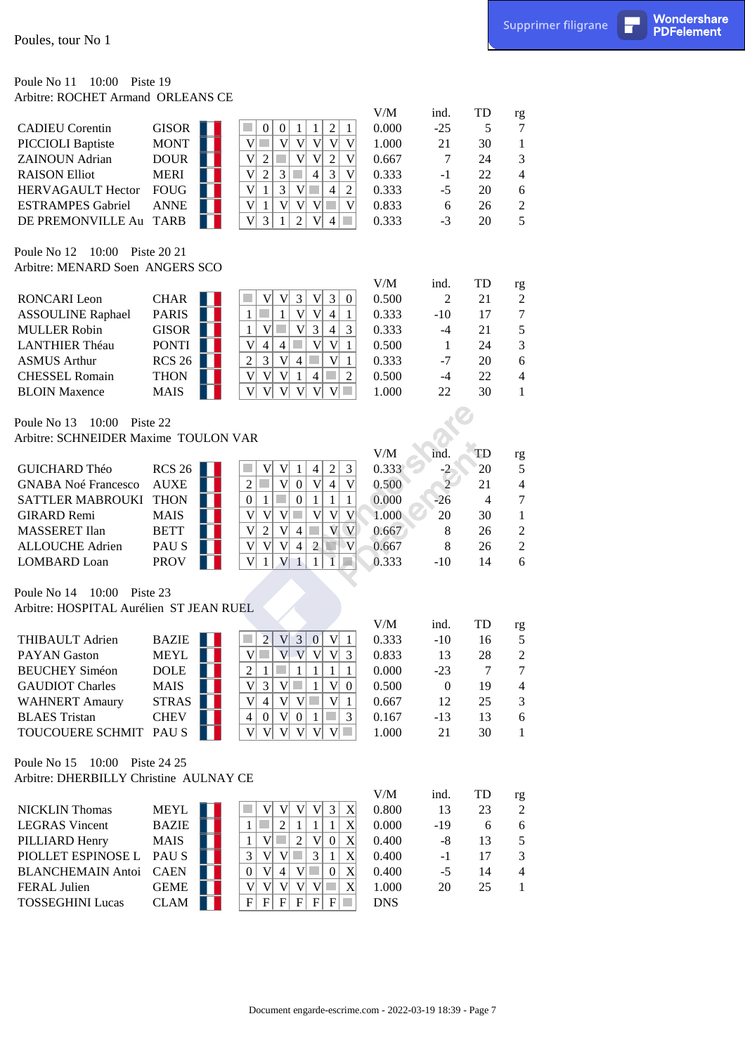#### Poule No 11 10:00 Piste 19 Arbitre: ROCHET Armand ORLEANS CE

| Poules, tour No 1                                                                                 |                                                               |                                                                                                                                                                                                                                                                                     |                                      |                                         |                                  |                                                   | Supprimer filigrane | П | Wondershare<br><b>PDFelement</b> |
|---------------------------------------------------------------------------------------------------|---------------------------------------------------------------|-------------------------------------------------------------------------------------------------------------------------------------------------------------------------------------------------------------------------------------------------------------------------------------|--------------------------------------|-----------------------------------------|----------------------------------|---------------------------------------------------|---------------------|---|----------------------------------|
| 10:00 Piste 19<br>Poule No 11<br>Arbitre: ROCHET Armand ORLEANS CE                                |                                                               |                                                                                                                                                                                                                                                                                     |                                      |                                         |                                  |                                                   |                     |   |                                  |
| <b>CADIEU</b> Corentin<br>PICCIOLI Baptiste<br><b>ZAINOUN</b> Adrian                              | GISOR  <br><b>MONT</b><br><b>DOUR</b>                         | $\overline{2}$<br><b>College</b><br>$\boldsymbol{0}$<br>$\overline{0}$<br>$\mathbf{1}$<br>$\mathbf{1}$<br>1<br>V<br>V<br>V <sub>1</sub><br>V<br><b>COL</b><br>V<br>V<br>V<br>$\overline{2}$<br>×<br>V <sub>1</sub><br>V<br>$\overline{c}$<br>V                                      | V/M<br>0.000<br>1.000<br>0.667       | ind.<br>$-25$<br>21<br>7                | TD<br>5<br>30<br>24              | rg<br>7<br>$\mathbf{1}$<br>3                      |                     |   |                                  |
| <b>RAISON Elliot</b><br>HERVAGAULT Hector<br><b>ESTRAMPES Gabriel</b>                             | <b>MERI</b><br><b>FOUG</b><br><b>ANNE</b>                     | V<br>$\mathfrak{Z}$<br>$\overline{2}$<br>3<br>$\overline{4}$<br>V<br>$\mathbf{V}$<br>$\overline{3}$<br>V<br>$\boldsymbol{2}$<br>$\mathbf{1}$<br>a s<br>$\overline{4}$<br>V<br>V<br>V<br>V<br>V<br>m.<br>$\mathbf{1}$                                                                | 0.333<br>0.333<br>0.833              | $-1$<br>$-5$<br>6                       | 22<br>20<br>26                   | $\overline{4}$<br>6<br>$\overline{c}$             |                     |   |                                  |
| DE PREMONVILLE Au TARB<br>Poule No 12 10:00 Piste 20 21                                           |                                                               | $\overline{\mathsf{V}}$<br>3<br>$\overline{2}$<br>V<br>1<br>$\overline{4}$                                                                                                                                                                                                          | 0.333                                | $-3$                                    | 20                               | 5                                                 |                     |   |                                  |
| Arbitre: MENARD Soen ANGERS SCO                                                                   |                                                               |                                                                                                                                                                                                                                                                                     | V/M                                  | ind.                                    | TD                               | rg                                                |                     |   |                                  |
| RONCARI Leon<br><b>ASSOULINE Raphael</b><br><b>MULLER Robin</b><br><b>LANTHIER Théau</b>          | <b>CHAR</b><br><b>PARIS</b><br><b>GISOR</b><br><b>PONTI</b>   | 3 <br>V<br>3<br> V <br> V <br>$\boldsymbol{0}$<br>V<br>V<br>$\mathbf{1}$<br>$\overline{4}$<br>$\mathbf{1}$<br>$\mathbf{1}$<br>3<br>$\mathfrak{Z}$<br>V<br>V<br>$\overline{4}$<br>$\mathbf{1}$<br>$\overline{\mathsf{V}}$<br>$\overline{4}$<br>V<br>V<br>$\mathbf{1}$<br>4           | 0.500<br>0.333<br>0.333<br>0.500     | $\overline{2}$<br>$-10$<br>$-4$<br>-1   | 21<br>17<br>21<br>24             | $\mathfrak{2}$<br>$\overline{7}$<br>5<br>3        |                     |   |                                  |
| <b>ASMUS Arthur</b><br><b>CHESSEL Romain</b><br><b>BLOIN</b> Maxence                              | <b>RCS 26</b><br><b>THON</b><br><b>MAIS</b>                   | $\overline{2}$<br>$\mathfrak{Z}$<br> V <br>V<br>$\overline{4}$<br>$\mathbf{1}$<br>V<br>V<br>$\overline{2}$<br>V<br>1<br>4<br><b>College</b><br>V<br>V<br>V<br>V<br>V<br>V<br><b>College</b>                                                                                         | 0.333<br>0.500<br>1.000              | $-7$<br>$-4$<br>22                      | 20<br>22<br>30                   | 6<br>4<br>$\mathbf{1}$                            |                     |   |                                  |
| 10:00 Piste 22<br>Poule No 13<br>Arbitre: SCHNEIDER Maxime TOULON VAR                             |                                                               |                                                                                                                                                                                                                                                                                     |                                      |                                         |                                  |                                                   |                     |   |                                  |
| GUICHARD Théo<br><b>GNABA Noé Francesco</b><br><b>SATTLER MABROUKI</b>                            | RCS26<br><b>AUXE</b><br><b>THON</b>                           | $\mathfrak{Z}$<br>$\mathbf V$<br>V<br>$\overline{c}$<br>$\overline{4}$<br>$\mathbf{1}$<br> V <br> 0 <br> V <br>V<br>$\overline{2}$<br>a s<br>$\overline{4}$<br>$\mathcal{L}_{\mathcal{A}}$<br> 0 <br>$\overline{0}$<br>$\mathbf{1}$<br>$\mathbf{1}$<br>$\mathbf{1}$<br>$\mathbf{1}$ | $V\!/\!M$<br>0.333<br>0.500<br>0.000 | ind.<br>$-2$<br>$\overline{2}$<br>$-26$ | TD<br>20<br>21<br>$\overline{4}$ | rg<br>5<br>$\overline{4}$<br>$\tau$               |                     |   |                                  |
| <b>GIRARD Remi</b><br><b>MASSERET</b> Ilan<br><b>ALLOUCHE Adrien</b><br><b>LOMBARD</b> Loan       | <b>MAIS</b><br><b>BETT</b><br>PAU <sub>S</sub><br><b>PROV</b> | V <br> V <br> V <br>$\mathbf V$<br> V <br><b>COL</b><br>V<br>V<br>V<br>2<br>V<br>$\vert 4 \vert$<br>V<br>V<br> V <br>$\mathbf{V}$<br>V<br>$\overline{2}$<br>N<br>$\overline{4}$<br>$\mathbf V$<br>V<br>$\sqrt{2}$<br>1<br>$\mathbf{1}$<br>1                                         | 1.000<br>0.667<br>0.667<br>0.333     | 20<br>8<br>8<br>$-10$                   | 30<br>26<br>26<br>14             | $\mathbf{1}$<br>$\sqrt{2}$<br>$\overline{c}$<br>6 |                     |   |                                  |
| Poule No 14 10:00 Piste 23<br>Arbitre: HOSPITAL Aurélien ST JEAN RUEL                             |                                                               |                                                                                                                                                                                                                                                                                     |                                      |                                         |                                  |                                                   |                     |   |                                  |
| THIBAULT Adrien                                                                                   | <b>BAZIE</b>                                                  | $\overline{2}$<br>$\left 3\right $<br> V <br> 0 <br> V <br>-1                                                                                                                                                                                                                       | V/M<br>0.333                         | ind.<br>$-10$                           | TD<br>16                         | rg<br>$\mathfrak s$                               |                     |   |                                  |
| <b>PAYAN</b> Gaston<br><b>BEUCHEY Siméon</b>                                                      | <b>MEYL</b><br><b>DOLE</b>                                    | V<br>V<br>V<br>V<br>3<br>V<br>$\overline{2}$<br>$\mathbf{1}$<br>1<br>$\mathbf{1}$<br>$\mathbf{1}$<br>1                                                                                                                                                                              | 0.833<br>0.000                       | 13<br>$-23$                             | 28<br>7                          | $\boldsymbol{2}$<br>$\tau$                        |                     |   |                                  |
| <b>GAUDIOT Charles</b><br><b>WAHNERT Amaury</b><br><b>BLAES</b> Tristan<br>TOUCOUERE SCHMIT PAU S | <b>MAIS</b><br><b>STRAS</b><br><b>CHEV</b>                    | $\overline{\mathsf{V}}$<br>3<br>V<br>V<br>$\boldsymbol{0}$<br>V<br>$\overline{4}$<br>V<br>$V$ $\Box$<br>V<br>$\mathbf{1}$<br>$\overline{4}$<br> V <br>3<br>$\boldsymbol{0}$<br> 0 <br>-1<br>V<br> V <br>V<br> V <br>V<br> V                                                         | 0.500<br>0.667<br>0.167<br>1.000     | $\overline{0}$<br>12<br>$-13$<br>21     | 19<br>25<br>13<br>30             | $\overline{4}$<br>3<br>6<br>$\mathbf{1}$          |                     |   |                                  |
| Poule No 15 10:00 Piste 24 25<br>Arbitre: DHERBILLY Christine AULNAY CE                           |                                                               |                                                                                                                                                                                                                                                                                     |                                      |                                         |                                  |                                                   |                     |   |                                  |
| <b>NICKLIN</b> Thomas                                                                             | <b>MEYL</b>                                                   | V<br>V<br>$\overline{3}$<br>V<br>V<br>X                                                                                                                                                                                                                                             | V/M<br>0.800                         | ind.<br>13                              | TD<br>23                         | rg<br>$\boldsymbol{2}$                            |                     |   |                                  |
| <b>LEGRAS</b> Vincent<br>PILLIARD Henry<br>PIOLLET ESPINOSE L<br><b>BLANCHEMAIN Antoi</b>         | <b>BAZIE</b><br><b>MAIS</b><br>PAU S<br><b>CAEN</b>           | X<br>$\mathfrak{2}$<br>H.<br>1<br>1<br>V<br>$\overline{2}$<br>X<br>V<br>$\mathbf{1}$<br>٠<br>$\boldsymbol{0}$<br>$\mathbf X$<br>3<br>V<br>3<br> V <br>-1<br> V <br>V<br>X<br>$\overline{0}$<br>$\vert 4 \vert$<br>$\boldsymbol{0}$                                                  | 0.000<br>0.400<br>0.400<br>0.400     | $-19$<br>$-8$<br>$-1$<br>$-5$           | 6<br>13<br>17<br>14              | 6<br>5<br>3<br>$\overline{4}$                     |                     |   |                                  |
| FERAL Julien<br><b>TOSSEGHINI Lucas</b>                                                           | <b>GEME</b><br><b>CLAM</b>                                    | V <br> V <br> V <br>V V<br>X<br>$\mathbf F$<br>$\mathbf{F}$<br> F <br>$\vert \mathbf{F} \vert$<br>$\mathbf{F}$<br>$\mathbf{F}$<br><b>College</b>                                                                                                                                    | 1.000<br><b>DNS</b>                  | 20                                      | 25                               | $\mathbf{1}$                                      |                     |   |                                  |
|                                                                                                   |                                                               |                                                                                                                                                                                                                                                                                     |                                      |                                         |                                  |                                                   |                     |   |                                  |
|                                                                                                   |                                                               | Document engarde-escrime.com - 2022-03-19 18:39 - Page 7                                                                                                                                                                                                                            |                                      |                                         |                                  |                                                   |                     |   |                                  |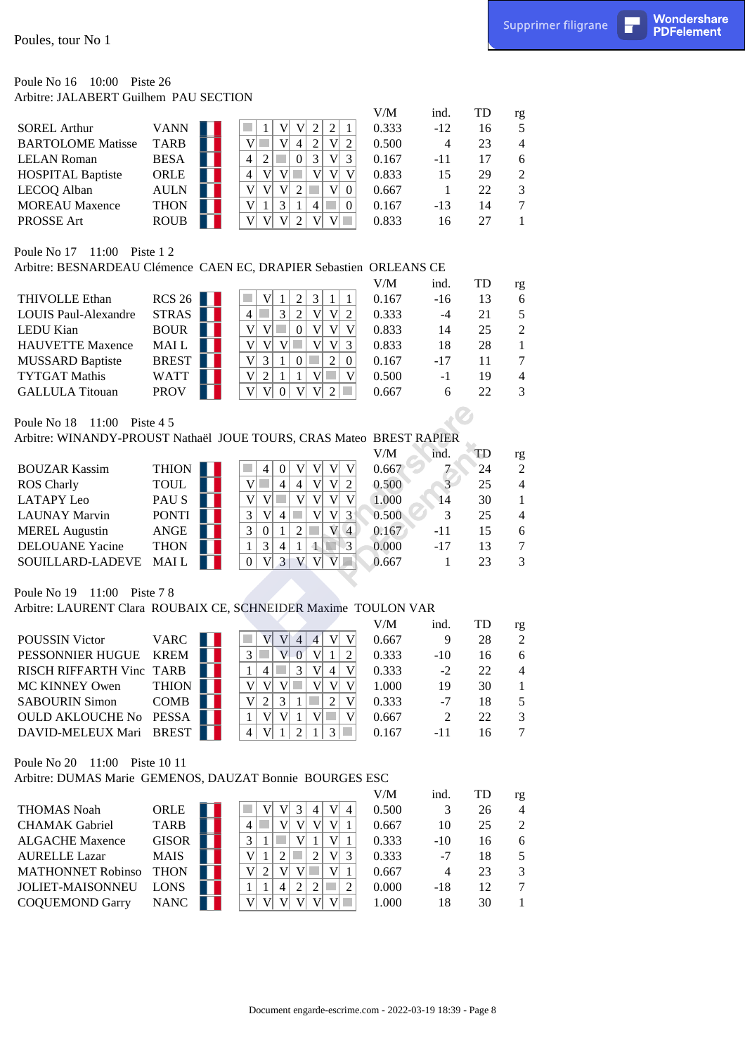#### Poule No 16 10:00 Piste 26 Arbitre: JALABERT Guilhem PAU SECTION

|                          |             |                     | V/M   | ind.  | TD | rg             |
|--------------------------|-------------|---------------------|-------|-------|----|----------------|
| <b>SOREL Arthur</b>      | <b>VANN</b> |                     | 0.333 | $-12$ | 16 | 5              |
| <b>BARTOLOME Matisse</b> | <b>TARB</b> | 4                   | 0.500 | 4     | 23 | $\overline{4}$ |
| <b>LELAN Roman</b>       | <b>BESA</b> | 4<br>3              | 0.167 | $-11$ | 17 | 6              |
| <b>HOSPITAL Baptiste</b> | ORLE        | $\overline{4}$<br>V | 0.833 | 15    | 29 | $\mathfrak{D}$ |
| LECOQ Alban              | <b>AULN</b> | $\mathbf{V}$        | 0.667 |       | 22 | $\mathcal{F}$  |
| <b>MOREAU Maxence</b>    | <b>THON</b> | V<br>3<br>4         | 0.167 | $-13$ | 14 | $\tau$         |
| <b>PROSSE</b> Art        | <b>ROUB</b> | V<br>V              | 0.833 | 16    | 27 |                |
|                          |             |                     |       |       |    |                |

## Poule No 17 11:00 Piste 1 2

|                             |              |                        | V/M   | ind.  | <b>TD</b> | rg             |
|-----------------------------|--------------|------------------------|-------|-------|-----------|----------------|
| <b>THIVOLLE Ethan</b>       | RCS26        |                        | 0.167 | $-16$ | 13        | 6              |
| <b>LOUIS Paul-Alexandre</b> | <b>STRAS</b> | 3<br>V<br>4            | 0.333 | $-4$  | 21        | 5              |
| <b>LEDU</b> Kian            | <b>BOUR</b>  | V<br>v                 | 0.833 | 14    | 25        | 2              |
| <b>HAUVETTE Maxence</b>     | <b>MAIL</b>  | $\mathbf{V}$<br>V<br>V | 0.833 | 18    | 28        |                |
| <b>MUSSARD Baptiste</b>     | <b>BREST</b> | $V_1$<br>2             | 0.167 | $-17$ | 11        | $\tau$         |
| <b>TYTGAT Mathis</b>        | <b>WATT</b>  | V<br>V                 | 0.500 | -1    | 19        | $\overline{4}$ |
| <b>GALLULA</b> Titouan      | <b>PROV</b>  | v                      | 0.667 | 6     | フフ        | $\mathcal{F}$  |
|                             |              |                        |       |       |           |                |

|  | Poule No 18 |  | 11:00 Piste $4.5$ |
|--|-------------|--|-------------------|
|--|-------------|--|-------------------|

## Arbitre: WINANDY-PROUST Nathaël JOUE TOURS, CRAS Mateo BREST RAPIER

| <b>THION</b><br><b>BOUZAR Kassim</b><br>0.667<br>24<br><b>TOUL</b><br><b>ROS</b> Charly<br>0.500<br>25<br>4<br>4<br>PAU S<br><b>LATAPY Leo</b><br>1.000<br>30<br>14<br><b>PONTI</b><br>0.500<br><b>LAUNAY Marvin</b><br>3<br>25<br>4 |                       |             |   |  |  | V/M   | ind.  | TD | rg             |
|--------------------------------------------------------------------------------------------------------------------------------------------------------------------------------------------------------------------------------------|-----------------------|-------------|---|--|--|-------|-------|----|----------------|
|                                                                                                                                                                                                                                      |                       |             |   |  |  |       |       |    | $\overline{2}$ |
|                                                                                                                                                                                                                                      |                       |             |   |  |  |       |       |    | $\overline{4}$ |
|                                                                                                                                                                                                                                      |                       |             |   |  |  |       |       |    |                |
|                                                                                                                                                                                                                                      |                       |             |   |  |  |       |       |    | $\overline{4}$ |
|                                                                                                                                                                                                                                      | <b>MEREL Augustin</b> | <b>ANGE</b> | 3 |  |  | 0.167 | $-11$ | 15 | 6              |
| <b>DELOUANE</b> Yacine<br><b>THON</b><br>0.000<br>$-17$<br>13<br>4                                                                                                                                                                   |                       |             |   |  |  |       |       |    | 7              |
| <b>MAIL</b><br>0.667<br>SOUILLARD-LADEVE<br>$\overline{\mathbf{c}}$                                                                                                                                                                  |                       |             |   |  |  |       |       |    | 3              |

## Poule No 19 11:00 Piste 7 8

#### Arbitre: LAURENT Clara ROUBAIX CE, SCHNEIDER Maxime TOULON VAR

|                          |              |  |   |   |  |   |  | V/M   | ind.          | TD | rg             |
|--------------------------|--------------|--|---|---|--|---|--|-------|---------------|----|----------------|
| <b>POUSSIN Victor</b>    | <b>VARC</b>  |  |   |   |  |   |  | 0.667 |               | 28 | 2              |
| PESSONNIER HUGUE         | <b>KREM</b>  |  |   |   |  |   |  | 0.333 | $-10$         | 16 | 6              |
| RISCH RIFFARTH Vinc TARB |              |  |   |   |  | 4 |  | 0.333 | $-2$          | 22 | $\overline{4}$ |
| <b>MC KINNEY Owen</b>    | <b>THION</b> |  |   |   |  |   |  | 1.000 | 19            | 30 |                |
| <b>SABOURIN Simon</b>    | <b>COMB</b>  |  |   | 3 |  |   |  | 0.333 | $-7$          | 18 | 5              |
| <b>OULD AKLOUCHE No</b>  | <b>PESSA</b> |  |   |   |  |   |  | 0.667 | $\mathcal{D}$ | 22 | 3              |
| DAVID-MELEUX Mari BREST  |              |  | 4 |   |  |   |  | 0.167 | -11           |    | 7              |
|                          |              |  |   |   |  |   |  |       |               |    |                |

## Poule No 20 11:00 Piste 10 11

## Arbitre: DUMAS Marie GEMENOS, DAUZAT Bonnie BOURGES ESC

| Poules, tour No 1                                                   |               |                                                                                                    |       |                 |    | Supprimer filigrane      | п | Wondershare<br><b>PDFelement</b> |
|---------------------------------------------------------------------|---------------|----------------------------------------------------------------------------------------------------|-------|-----------------|----|--------------------------|---|----------------------------------|
| Poule No 16 10:00 Piste 26                                          |               |                                                                                                    |       |                 |    |                          |   |                                  |
| Arbitre: JALABERT Guilhem PAU SECTION                               |               |                                                                                                    |       |                 |    |                          |   |                                  |
|                                                                     |               |                                                                                                    | V/M   | ind.            | TD | $\mathbf{r}\mathbf{g}$   |   |                                  |
| <b>SOREL Arthur</b>                                                 | <b>VANN</b>   | $\sqrt{2}$<br>$\boldsymbol{2}$<br>V<br><sup>V</sup><br>1<br>1                                      | 0.333 | $-12$           | 16 | 5                        |   |                                  |
| <b>BARTOLOME Matisse</b>                                            | <b>TARB</b>   | V<br>V<br>$\boldsymbol{2}$<br>V <sub>1</sub><br>a se<br>$\overline{4}$<br>$\overline{2}$           | 0.500 | 4               | 23 | 4                        |   |                                  |
| <b>LELAN Roman</b>                                                  | <b>BESA</b>   | $\sqrt{2}$<br>$\mathfrak{Z}$<br>$\mathbf{0}$<br>V <sub>1</sub><br>$\mathfrak{Z}$<br>$\overline{4}$ | 0.167 | -11             | 17 | 6                        |   |                                  |
| <b>HOSPITAL Baptiste</b>                                            | ORLE          | $V$ $\Box$<br>V<br>V<br>$\overline{4}$<br>V V                                                      | 0.833 | 15              | 29 | 2                        |   |                                  |
| LECOQ Alban                                                         | <b>AULN</b>   | V<br>V <sub>l</sub><br>V <sub>1</sub><br>V 0<br>$\overline{2}$                                     | 0.667 | -1              | 22 | 3                        |   |                                  |
| <b>MOREAU Maxence</b>                                               | <b>THON</b>   | V<br>$\mathfrak{Z}$<br>4<br>$\mathbf{1}$<br>$\overline{0}$<br>-1                                   | 0.167 | $-13$           | 14 | 7                        |   |                                  |
| PROSSE Art                                                          | <b>ROUB</b>   | $\overline{V}$<br>V<br>V<br>$\overline{2}$<br>V<br>V                                               | 0.833 | 16              | 27 | 1                        |   |                                  |
| Poule No 17 11:00 Piste 1 2                                         |               |                                                                                                    |       |                 |    |                          |   |                                  |
| Arbitre: BESNARDEAU Clémence CAEN EC, DRAPIER Sebastien ORLEANS CE  |               |                                                                                                    |       |                 |    |                          |   |                                  |
|                                                                     |               |                                                                                                    | V/M   | ind.            | TD | rg                       |   |                                  |
| THIVOLLE Ethan                                                      | <b>RCS 26</b> | $\mathfrak{Z}$<br>$\boldsymbol{2}$<br> 1 <br>V<br>$\mathbf{1}$<br>1                                | 0.167 | $-16$           | 13 | 6                        |   |                                  |
| <b>LOUIS Paul-Alexandre</b>                                         | <b>STRAS</b>  | $\mathfrak{Z}$<br>$\overline{2}$<br>V<br> V <br>a s<br>$\overline{2}$<br>$\overline{4}$            | 0.333 | $-4$            | 21 | 5                        |   |                                  |
| LEDU Kian                                                           | <b>BOUR</b>   | $V$ $\Box$<br>V <sub>1</sub><br>V<br>$\mathbf V$<br>$\mathbf{0}$<br>V                              | 0.833 | 14              | 25 | $\overline{2}$           |   |                                  |
| <b>HAUVETTE Maxence</b>                                             | MAI L         | V<br>$\mathbf{V}$<br>V<br>V <sub>l</sub><br> V <br>×<br>$\mathfrak{Z}$                             | 0.833 | 18              | 28 | $\mathbf{1}$             |   |                                  |
| <b>MUSSARD Baptiste</b>                                             | <b>BREST</b>  | $\mathbf V$<br>$\vert 3 \vert$<br>$\boldsymbol{0}$<br>2 <br>$\boldsymbol{0}$<br>1                  | 0.167 | $-17$           | 11 | 7                        |   |                                  |
| <b>TYTGAT Mathis</b>                                                | <b>WATT</b>   | V<br>V<br>$\overline{2}$<br>V<br>1<br>-1                                                           | 0.500 | $-1$            | 19 | 4                        |   |                                  |
| <b>GALLULA Titouan</b>                                              | <b>PROV</b>   | V<br>V<br> 0 <br>V<br>V<br>$\overline{2}$<br>a s                                                   | 0.667 | 6               | 22 | 3                        |   |                                  |
|                                                                     |               |                                                                                                    |       |                 |    |                          |   |                                  |
| Poule No 18 11:00 Piste 4 5                                         |               |                                                                                                    |       |                 |    |                          |   |                                  |
| Arbitre: WINANDY-PROUST Nathaël JOUE TOURS, CRAS Mateo BREST RAPIER |               |                                                                                                    |       |                 |    |                          |   |                                  |
|                                                                     |               |                                                                                                    | V/M   | ind.            | TD | rg                       |   |                                  |
| <b>BOUZAR Kassim</b>                                                | <b>THION</b>  | V V<br>V<br>$\overline{4}$<br>$\overline{0}$<br>V                                                  | 0.667 |                 | 24 | $\overline{c}$           |   |                                  |
| <b>ROS Charly</b>                                                   | <b>TOUL</b>   | V<br>$\overline{4}$<br>$\sqrt{2}$<br>V<br> V <br>a sa<br>$\overline{4}$                            | 0.500 |                 | 25 | 4                        |   |                                  |
| LATAPY Leo                                                          | PAU S         | V V<br>V<br>V<br>$V$ $\Box$<br>V                                                                   | 1.000 | $\overline{14}$ | 30 | 1                        |   |                                  |
| <b>LAUNAY Marvin</b>                                                | <b>PONTI</b>  | $\mathbf V$<br>$\mathfrak{Z}$<br>V 4<br>r.<br>V 3                                                  | 0.500 | 3               | 25 | 4                        |   |                                  |
| <b>MEREL Augustin</b>                                               | ANGE          | $\mathfrak{Z}$<br>$\sqrt{2}$<br> 0 <br>$\mathcal{L}_{\mathcal{A}}$<br>$V$ 4<br>-1                  | 0.167 | $-11$           | 15 | 6                        |   |                                  |
| <b>DELOUANE Yacine</b>                                              | <b>THON</b>   | $\overline{3}$<br>3 <br>$\overline{4}$<br>$\mathbf{1}$<br>-1<br>$\mathbf 1$                        | 0.000 | $-17$           | 13 | 7                        |   |                                  |
| SOUILLARD-LADEVE                                                    | <b>MAIL</b>   | V <sub>1</sub><br>$\mathbf{3}$<br>$V$ $V$ $V$ $\Box$<br>$\overline{0}$                             | 0.667 | 1               | 23 | 3                        |   |                                  |
| Poule No 19 11:00 Piste 7 8                                         |               |                                                                                                    |       |                 |    |                          |   |                                  |
| Arbitre: LAURENT Clara ROUBAIX CE, SCHNEIDER Maxime TOULON VAR      |               |                                                                                                    |       |                 |    |                          |   |                                  |
|                                                                     |               |                                                                                                    | V/M   | ind.            | TD | rg                       |   |                                  |
| POUSSIN Victor                                                      | <b>VARC</b>   | V V<br>V <sub>1</sub><br>V 4 <br>$\overline{4}$                                                    | 0.667 | 9               | 28 | $\overline{c}$           |   |                                  |
| PESSONNIER HUGUE                                                    | <b>KREM</b>   | 3<br>$V _0$<br>V<br>$\overline{c}$<br>1                                                            | 0.333 | $-10$           | 16 | 6                        |   |                                  |
| RISCH RIFFARTH Vinc TARB                                            |               | V<br>V<br>$\mathbf{1}$<br>$\vert 4 \vert$<br>3<br>$4\vert$                                         | 0.333 | $-2$            | 22 | 4                        |   |                                  |
| <b>MC KINNEY Owen</b>                                               | <b>THION</b>  | $V$ $\Box$<br>V<br>V <sub>1</sub><br> V <br>V V                                                    | 1.000 | 19              | 30 | 1                        |   |                                  |
| <b>SABOURIN Simon</b>                                               | <b>COMB</b>   | V<br>$\vert$ 2<br>$\vert$ 2<br>$\mathbf V$<br>3                                                    | 0.333 | $-7$            | 18 | 5                        |   |                                  |
| OULD AKLOUCHE No PESSA                                              |               | V V 1<br>V<br>V<br>$\mathbf{1}$                                                                    | 0.667 | 2               | 22 | 3                        |   |                                  |
| DAVID-MELEUX Mari BREST                                             |               | $\overline{4}$<br> V <br>$\overline{2}$<br>3 <br>a s<br>1<br>-1                                    | 0.167 | $-11$           | 16 | 7                        |   |                                  |
|                                                                     |               |                                                                                                    |       |                 |    |                          |   |                                  |
| Poule No 20 11:00 Piste 10 11                                       |               |                                                                                                    |       |                 |    |                          |   |                                  |
| Arbitre: DUMAS Marie GEMENOS, DAUZAT Bonnie BOURGES ESC             |               |                                                                                                    |       |                 |    |                          |   |                                  |
|                                                                     |               |                                                                                                    | V/M   | ind.            | TD | rg                       |   |                                  |
| <b>THOMAS Noah</b>                                                  | ORLE          | V <sub>1</sub><br>V<br>V<br>3<br>$\overline{4}$<br>4                                               | 0.500 | 3               | 26 | $\overline{\mathcal{L}}$ |   |                                  |
| <b>CHAMAK</b> Gabriel                                               | <b>TARB</b>   | V<br>$V _1$<br>V<br>V<br>4                                                                         | 0.667 | 10              | 25 | $\mathfrak{2}$           |   |                                  |
| <b>ALGACHE Maxence</b>                                              | <b>GISOR</b>  | V<br>$\mathfrak{Z}$<br>V <sub>l</sub><br>$\mathbf{1}$<br>1<br>1                                    | 0.333 | $-10$           | 16 | $\boldsymbol{6}$         |   |                                  |
| <b>AURELLE Lazar</b>                                                | <b>MAIS</b>   | V<br>$\overline{2}$<br> V <br>$\overline{2}$<br>$\mathfrak{Z}$<br>$\mathbf{1}$                     | 0.333 | $-7$            | 18 | 5                        |   |                                  |
| <b>MATHONNET Robinso</b>                                            | <b>THON</b>   | V <br> V <br>V<br>$\vert$ 2<br>$V _1$<br>a s                                                       | 0.667 | 4               | 23 | $\mathfrak{Z}$           |   |                                  |
| JOLIET-MAISONNEU                                                    | <b>LONS</b>   | 2<br>$\overline{2}$<br>$\mathbf{1}$<br>$\mathbf{1}$<br>$\overline{4}$<br>2                         | 0.000 | $-18$           | 12 | 7                        |   |                                  |
| <b>COQUEMOND Garry</b>                                              | <b>NANC</b>   | V<br>$\mathbf{V}$ $\Box$<br>V<br>V<br>V <br>V                                                      | 1.000 | 18              | 30 | 1                        |   |                                  |
|                                                                     |               |                                                                                                    |       |                 |    |                          |   |                                  |
|                                                                     |               |                                                                                                    |       |                 |    |                          |   |                                  |
|                                                                     |               |                                                                                                    |       |                 |    |                          |   |                                  |
|                                                                     |               |                                                                                                    |       |                 |    |                          |   |                                  |
|                                                                     |               |                                                                                                    |       |                 |    |                          |   |                                  |
|                                                                     |               | Document engarde-escrime.com - 2022-03-19 18:39 - Page 8                                           |       |                 |    |                          |   |                                  |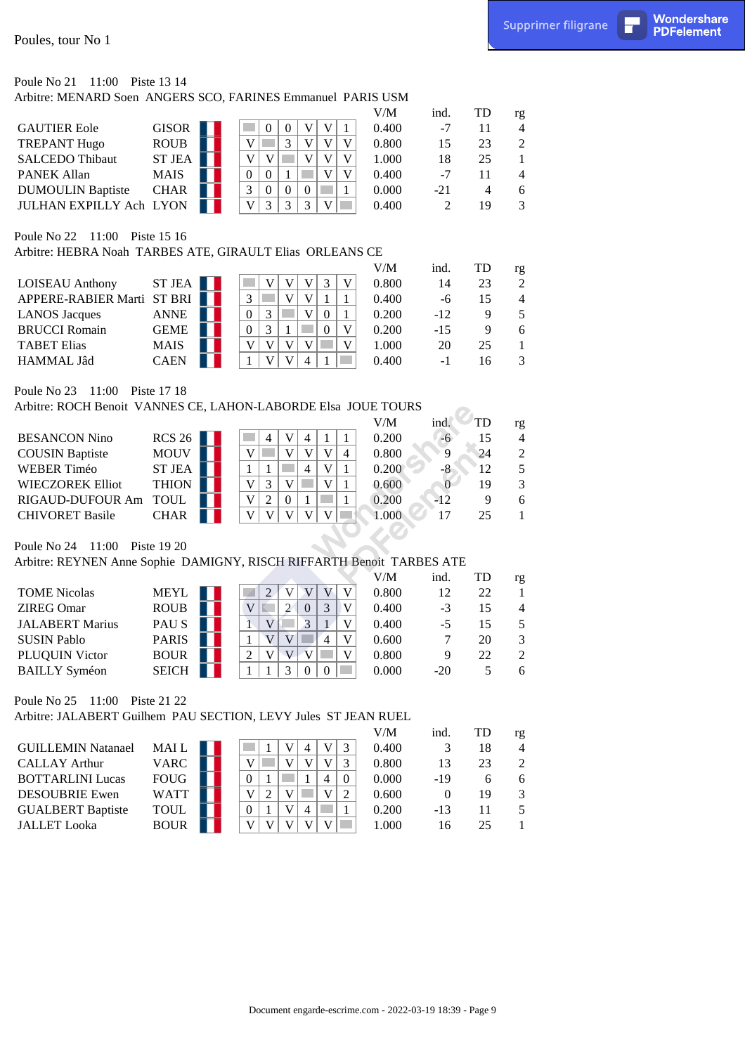# Poule No 21 11:00 Piste 13 14

|                                |               |  |   |   |  | V/M   | ind.  | <b>TD</b> | rg            |
|--------------------------------|---------------|--|---|---|--|-------|-------|-----------|---------------|
| <b>GAUTIER Eole</b>            | <b>GISOR</b>  |  |   |   |  | 0.400 | $-7$  |           | 4             |
| <b>TREPANT Hugo</b>            | <b>ROUB</b>   |  |   | ⌒ |  | 0.800 |       | 23        | $\mathcal{D}$ |
| <b>SALCEDO Thibaut</b>         | <b>ST JEA</b> |  |   |   |  | 1.000 |       | 25        |               |
| <b>PANEK Allan</b>             | <b>MAIS</b>   |  |   |   |  | 0.400 | -7    |           | 4             |
| <b>DUMOULIN Baptiste</b>       | <b>CHAR</b>   |  |   |   |  | 0.000 | $-21$ |           | 6             |
| <b>JULHAN EXPILLY Ach LYON</b> |               |  | ⌒ | ⌒ |  | 0.400 |       | 19        | 3             |

#### Poule No 22 11:00 Piste 15 16

|                            |                      |  |                         |  |  | V/M   | ind.   | TD | rg             |
|----------------------------|----------------------|--|-------------------------|--|--|-------|--------|----|----------------|
| LOISEAU Anthony            | $ST$ JEA $\parallel$ |  |                         |  |  | 0.800 | 14     | 23 | 2              |
| APPERE-RABIER Marti ST BRI |                      |  | $\mathbf{\overline{3}}$ |  |  | 0.400 | -6     |    | $\overline{4}$ |
| <b>LANOS</b> Jacques       | <b>ANNE</b>          |  | $\Omega$                |  |  | 0.200 | $-12$  |    | 5              |
| <b>BRUCCI</b> Romain       | <b>GEME</b>          |  | $\Omega$                |  |  | 0.200 | $-1.5$ |    | 6              |
| <b>TABET Elias</b>         | <b>MAIS</b>          |  |                         |  |  | 1.000 | 20     | 25 |                |
| <b>HAMMAL Jâd</b>          | <b>CAEN</b>          |  |                         |  |  | 0.400 | - 1    | 16 | $\mathcal{R}$  |

## Poule No 23 11:00 Piste 17 18

|                         |               |  |  |   |   | V/M   | ind.  | <b>TD</b> | rg             |
|-------------------------|---------------|--|--|---|---|-------|-------|-----------|----------------|
| <b>BESANCON Nino</b>    | <b>RCS 26</b> |  |  |   |   | 0.200 | $-6$  | 15        | $\overline{4}$ |
| <b>COUSIN Baptiste</b>  | <b>MOUV</b>   |  |  |   | 4 | 0.800 |       | 24        | 2              |
| WEBER Timéo             | <b>ST JEA</b> |  |  | 4 |   | 0.200 | -8    | 12        | .5             |
| <b>WIECZOREK Elliot</b> | <b>THION</b>  |  |  |   |   | 0.600 |       | 19        | 3              |
| RIGAUD-DUFOUR Am        | <b>TOUL</b>   |  |  |   |   | 0.200 | $-12$ |           | 6              |
| <b>CHIVORET Basile</b>  | <b>CHAR</b>   |  |  |   |   | 1.000 |       | 25        |                |
|                         |               |  |  |   |   |       |       |           |                |

#### Arbitre: REYNEN Anne Sophie DAMIGNY, RISCH RIFFARTH Benoit TARBES ATE

| Poules, tour No 1                               |               |                                                                                            |                |                         |                | Supprimer filigrane      | П | Wondershare<br><b>PDFelement</b> |
|-------------------------------------------------|---------------|--------------------------------------------------------------------------------------------|----------------|-------------------------|----------------|--------------------------|---|----------------------------------|
| Poule No 21 11:00 Piste 13 14                   |               | Arbitre: MENARD Soen ANGERS SCO, FARINES Emmanuel PARIS USM                                |                |                         |                |                          |   |                                  |
|                                                 |               |                                                                                            | V/M            | ind.                    | TD             | rg                       |   |                                  |
| <b>GAUTIER Eole</b>                             | GISOR         | $\boldsymbol{0}$<br>$\mathbf V$<br>V<br>$\boldsymbol{0}$<br>1                              | 0.400          | $-7$                    | 11             | 4                        |   |                                  |
| <b>TREPANT Hugo</b>                             | <b>ROUB</b>   | 3<br>V<br>V<br>V<br>V                                                                      | 0.800          | 15                      | 23             | $\overline{c}$           |   |                                  |
| <b>SALCEDO Thibaut</b>                          | ST JEA        | $\mathbf V$<br>V<br>$\mathbf V$<br>$\mathbf V$<br>V                                        | 1.000          | 18                      | 25             | $\mathbf{1}$             |   |                                  |
| <b>PANEK Allan</b>                              | <b>MAIS</b>   | $\mathbf V$<br>V<br>$\boldsymbol{0}$<br>$\boldsymbol{0}$<br>1                              | 0.400          | $-7$                    | 11             | 4                        |   |                                  |
| <b>DUMOULIN Baptiste</b>                        | <b>CHAR</b>   | 3<br>$\boldsymbol{0}$<br>$\boldsymbol{0}$<br>$\boldsymbol{0}$<br>$\mathbf{1}$              | 0.000          | $-21$                   | $\overline{4}$ | 6                        |   |                                  |
| JULHAN EXPILLY Ach LYON                         |               | V<br>3<br>3<br>3<br>V                                                                      | 0.400          | 2                       | 19             | 3                        |   |                                  |
| Poule No 22 11:00 Piste 15 16                   |               | Arbitre: HEBRA Noah TARBES ATE, GIRAULT Elias ORLEANS CE                                   |                |                         |                |                          |   |                                  |
|                                                 |               |                                                                                            | V/M            | ind.                    | TD             | rg                       |   |                                  |
| <b>LOISEAU</b> Anthony                          | ST JEA        | V<br>$\mathbf V$<br>3<br>$\mathbf V$<br>V                                                  | 0.800          | 14                      | 23             | $\mathfrak{2}$           |   |                                  |
| APPERE-RABIER Marti ST BRI                      |               | V<br>$\mathbf V$<br>3<br>-1<br>$\mathbf{1}$                                                | 0.400          | $-6$                    | 15             | $\overline{4}$           |   |                                  |
| <b>LANOS</b> Jacques                            | <b>ANNE</b>   | $\mathbf V$<br>$\overline{0}$<br>$\mathfrak{Z}$<br>$\overline{0}$<br>$\mathbf{1}$          | 0.200          | $-12$                   | 9              | 5                        |   |                                  |
| <b>BRUCCI</b> Romain                            | <b>GEME</b>   | $\mathfrak{Z}$<br>$\mathbf V$<br>$\mathbf{0}$<br>$\overline{0}$<br>1                       | 0.200          | $-15$                   | 9              | 6                        |   |                                  |
| <b>TABET Elias</b>                              | <b>MAIS</b>   | V<br>V<br>V<br>V<br>V<br>V<br>V                                                            | 1.000          | 20                      | 25             | $\mathbf{1}$<br>3        |   |                                  |
| HAMMAL Jâd                                      | <b>CAEN</b>   | $\mathbf{1}$<br>$\overline{4}$                                                             | 0.400          | $-1$                    | 16             |                          |   |                                  |
| Poule No 23 11:00                               | Piste 17 18   |                                                                                            |                |                         |                |                          |   |                                  |
|                                                 |               | Arbitre: ROCH Benoit VANNES CE, LAHON-LABORDE Elsa JOUE TOURS                              |                |                         |                |                          |   |                                  |
|                                                 |               |                                                                                            | V/M            | ind.                    | TD             | rg                       |   |                                  |
| <b>BESANCON Nino</b>                            | <b>RCS 26</b> | $\mathbf V$<br>$\overline{4}$<br>4<br>1<br>1                                               | 0.200          | $-6$                    | 15             | 4                        |   |                                  |
| <b>COUSIN Baptiste</b>                          | <b>MOUV</b>   | V<br>V<br>$\mathbf V$<br>V<br><b>College</b><br>$\overline{4}$                             | 0.800          | 9                       | 24             | $\overline{c}$           |   |                                  |
| <b>WEBER Timéo</b>                              | <b>ST JEA</b> | $\overline{4}$<br>$\mathbf V$<br>$\mathbf{1}$<br>1<br>$\mathbf{1}$<br>$\mathbf V$          | 0.200          | $-8$                    | 12             | 5                        |   |                                  |
| <b>WIECZOREK Elliot</b>                         | <b>THION</b>  | $\mathfrak{Z}$<br>V<br>V<br>$\mathbf{1}$<br>$\mathbf V$                                    | 0.600          | $\overline{0}$<br>$-12$ | 19             | 3                        |   |                                  |
| RIGAUD-DUFOUR Am TOUL<br><b>CHIVORET Basile</b> | <b>CHAR</b>   | $\boldsymbol{2}$<br>$\boldsymbol{0}$<br>1<br>1<br>V<br>V<br>V<br>V<br>V                    | 0.200<br>1.000 | 17                      | 9<br>25        | 6<br>$\mathbf{1}$        |   |                                  |
|                                                 |               |                                                                                            |                |                         |                |                          |   |                                  |
| Poule No 24 11:00 Piste 19 20                   |               |                                                                                            |                |                         |                |                          |   |                                  |
|                                                 |               | Arbitre: REYNEN Anne Sophie DAMIGNY, RISCH RIFFARTH Benoit TARBES ATE                      |                |                         |                |                          |   |                                  |
|                                                 |               |                                                                                            | V/M            | ind.                    | TD             | rg                       |   |                                  |
| <b>TOME Nicolas</b>                             | <b>MEYL</b>   | $\ensuremath{\mathbf{V}}$<br>$\overline{2}$<br>V<br>V<br>V                                 | 0.800          | 12                      | 22             | 1                        |   |                                  |
| <b>ZIREG Omar</b>                               | <b>ROUB</b>   | V<br>$\overline{2}$<br>$\mathfrak{Z}$<br>$\mathbf V$<br>$\mathbb{R}^+$<br>$\boldsymbol{0}$ | 0.400          | $-3$                    | 15             | $\overline{4}$           |   |                                  |
| <b>JALABERT Marius</b>                          | PAU S         | $\overline{1}$<br>V<br>$\overline{3}$<br>$\ensuremath{\mathsf{V}}$<br>$\mathbf{1}$         | 0.400          | $-5$                    | 15             | 5                        |   |                                  |
| <b>SUSIN Pablo</b>                              | <b>PARIS</b>  | V<br>V<br>$\mathbf V$<br>$\mathbf{1}$<br>$\overline{4}$                                    | 0.600          | 7                       | 20             | $\mathfrak 3$            |   |                                  |
| PLUQUIN Victor                                  | <b>BOUR</b>   | V<br>$\overline{2}$<br>V<br>$\mathbf V$<br>V                                               | 0.800          | 9                       | $22\,$         | $\overline{c}$           |   |                                  |
| <b>BAILLY Syméon</b>                            | <b>SEICH</b>  | $\mathfrak{Z}$<br>$\mathbf{1}$<br>$\mathbf{0}$<br>1<br>$\overline{0}$                      | 0.000          | $-20$                   | 5              | 6                        |   |                                  |
| Poule No 25 11:00 Piste 21 22                   |               |                                                                                            |                |                         |                |                          |   |                                  |
|                                                 |               | Arbitre: JALABERT Guilhem PAU SECTION, LEVY Jules ST JEAN RUEL                             |                |                         |                |                          |   |                                  |
|                                                 |               |                                                                                            | V/M            | ind.                    | TD             | rg                       |   |                                  |
| <b>GUILLEMIN Natanael</b>                       | MAI L         | $\mathfrak{Z}$<br>V<br>$\mathbf V$<br>$\overline{4}$                                       | 0.400          | $\mathfrak{Z}$          | 18             | $\overline{\mathcal{A}}$ |   |                                  |
| <b>CALLAY Arthur</b>                            | <b>VARC</b>   | $\mathbf V$<br>$\mathbf V$<br>$\mathbf V$<br>$\mathbf V$<br><b>College</b><br>3            | 0.800          | 13                      | 23             | $\boldsymbol{2}$         |   |                                  |
| <b>BOTTARLINI Lucas</b>                         | <b>FOUG</b>   | $\boldsymbol{0}$<br>$\overline{4}$<br>$\boldsymbol{0}$<br>-1<br>1                          | 0.000          | $-19$                   | 6              | $\sqrt{6}$               |   |                                  |
| <b>DESOUBRIE Ewen</b>                           | <b>WATT</b>   | V<br>V<br>$\overline{2}$<br>V<br>$\overline{c}$                                            | 0.600          | $\boldsymbol{0}$        | 19             | $\mathfrak{Z}$           |   |                                  |
| <b>GUALBERT Baptiste</b>                        | <b>TOUL</b>   | V<br>$\boldsymbol{0}$<br>$\overline{4}$<br>1<br>1                                          | 0.200          | $-13$                   | 11             | 5                        |   |                                  |
| <b>JALLET</b> Looka                             | <b>BOUR</b>   | V<br>V<br>$\mathbf V$<br>V<br>V                                                            | 1.000          | 16                      | 25             | $\mathbf{1}$             |   |                                  |
|                                                 |               |                                                                                            |                |                         |                |                          |   |                                  |
|                                                 |               |                                                                                            |                |                         |                |                          |   |                                  |
|                                                 |               |                                                                                            |                |                         |                |                          |   |                                  |
|                                                 |               | Document engarde-escrime.com - 2022-03-19 18:39 - Page 9                                   |                |                         |                |                          |   |                                  |

#### Poule No 25 11:00 Piste 21 22

|                           |             |  |  |   |              | V/M   | ind.  | <b>TD</b> | rg             |
|---------------------------|-------------|--|--|---|--------------|-------|-------|-----------|----------------|
| <b>GUILLEMIN Natanael</b> | MAI L       |  |  |   | $\mathbf{R}$ | 0.400 |       | 18        | $\overline{4}$ |
| <b>CALLAY Arthur</b>      | <b>VARC</b> |  |  |   | 3            | 0.800 |       | 23        | $2^{1}$        |
| <b>BOTTARLINI Lucas</b>   | <b>FOUG</b> |  |  |   | $\Omega$     | 0.000 | $-19$ |           | 6              |
| <b>DESOUBRIE Ewen</b>     | <b>WATT</b> |  |  |   | 2            | 0.600 |       | 19        | 3              |
| <b>GUALBERT Baptiste</b>  | <b>TOUL</b> |  |  | 4 |              | 0.200 | $-13$ | 11        | 5              |
| <b>JALLET Looka</b>       | <b>BOUR</b> |  |  |   |              | 1.000 | 16    | 25        |                |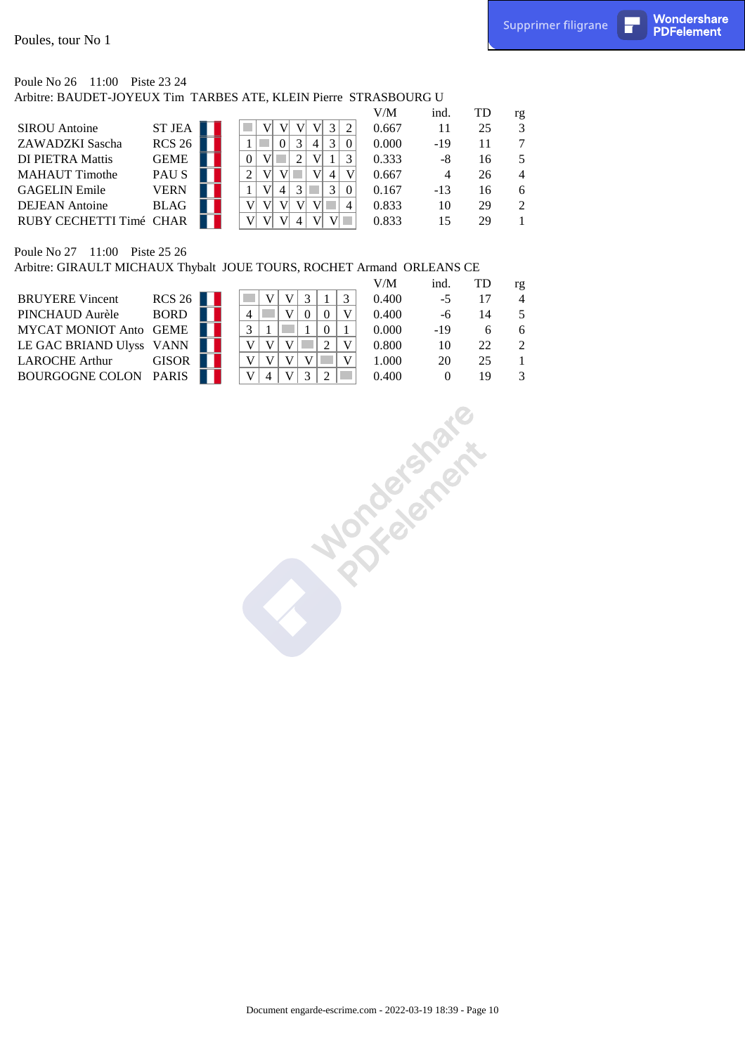#### Poule No 26 11:00 Piste 23 24 Arbitre: BAUDET-JOYEUX Tim TARBES ATE, KLEIN Pierre STRASBOURG U

|               |                         |        |   |        |   | V/M   | ind.  | TD | rg             |
|---------------|-------------------------|--------|---|--------|---|-------|-------|----|----------------|
|               |                         |        |   |        |   | 0.667 |       | 25 | 3              |
| <b>RCS 26</b> |                         |        |   |        | 4 | 0.000 | $-19$ | 11 | 7              |
| <b>GEME</b>   |                         |        |   |        |   | 0.333 | -8    | 16 | 5              |
| <b>PAUS</b>   |                         |        | 2 |        |   | 0.667 | 4     | 26 | $\overline{4}$ |
| <b>VERN</b>   |                         |        |   | 2<br>4 | 3 | 0.167 | $-13$ | 16 | 6              |
| <b>BLAG</b>   |                         |        |   |        |   | 0.833 | 10    | 29 | 2              |
|               |                         |        |   |        |   | 0.833 | 15    | 29 |                |
|               | RUBY CECHETTI Timé CHAR | ST JEA |   |        |   |       |       |    |                |

#### Poule No 27 11:00 Piste 25 26

Arbitre: GIRAULT MICHAUX Thybalt JOUE TOURS, ROCHET Armand ORLEANS CE

|                              |              |  |  |  |  | V/M   | ind.  |    | rg |
|------------------------------|--------------|--|--|--|--|-------|-------|----|----|
| <b>BRUYERE Vincent</b>       | RCS26        |  |  |  |  | 0.400 | -5    |    |    |
| PINCHAUD Aurèle              | <b>BORD</b>  |  |  |  |  | 0.400 | -6    | 14 |    |
| MYCAT MONIOT Anto GEME       |              |  |  |  |  | 0.000 | $-19$ | h  |    |
| LE GAC BRIAND Ulyss VANN     |              |  |  |  |  | 0.800 | 10    | 22 |    |
| <b>LAROCHE Arthur</b>        | <b>GISOR</b> |  |  |  |  | 1.000 | 20    | 25 |    |
| <b>BOURGOGNE COLON PARIS</b> |              |  |  |  |  | 0.400 |       | 19 |    |
|                              |              |  |  |  |  |       |       |    |    |

Supprime  $\pi$  (Fig. 1)  $\pi$  and  $\pi$  and  $\pi$  and  $\pi$  and  $\pi$  is  $\pi$  and  $\pi$  is  $\pi$  and  $\pi$  is  $\pi$  and  $\pi$  is  $\pi$  and  $\pi$  is  $\pi$  and  $\pi$  is  $\pi$  and  $\pi$  is  $\pi$  and  $\pi$  is  $\pi$  and  $\pi$  is  $\pi$  and  $\pi$  is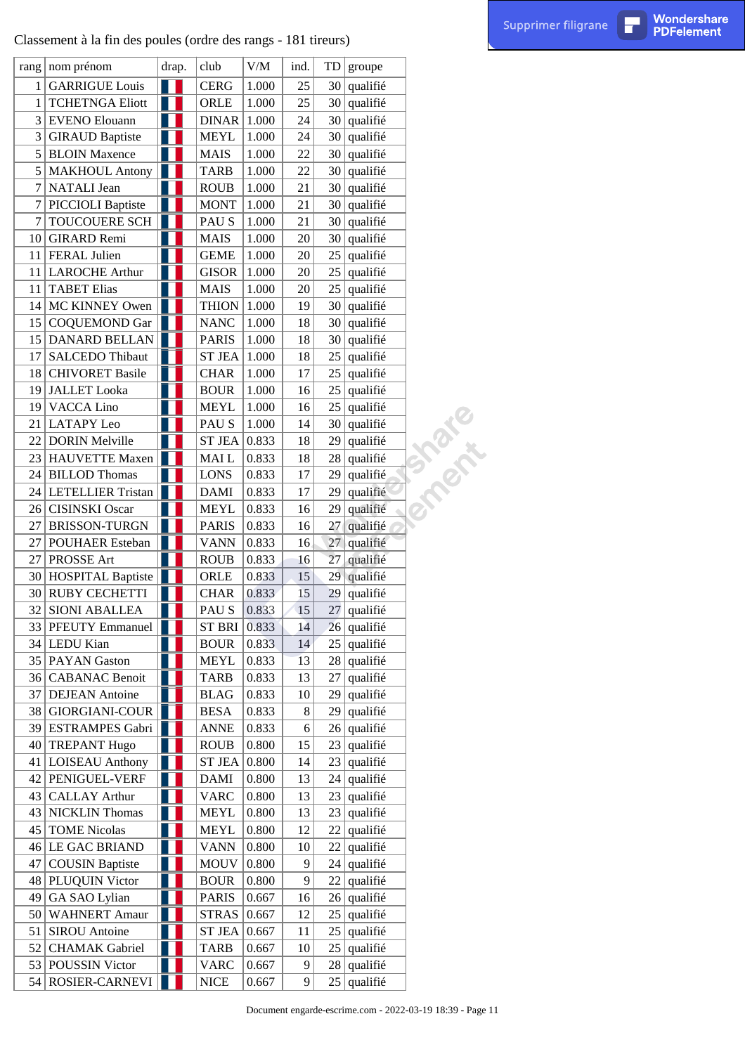|                 | Classement à la fin des poules (ordre des rangs - 181 tireurs) |                |                |           |      |    |               |                                                           | Supprimer filigrane | П | <b>Wondershare</b><br><b>PDFelement</b> |
|-----------------|----------------------------------------------------------------|----------------|----------------|-----------|------|----|---------------|-----------------------------------------------------------|---------------------|---|-----------------------------------------|
|                 | rang   nom prénom                                              | drap.          | club           | $V\!/\!M$ | ind. | TD | groupe        |                                                           |                     |   |                                         |
|                 | <b>GARRIGUE Louis</b>                                          | Ш              | <b>CERG</b>    | 1.000     | 25   | 30 | qualifié      |                                                           |                     |   |                                         |
| 1               | <b>TCHETNGA Eliott</b>                                         | H              | ORLE           | 1.000     | 25   | 30 | qualifié      |                                                           |                     |   |                                         |
| 3               | <b>EVENO Elouann</b>                                           |                | <b>DINAR</b>   | 1.000     | 24   | 30 | qualifié      |                                                           |                     |   |                                         |
| 3               | <b>GIRAUD Baptiste</b>                                         |                | <b>MEYL</b>    | 1.000     | 24   | 30 | qualifié      |                                                           |                     |   |                                         |
| 5               | <b>BLOIN Maxence</b>                                           |                | <b>MAIS</b>    | 1.000     | 22   | 30 | qualifié      |                                                           |                     |   |                                         |
| 5               | <b>MAKHOUL Antony</b>                                          | H              | <b>TARB</b>    | 1.000     | 22   | 30 | qualifié      |                                                           |                     |   |                                         |
| 7               | NATALI Jean                                                    |                | <b>ROUB</b>    | 1.000     | 21   | 30 | qualifié      |                                                           |                     |   |                                         |
|                 | PICCIOLI Baptiste                                              | Ш              | <b>MONT</b>    | 1.000     | 21   | 30 | qualifié      |                                                           |                     |   |                                         |
| 7               | TOUCOUERE SCH                                                  | H              | PAU S          | 1.000     | 21   | 30 | qualifié      |                                                           |                     |   |                                         |
| 10              | <b>GIRARD</b> Remi                                             |                | <b>MAIS</b>    | 1.000     | 20   | 30 | qualifié      |                                                           |                     |   |                                         |
| 11              | FERAL Julien                                                   |                | <b>GEME</b>    | 1.000     | 20   | 25 | qualifié      |                                                           |                     |   |                                         |
| 11              | <b>LAROCHE Arthur</b>                                          |                | <b>GISOR</b>   | 1.000     | 20   | 25 | qualifié      |                                                           |                     |   |                                         |
| 11              | <b>TABET Elias</b>                                             | ш              | <b>MAIS</b>    | 1.000     | 20   | 25 | qualifié      |                                                           |                     |   |                                         |
| 14              | MC KINNEY Owen                                                 | H              | <b>THION</b>   | 1.000     | 19   | 30 | qualifié      |                                                           |                     |   |                                         |
| 15              | <b>COQUEMOND Gar</b>                                           |                | <b>NANC</b>    | 1.000     | 18   | 30 | qualifié      |                                                           |                     |   |                                         |
| 15              | DANARD BELLAN                                                  |                | <b>PARIS</b>   | 1.000     | 18   | 30 | qualifié      |                                                           |                     |   |                                         |
| 17              | SALCEDO Thibaut                                                |                | <b>ST JEA</b>  | 1.000     | 18   | 25 | qualifié      |                                                           |                     |   |                                         |
| 18              | <b>CHIVORET Basile</b>                                         |                | <b>CHAR</b>    | 1.000     | 17   | 25 | qualifié      |                                                           |                     |   |                                         |
| 19              | <b>JALLET</b> Looka                                            |                | <b>BOUR</b>    | 1.000     | 16   | 25 | qualifié      |                                                           |                     |   |                                         |
| 19              | <b>VACCA</b> Lino                                              |                | <b>MEYL</b>    | 1.000     | 16   | 25 | qualifié      |                                                           |                     |   |                                         |
| 21              | <b>LATAPY Leo</b>                                              |                | PAU S          | 1.000     | 14   | 30 | qualifié      |                                                           |                     |   |                                         |
| 22              | <b>DORIN Melville</b>                                          |                | <b>ST JEA</b>  | 0.833     | 18   | 29 | qualifié      |                                                           |                     |   |                                         |
| 23              | <b>HAUVETTE Maxen</b>                                          |                | MAI L          | 0.833     | 18   | 28 | qualifié      |                                                           |                     |   |                                         |
| 24              | <b>BILLOD</b> Thomas                                           |                | <b>LONS</b>    | 0.833     | 17   | 29 | qualifié      | T. Park                                                   |                     |   |                                         |
| 24              | LETELLIER Tristan                                              | H              | <b>DAMI</b>    | 0.833     | 17   | 29 | qualifié      |                                                           |                     |   |                                         |
| 26              | <b>CISINSKI</b> Oscar                                          |                | <b>MEYL</b>    | 0.833     | 16   | 29 | qualifié      |                                                           |                     |   |                                         |
| 27              | <b>BRISSON-TURGN</b>                                           |                | <b>PARIS</b>   | 0.833     | 16   | 27 | qualifié      |                                                           |                     |   |                                         |
| 27              | POUHAER Esteban                                                |                | <b>VANN</b>    | 0.833     | 16   | 27 | qualifié      |                                                           |                     |   |                                         |
| 27              | PROSSE Art                                                     |                | <b>ROUB</b>    | 0.833     | 16   |    | 27 qualifié   |                                                           |                     |   |                                         |
|                 | 30 HOSPITAL Baptiste                                           |                | ORLE           | 0.833     | 15   |    | 29 qualifié   |                                                           |                     |   |                                         |
| 30 <sup>1</sup> | <b>RUBY CECHETTI</b>                                           |                | <b>CHAR</b>    | 0.833     | 15   | 29 | qualifié      |                                                           |                     |   |                                         |
| 32              | <b>SIONI ABALLEA</b>                                           |                | PAU S          | 0.833     | 15   | 27 | qualifié      |                                                           |                     |   |                                         |
|                 | 33 PFEUTY Emmanuel                                             | n a            | <b>ST BRI</b>  | 0.833     | 14   | 26 | qualifié      |                                                           |                     |   |                                         |
|                 | 34 LEDU Kian                                                   |                | <b>BOUR</b>    | 0.833     | 14   | 25 | qualifié      |                                                           |                     |   |                                         |
|                 | 35 PAYAN Gaston                                                |                | <b>MEYL</b>    | 0.833     | 13   | 28 | qualifié      |                                                           |                     |   |                                         |
|                 | 36 CABANAC Benoit                                              |                | <b>TARB</b>    | 0.833     | 13   | 27 | qualifié      |                                                           |                     |   |                                         |
| 37              | <b>DEJEAN</b> Antoine                                          | H              | <b>BLAG</b>    | 0.833     | 10   | 29 | qualifié      |                                                           |                     |   |                                         |
| 38              | GIORGIANI-COUR                                                 |                | <b>BESA</b>    | 0.833     | 8    | 29 | qualifié      |                                                           |                     |   |                                         |
| 39              | ESTRAMPES Gabri                                                |                | <b>ANNE</b>    | 0.833     | 6    | 26 | qualifié      |                                                           |                     |   |                                         |
| 40              | <b>TREPANT Hugo</b>                                            | Ш              | <b>ROUB</b>    | 0.800     | 15   | 23 | qualifié      |                                                           |                     |   |                                         |
| 41              | <b>LOISEAU</b> Anthony                                         | uι             | <b>ST JEA</b>  | 0.800     | 14   | 23 | qualifié      |                                                           |                     |   |                                         |
| 42              | PENIGUEL-VERF                                                  |                | <b>DAMI</b>    | 0.800     | 13   | 24 | qualifié      |                                                           |                     |   |                                         |
| 43              | <b>CALLAY Arthur</b>                                           |                | <b>VARC</b>    | 0.800     | 13   | 23 | qualifié      |                                                           |                     |   |                                         |
| 43              | <b>NICKLIN</b> Thomas                                          |                | MEYL           | 0.800     | 13   | 23 | qualifié      |                                                           |                     |   |                                         |
| 45              | <b>TOME Nicolas</b>                                            | H              | <b>MEYL</b>    | 0.800     | 12   | 22 | qualifié      |                                                           |                     |   |                                         |
| 46              | LE GAC BRIAND                                                  | Ш              | <b>VANN</b>    | 0.800     | 10   | 22 | qualifié      |                                                           |                     |   |                                         |
| 47              | <b>COUSIN Baptiste</b>                                         |                | <b>MOUV</b>    | 0.800     | 9    | 24 | qualifié      |                                                           |                     |   |                                         |
|                 | 48 PLUQUIN Victor                                              |                | <b>BOUR</b>    | 0.800     | 9    | 22 | qualifié      |                                                           |                     |   |                                         |
| 49              | GA SAO Lylian                                                  | H              | <b>PARIS</b>   | 0.667     | 16   | 26 | qualifié      |                                                           |                     |   |                                         |
| 50 <sup>2</sup> | <b>WAHNERT Amaur</b>                                           | Ш              | STRAS $ 0.667$ |           | 12   | 25 | qualifié      |                                                           |                     |   |                                         |
| 51              | <b>SIROU</b> Antoine                                           |                | <b>ST JEA</b>  | 0.667     | 11   | 25 | qualifié      |                                                           |                     |   |                                         |
|                 | 52 CHAMAK Gabriel                                              |                | <b>TARB</b>    | 0.667     | 10   | 25 | qualifié      |                                                           |                     |   |                                         |
| 53              | POUSSIN Victor                                                 | H              | <b>VARC</b>    | 0.667     | 9    | 28 | qualifié      |                                                           |                     |   |                                         |
| 54              | ROSIER-CARNEVI                                                 | $\blacksquare$ | <b>NICE</b>    | 0.667     | 9    |    | $25$ qualifié |                                                           |                     |   |                                         |
|                 |                                                                |                |                |           |      |    |               | Document engarde-escrime.com - 2022-03-19 18:39 - Page 11 |                     |   |                                         |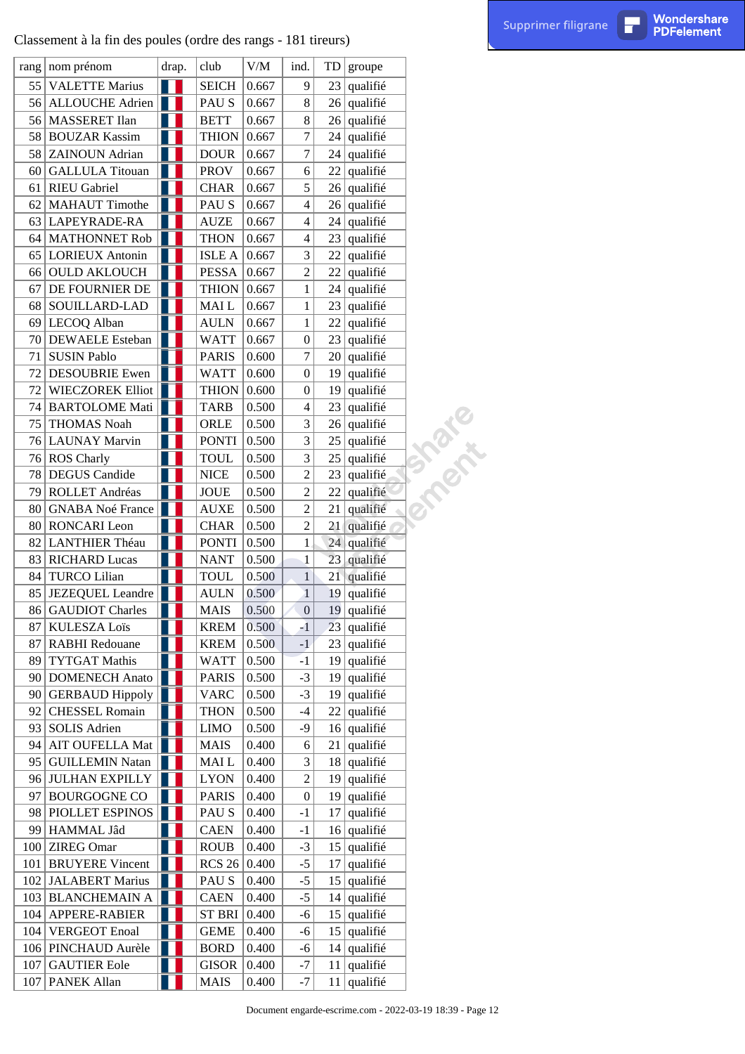|     | Classement à la fin des poules (ordre des rangs - 181 tireurs) |       |               |                     |                         |    |               |                                                           | Supprimer filigrane | П | Wondershare<br><b>PDFelement</b> |
|-----|----------------------------------------------------------------|-------|---------------|---------------------|-------------------------|----|---------------|-----------------------------------------------------------|---------------------|---|----------------------------------|
|     | rang   nom prénom                                              | drap. | club          | $V\!/\!M$           | ind.                    | TD | groupe        |                                                           |                     |   |                                  |
| 55  | <b>VALETTE Marius</b>                                          | H     | <b>SEICH</b>  | 0.667               | 9                       | 23 | qualifié      |                                                           |                     |   |                                  |
|     | 56 ALLOUCHE Adrien                                             |       | PAU S         | 0.667               | 8                       |    | $26$ qualifié |                                                           |                     |   |                                  |
|     | 56   MASSERET Ilan                                             |       | <b>BETT</b>   | 0.667               | 8                       | 26 | qualifié      |                                                           |                     |   |                                  |
|     | 58 BOUZAR Kassim                                               |       | <b>THION</b>  | 0.667               | 7                       | 24 | qualifié      |                                                           |                     |   |                                  |
|     | 58 ZAINOUN Adrian                                              |       | <b>DOUR</b>   | 0.667               | $\boldsymbol{7}$        | 24 | qualifié      |                                                           |                     |   |                                  |
|     | 60 GALLULA Titouan                                             | H.    | <b>PROV</b>   | 0.667               | 6                       | 22 | qualifié      |                                                           |                     |   |                                  |
| 61  | <b>RIEU</b> Gabriel                                            |       | <b>CHAR</b>   | 0.667               | 5                       | 26 | qualifié      |                                                           |                     |   |                                  |
| 62  | <b>MAHAUT</b> Timothe                                          |       | PAU S         | 0.667               | 4                       | 26 | qualifié      |                                                           |                     |   |                                  |
|     | 63 LAPEYRADE-RA                                                | H     | <b>AUZE</b>   | 0.667               | $\overline{\mathbf{4}}$ | 24 | qualifié      |                                                           |                     |   |                                  |
|     | 64   MATHONNET Rob                                             | H     | <b>THON</b>   | 0.667               | 4                       | 23 | qualifié      |                                                           |                     |   |                                  |
| 65  | <b>LORIEUX</b> Antonin                                         |       | <b>ISLE A</b> | 0.667               | 3                       | 22 | qualifié      |                                                           |                     |   |                                  |
| 66  | <b>OULD AKLOUCH</b>                                            |       | PESSA         | 0.667               | $\overline{c}$          | 22 | qualifié      |                                                           |                     |   |                                  |
| 67  | DE FOURNIER DE                                                 | H.    | <b>THION</b>  | 0.667               | 1                       | 24 | qualifié      |                                                           |                     |   |                                  |
|     | 68 SOUILLARD-LAD                                               |       | MAI L         | 0.667               | $\mathbf{1}$            | 23 | qualifié      |                                                           |                     |   |                                  |
| 69  | LECOQ Alban                                                    |       | <b>AULN</b>   | 0.667               | 1                       | 22 | qualifié      |                                                           |                     |   |                                  |
|     | 70 DEWAELE Esteban                                             |       | <b>WATT</b>   | 0.667               | $\boldsymbol{0}$        | 23 | qualifié      |                                                           |                     |   |                                  |
| 71  | <b>SUSIN Pablo</b>                                             |       | <b>PARIS</b>  | 0.600               | $\tau$                  | 20 | qualifié      |                                                           |                     |   |                                  |
| 72  | <b>DESOUBRIE Ewen</b>                                          |       | <b>WATT</b>   | 0.600               | $\boldsymbol{0}$        | 19 | qualifié      |                                                           |                     |   |                                  |
| 72  | <b>WIECZOREK Elliot</b>                                        |       | <b>THION</b>  | 0.600               | $\boldsymbol{0}$        | 19 | qualifié      |                                                           |                     |   |                                  |
| 74  | <b>BARTOLOME Mati</b>                                          |       | <b>TARB</b>   | 0.500               | 4                       | 23 | qualifié      |                                                           |                     |   |                                  |
| 75  | <b>THOMAS Noah</b>                                             |       | ORLE          | 0.500               | 3                       | 26 | qualifié      |                                                           |                     |   |                                  |
|     | 76 LAUNAY Marvin                                               |       | <b>PONTI</b>  | 0.500               | 3                       | 25 | qualifié      |                                                           |                     |   |                                  |
|     | 76 ROS Charly                                                  |       | <b>TOUL</b>   | 0.500               | 3                       | 25 | qualifié      |                                                           |                     |   |                                  |
|     | 78 DEGUS Candide                                               |       | <b>NICE</b>   | 0.500               | 2                       | 23 | qualifié      | T PROT                                                    |                     |   |                                  |
| 79  | ROLLET Andréas                                                 | H     | <b>JOUE</b>   | 0.500               | $\overline{c}$          | 22 | qualifié      |                                                           |                     |   |                                  |
| 80  | <b>GNABA Noé France</b>                                        | H     | <b>AUXE</b>   | 0.500               | $\boldsymbol{2}$        | 21 | qualifié      |                                                           |                     |   |                                  |
| 80  | <b>RONCARI</b> Leon                                            |       | <b>CHAR</b>   | 0.500               | $\overline{c}$          | 21 | qualifié      |                                                           |                     |   |                                  |
| 82  | LANTHIER Théau                                                 |       | <b>PONTI</b>  | 0.500               | 1                       | 24 | qualifié      |                                                           |                     |   |                                  |
| 83  | <b>RICHARD Lucas</b>                                           | a a s | <b>NANT</b>   | 0.500               | $\mathbf{1}$            |    | 23 qualifié   |                                                           |                     |   |                                  |
|     | 84 TURCO Lilian                                                | H     | TOUL          | 0.500               | $\left  \right $        |    | $21$ qualifié |                                                           |                     |   |                                  |
| 85  | <b>JEZEQUEL</b> Leandre                                        | H     | <b>AULN</b>   | 0.500               | $\mathbf{1}$            | 19 | qualifié      |                                                           |                     |   |                                  |
|     | 86 GAUDIOT Charles                                             |       | <b>MAIS</b>   | 0.500               | $\boldsymbol{0}$        | 19 | qualifié      |                                                           |                     |   |                                  |
| 87  | <b>KULESZA Loïs</b>                                            |       | <b>KREM</b>   | 0.500               | $-1$                    | 23 | qualifié      |                                                           |                     |   |                                  |
| 87  | <b>RABHI</b> Redouane                                          |       | <b>KREM</b>   | 0.500               | $-1$                    |    | $23$ qualifié |                                                           |                     |   |                                  |
|     | 89 TYTGAT Mathis                                               |       | <b>WATT</b>   | 0.500               | $-1$                    | 19 | qualifié      |                                                           |                     |   |                                  |
|     | 90 DOMENECH Anato                                              | II    | <b>PARIS</b>  | 0.500               | $-3$                    | 19 | qualifié      |                                                           |                     |   |                                  |
|     | 90 GERBAUD Hippoly $\ \cdot\ $                                 |       | <b>VARC</b>   | 0.500               | $-3$                    | 19 | qualifié      |                                                           |                     |   |                                  |
| 92  | <b>CHESSEL Romain</b>                                          |       | <b>THON</b>   | 0.500               | $-4$                    |    | $22$ qualifié |                                                           |                     |   |                                  |
|     | 93 SOLIS Adrien                                                |       | <b>LIMO</b>   | 0.500               | $-9$                    | 16 | qualifié      |                                                           |                     |   |                                  |
| 94  | AIT OUFELLA Mat                                                |       | <b>MAIS</b>   | 0.400               | 6                       | 21 | qualifié      |                                                           |                     |   |                                  |
|     | 95   GUILLEMIN Natan                                           |       | MAI L         | 0.400               | 3                       | 18 | qualifié      |                                                           |                     |   |                                  |
|     | 96 JULHAN EXPILLY                                              |       | <b>LYON</b>   | 0.400               | $\boldsymbol{2}$        | 19 | qualifié      |                                                           |                     |   |                                  |
|     | 97 BOURGOGNE CO                                                |       | <b>PARIS</b>  | 0.400               | $\boldsymbol{0}$        | 19 | qualifié      |                                                           |                     |   |                                  |
|     | 98 PIOLLET ESPINOS                                             |       | PAU S         | 0.400               | $-1$                    | 17 | qualifié      |                                                           |                     |   |                                  |
|     | 99 HAMMAL Jâd                                                  |       | <b>CAEN</b>   | 0.400               | $-1$                    |    | $16$ qualifié |                                                           |                     |   |                                  |
|     | 100 ZIREG Omar                                                 |       | <b>ROUB</b>   | 0.400               | $-3$                    |    | $15$ qualifie |                                                           |                     |   |                                  |
| 101 | <b>BRUYERE Vincent</b>                                         |       | <b>RCS 26</b> | $\vert 0.400 \vert$ | $-5$                    | 17 | qualifié      |                                                           |                     |   |                                  |
|     | 102 JALABERT Marius                                            |       | PAU S         | 0.400               | $-5$                    | 15 | qualifié      |                                                           |                     |   |                                  |
|     | 103 BLANCHEMAIN A                                              | H     | <b>CAEN</b>   | 0.400               | $-5$                    | 14 | qualifié      |                                                           |                     |   |                                  |
|     | 104   APPERE-RABIER                                            |       | ST BRI 0.400  |                     | $-6$                    |    | $15$ qualifie |                                                           |                     |   |                                  |
|     | 104 VERGEOT Enoal                                              |       | <b>GEME</b>   | 0.400               | $-6$                    | 15 | qualifié      |                                                           |                     |   |                                  |
|     | 106   PINCHAUD Aurèle                                          | Ш     | <b>BORD</b>   | 0.400               | $-6$                    | 14 | qualifié      |                                                           |                     |   |                                  |
|     | 107 GAUTIER Eole                                               |       | <b>GISOR</b>  | 0.400               | $-7$                    | 11 | qualifié      |                                                           |                     |   |                                  |
| 107 | <b>PANEK Allan</b>                                             |       | <b>MAIS</b>   | 0.400               | $-7$                    |    | $11$ qualifié |                                                           |                     |   |                                  |
|     |                                                                |       |               |                     |                         |    |               | Document engarde-escrime.com - 2022-03-19 18:39 - Page 12 |                     |   |                                  |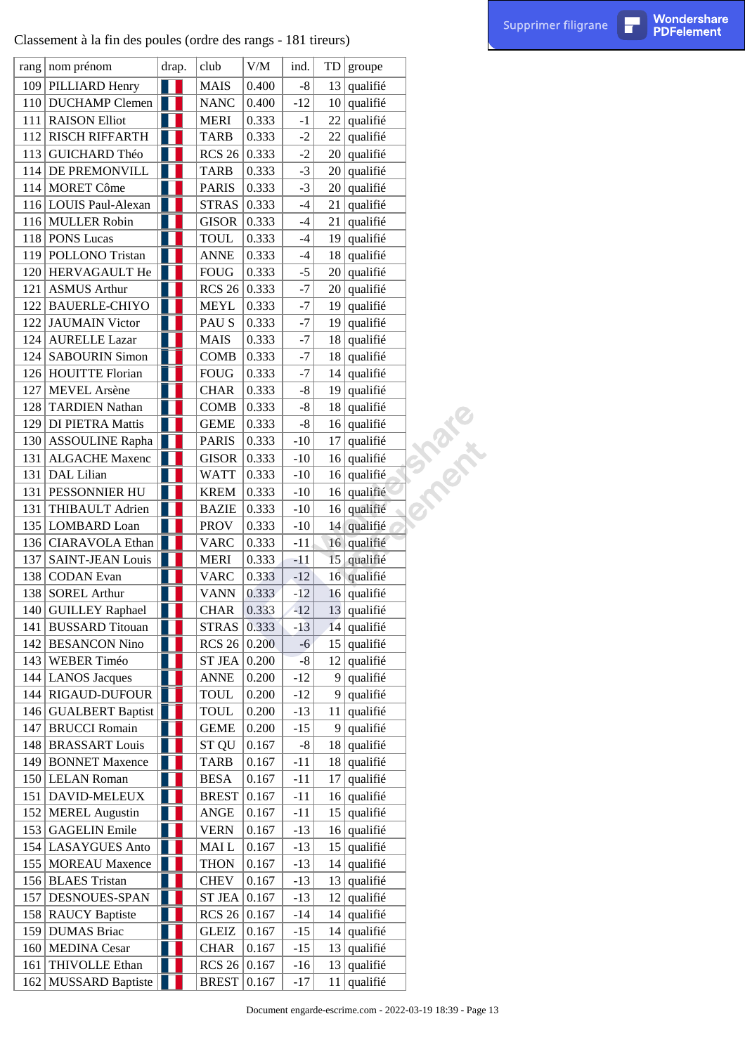|     | Classement à la fin des poules (ordre des rangs - 181 tireurs) |       |                    |                 |             |    |               |                                                           | Supprimer filigrane | П | Wondershare<br><b>PDFelement</b> |
|-----|----------------------------------------------------------------|-------|--------------------|-----------------|-------------|----|---------------|-----------------------------------------------------------|---------------------|---|----------------------------------|
|     | rang   nom prénom                                              | drap. | club               | V/M             | ind.        | TD | groupe        |                                                           |                     |   |                                  |
|     | 109 PILLIARD Henry                                             | H     | <b>MAIS</b>        | 0.400           | $\text{-}8$ | 13 | qualifié      |                                                           |                     |   |                                  |
|     | 110 DUCHAMP Clemen                                             | H     | <b>NANC</b>        | 0.400           | $-12$       |    | $10$ qualifié |                                                           |                     |   |                                  |
|     | 111 RAISON Elliot                                              |       | <b>MERI</b>        | 0.333           | $-1$        | 22 | qualifié      |                                                           |                     |   |                                  |
|     | 112 RISCH RIFFARTH                                             |       | <b>TARB</b>        | 0.333           | $-2$        | 22 | qualifié      |                                                           |                     |   |                                  |
|     | 113 GUICHARD Théo                                              | H     | <b>RCS 26</b>      | 0.333           | $-2$        | 20 | qualifié      |                                                           |                     |   |                                  |
|     | 114 DE PREMONVILL                                              | H     | <b>TARB</b>        | 0.333           | $-3$        | 20 | qualifié      |                                                           |                     |   |                                  |
|     | 114 MORET Côme                                                 |       | <b>PARIS</b>       | 0.333           | $-3$        | 20 | qualifié      |                                                           |                     |   |                                  |
|     | 116 LOUIS Paul-Alexan                                          |       | <b>STRAS</b>       | 0.333           | $-4$        | 21 | qualifié      |                                                           |                     |   |                                  |
|     | 116 MULLER Robin                                               |       | <b>GISOR</b>       | 0.333           | $-4$        | 21 | qualifié      |                                                           |                     |   |                                  |
|     | 118 PONS Lucas                                                 |       | TOUL               | 0.333           | $-4$        | 19 | qualifié      |                                                           |                     |   |                                  |
|     | 119 POLLONO Tristan                                            |       | <b>ANNE</b>        | 0.333           | $-4$        | 18 | qualifié      |                                                           |                     |   |                                  |
|     | 120 HERVAGAULT He                                              |       | <b>FOUG</b>        | 0.333           | $-5$        | 20 | qualifié      |                                                           |                     |   |                                  |
|     | 121 ASMUS Arthur                                               | H     | <b>RCS 26</b>      | 0.333           | $-7$        | 20 | qualifié      |                                                           |                     |   |                                  |
|     | 122 BAUERLE-CHIYO                                              | Ш     | MEYL               | 0.333           | $-7$        | 19 | qualifié      |                                                           |                     |   |                                  |
|     | 122 JAUMAIN Victor                                             |       | PAU S              | 0.333           | $-7$        | 19 | qualifié      |                                                           |                     |   |                                  |
|     | 124 AURELLE Lazar                                              |       | <b>MAIS</b>        | 0.333           | $-7$        | 18 | qualifié      |                                                           |                     |   |                                  |
|     | 124   SABOURIN Simon                                           | H     | <b>COMB</b>        | 0.333           | $-7$        | 18 | qualifié      |                                                           |                     |   |                                  |
|     | 126 HOUITTE Florian                                            |       | <b>FOUG</b>        | 0.333           | $-7$        |    | $14$ qualifie |                                                           |                     |   |                                  |
| 127 | <b>MEVEL</b> Arsène                                            |       | <b>CHAR</b>        | 0.333           | $-8$        | 19 | qualifié      |                                                           |                     |   |                                  |
|     | 128 TARDIEN Nathan                                             |       | <b>COMB</b>        | 0.333           | $-8$        | 18 | qualifié      |                                                           |                     |   |                                  |
|     | 129 DI PIETRA Mattis                                           | H     | <b>GEME</b>        | 0.333           | $-8$        | 16 | qualifié      |                                                           |                     |   |                                  |
|     | 130 ASSOULINE Rapha                                            | 1 I I | <b>PARIS</b>       | 0.333           | $-10$       | 17 | qualifié      |                                                           |                     |   |                                  |
|     | 131 ALGACHE Maxenc                                             |       | GISOR              | 0.333           | $-10$       | 16 | qualifié      |                                                           |                     |   |                                  |
| 131 | DAL Lilian                                                     |       | <b>WATT</b>        | 0.333           | $-10$       | 16 | qualifié      | T 20216                                                   |                     |   |                                  |
|     | 131   PESSONNIER HU                                            | H.    | <b>KREM</b>        | 0.333           | $-10$       | 16 | qualifié      |                                                           |                     |   |                                  |
| 131 | THIBAULT Adrien                                                |       | <b>BAZIE</b>       | 0.333           | $-10$       |    | $16$ qualifié |                                                           |                     |   |                                  |
|     | 135 LOMBARD Loan                                               |       | <b>PROV</b>        | 0.333           | $-10$       | 14 | qualifié      |                                                           |                     |   |                                  |
|     | 136   CIARAVOLA Ethan                                          |       | <b>VARC</b>        | 0.333           | $-11$       |    | 16 qualifié   |                                                           |                     |   |                                  |
|     | 137   SAINT-JEAN Louis                                         |       | <b>MERI</b>        | 0.333           | $-11$       |    | 15 qualifié   |                                                           |                     |   |                                  |
|     | 138 CODAN Evan                                                 | H.    | <b>VARC</b>        | $ 0.333\rangle$ | $-12$       |    | 16 qualifié   |                                                           |                     |   |                                  |
|     | 138 SOREL Arthur                                               |       | VANN               | 0.333           | $-12$       | 16 | qualifié      |                                                           |                     |   |                                  |
|     | 140 GUILLEY Raphael                                            |       | <b>CHAR</b>        | 0.333           | $-12$       | 13 | qualifié      |                                                           |                     |   |                                  |
|     | 141 BUSSARD Titouan                                            | a a s | <b>STRAS</b>       | 0.333           | $-13$       | 14 | qualifié      |                                                           |                     |   |                                  |
|     | 142 BESANCON Nino                                              |       | RCS $26 0.200$     |                 | $-6$        |    | $15$ qualifié |                                                           |                     |   |                                  |
|     | 143 WEBER Timéo                                                |       | <b>ST JEA</b>      | 0.200           | $-8$        | 12 | qualifié      |                                                           |                     |   |                                  |
|     | 144 LANOS Jacques                                              |       | <b>ANNE</b>        | 0.200           | $-12$       | 9  | qualifié      |                                                           |                     |   |                                  |
|     | 144 RIGAUD-DUFOUR                                              | Ш     | <b>TOUL</b>        | 0.200           | $-12$       | 9  | qualifié      |                                                           |                     |   |                                  |
|     | 146   GUALBERT Baptist                                         |       | <b>TOUL</b>        | 0.200           | $-13$       | 11 | qualifié      |                                                           |                     |   |                                  |
|     | 147 BRUCCI Romain                                              |       | <b>GEME</b>        | 0.200           | $-15$       | 9  | qualifié      |                                                           |                     |   |                                  |
|     | 148 BRASSART Louis                                             |       | ST QU              | 0.167           | $\text{-}8$ | 18 | qualifié      |                                                           |                     |   |                                  |
|     | 149 BONNET Maxence                                             | H     | <b>TARB</b>        | 0.167           | $-11$       | 18 | qualifié      |                                                           |                     |   |                                  |
|     | 150 LELAN Roman                                                |       | <b>BESA</b>        | 0.167           | $-11$       | 17 | qualifié      |                                                           |                     |   |                                  |
|     | 151   DAVID-MELEUX                                             |       | <b>BREST</b>       | 0.167           | $-11$       | 16 | qualifié      |                                                           |                     |   |                                  |
|     | 152 MEREL Augustin                                             |       | ANGE               | 0.167           | $-11$       | 15 | qualifié      |                                                           |                     |   |                                  |
|     | 153 GAGELIN Emile                                              | H     | <b>VERN</b>        | 0.167           | $-13$       | 16 | qualifié      |                                                           |                     |   |                                  |
|     | 154 LASAYGUES Anto                                             | H     | MAI L              | 0.167           | $-13$       |    | $15$ qualifie |                                                           |                     |   |                                  |
|     | 155   MOREAU Maxence                                           |       | <b>THON</b>        | 0.167           | $-13$       | 14 | qualifié      |                                                           |                     |   |                                  |
|     | 156 BLAES Tristan                                              |       | <b>CHEV</b>        | 0.167           | $-13$       | 13 | qualifié      |                                                           |                     |   |                                  |
|     | 157 DESNOUES-SPAN                                              | ш     | <b>ST JEA</b>      | 0.167           | $-13$       | 12 | qualifié      |                                                           |                     |   |                                  |
|     | 158 RAUCY Baptiste                                             | H.    | RCS $26 0.167$     |                 | $-14$       |    | $14$ qualifié |                                                           |                     |   |                                  |
|     | 159 DUMAS Briac                                                |       | <b>GLEIZ</b>       | 0.167           | $-15$       | 14 | qualifié      |                                                           |                     |   |                                  |
|     | 160 MEDINA Cesar                                               |       | <b>CHAR</b>        | 0.167           | $-15$       | 13 | qualifié      |                                                           |                     |   |                                  |
| 161 | THIVOLLE Ethan                                                 | H     | RCS $26 0.167$     |                 | $-16$       | 13 | qualifié      |                                                           |                     |   |                                  |
|     | 162 MUSSARD Baptiste                                           | 1 I I | <b>BREST</b> 0.167 |                 | $-17$       |    | $11$ qualifié |                                                           |                     |   |                                  |
|     |                                                                |       |                    |                 |             |    |               |                                                           |                     |   |                                  |
|     |                                                                |       |                    |                 |             |    |               | Document engarde-escrime.com - 2022-03-19 18:39 - Page 13 |                     |   |                                  |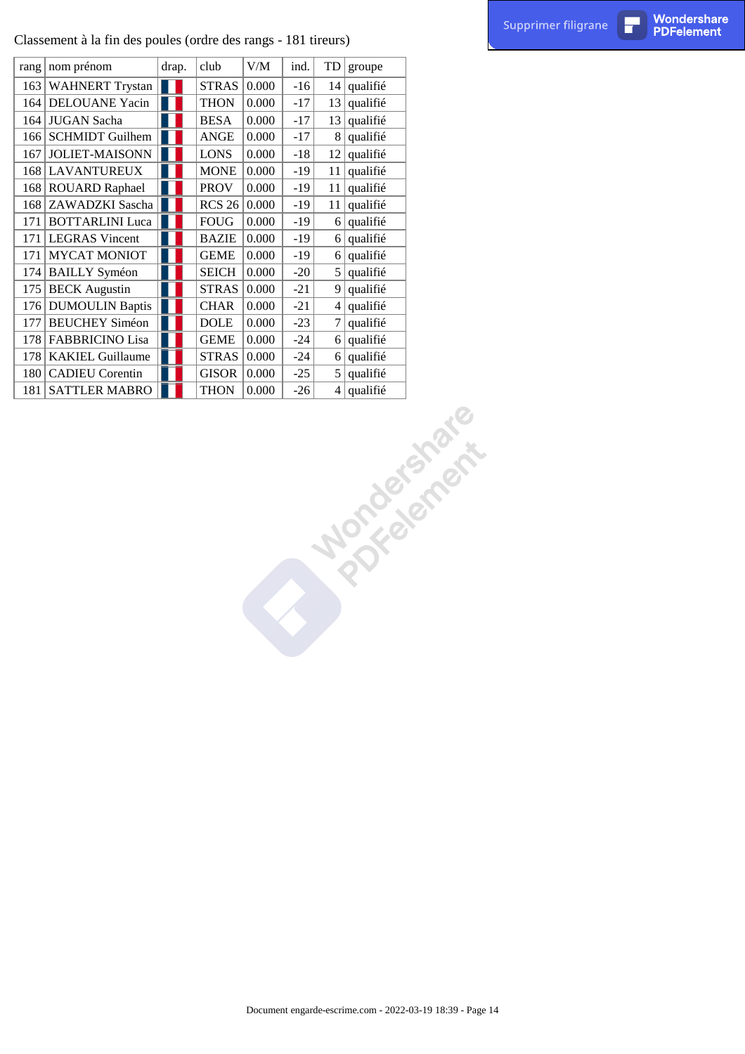|     | Classement à la fin des poules (ordre des rangs - 181 tireurs) |                  |               |                                     |       |                  |               |                                                           | Supprimer filigrane | П | Wondershare<br><b>PDFelement</b> |
|-----|----------------------------------------------------------------|------------------|---------------|-------------------------------------|-------|------------------|---------------|-----------------------------------------------------------|---------------------|---|----------------------------------|
|     | rang   nom prénom                                              | drap.            | club          | $V\hspace{-0.1cm}/\hspace{-0.1cm}M$ | ind.  |                  | $TD  $ groupe |                                                           |                     |   |                                  |
|     | 163 WAHNERT Trystan                                            | Ш                | <b>STRAS</b>  | 0.000                               | $-16$ | 14               | qualifié      |                                                           |                     |   |                                  |
|     | 164 DELOUANE Yacin                                             | Ш                | <b>THON</b>   | 0.000                               | $-17$ |                  | $13$ qualifié |                                                           |                     |   |                                  |
|     | 164 JUGAN Sacha                                                |                  | <b>BESA</b>   | 0.000                               | $-17$ | 13               | qualifié      |                                                           |                     |   |                                  |
|     | 166 SCHMIDT Guilhem                                            |                  | ANGE          | 0.000                               | $-17$ | 8                | qualifié      |                                                           |                     |   |                                  |
|     | 167 JOLIET-MAISONN                                             | ıн               | <b>LONS</b>   | 0.000                               | $-18$ | 12               | qualifié      |                                                           |                     |   |                                  |
|     | 168 LAVANTUREUX                                                | W                | <b>MONE</b>   | 0.000                               | $-19$ | 11               | qualifié      |                                                           |                     |   |                                  |
|     | 168 ROUARD Raphael                                             | H                | <b>PROV</b>   | 0.000                               | $-19$ | 11               | qualifié      |                                                           |                     |   |                                  |
|     | 168 ZAWADZKI Sascha                                            |                  | <b>RCS 26</b> | $\vert 0.000 \vert$                 | $-19$ | 11               | qualifié      |                                                           |                     |   |                                  |
|     | 171 BOTTARLINI Luca                                            |                  | ${\tt FOUG}$  | 0.000                               | $-19$ |                  | $6$ qualifié  |                                                           |                     |   |                                  |
|     | 171   LEGRAS Vincent                                           |                  | <b>BAZIE</b>  | 0.000                               | $-19$ |                  | $6$ qualifié  |                                                           |                     |   |                                  |
| 171 | <b>MYCAT MONIOT</b>                                            |                  | <b>GEME</b>   | 0.000                               | $-19$ |                  | $6$ qualifié  |                                                           |                     |   |                                  |
|     | 174 BAILLY Syméon                                              |                  | <b>SEICH</b>  | 0.000                               | $-20$ |                  | $5$ qualifie  |                                                           |                     |   |                                  |
|     | 175 BECK Augustin                                              | H                | <b>STRAS</b>  | 0.000                               | $-21$ |                  | $9$ qualifié  |                                                           |                     |   |                                  |
|     | 176   DUMOULIN Baptis                                          | ıп               | <b>CHAR</b>   | 0.000                               | $-21$ |                  | $4$ qualifié  |                                                           |                     |   |                                  |
|     | 177 BEUCHEY Siméon                                             | H                | <b>DOLE</b>   | 0.000                               | $-23$ | $\boldsymbol{7}$ | qualifié      |                                                           |                     |   |                                  |
|     | 178   FABBRICINO Lisa                                          | H                | <b>GEME</b>   | 0.000                               | $-24$ |                  | $6$ qualifié  |                                                           |                     |   |                                  |
|     | 178   KAKIEL Guillaume                                         | $\blacksquare$ 1 | <b>STRAS</b>  | 0.000                               | $-24$ |                  | $6$ qualifié  |                                                           |                     |   |                                  |
|     | 180 CADIEU Corentin                                            |                  | GISOR         | $\vert 0.000 \vert$                 | $-25$ |                  | $5$ qualifié  |                                                           |                     |   |                                  |
|     | 181 SATTLER MABRO                                              |                  | <b>THON</b>   | 0.000                               | $-26$ |                  | $4$ qualifié  |                                                           |                     |   |                                  |
|     |                                                                |                  |               |                                     |       |                  |               | Norcegamente                                              |                     |   |                                  |
|     |                                                                |                  |               |                                     |       |                  |               |                                                           |                     |   |                                  |
|     |                                                                |                  |               |                                     |       |                  |               |                                                           |                     |   |                                  |
|     |                                                                |                  |               |                                     |       |                  |               |                                                           |                     |   |                                  |
|     |                                                                |                  |               |                                     |       |                  |               |                                                           |                     |   |                                  |
|     |                                                                |                  |               |                                     |       |                  |               |                                                           |                     |   |                                  |
|     |                                                                |                  |               |                                     |       |                  |               |                                                           |                     |   |                                  |
|     |                                                                |                  |               |                                     |       |                  |               |                                                           |                     |   |                                  |
|     |                                                                |                  |               |                                     |       |                  |               |                                                           |                     |   |                                  |
|     |                                                                |                  |               |                                     |       |                  |               |                                                           |                     |   |                                  |
|     |                                                                |                  |               |                                     |       |                  |               |                                                           |                     |   |                                  |
|     |                                                                |                  |               |                                     |       |                  |               |                                                           |                     |   |                                  |
|     |                                                                |                  |               |                                     |       |                  |               |                                                           |                     |   |                                  |
|     |                                                                |                  |               |                                     |       |                  |               |                                                           |                     |   |                                  |
|     |                                                                |                  |               |                                     |       |                  |               |                                                           |                     |   |                                  |
|     |                                                                |                  |               |                                     |       |                  |               |                                                           |                     |   |                                  |
|     |                                                                |                  |               |                                     |       |                  |               |                                                           |                     |   |                                  |
|     |                                                                |                  |               |                                     |       |                  |               |                                                           |                     |   |                                  |
|     |                                                                |                  |               |                                     |       |                  |               |                                                           |                     |   |                                  |
|     |                                                                |                  |               |                                     |       |                  |               |                                                           |                     |   |                                  |
|     |                                                                |                  |               |                                     |       |                  |               |                                                           |                     |   |                                  |
|     |                                                                |                  |               |                                     |       |                  |               |                                                           |                     |   |                                  |
|     |                                                                |                  |               |                                     |       |                  |               |                                                           |                     |   |                                  |
|     |                                                                |                  |               |                                     |       |                  |               |                                                           |                     |   |                                  |
|     |                                                                |                  |               |                                     |       |                  |               |                                                           |                     |   |                                  |
|     |                                                                |                  |               |                                     |       |                  |               |                                                           |                     |   |                                  |
|     |                                                                |                  |               |                                     |       |                  |               |                                                           |                     |   |                                  |
|     |                                                                |                  |               |                                     |       |                  |               |                                                           |                     |   |                                  |
|     |                                                                |                  |               |                                     |       |                  |               |                                                           |                     |   |                                  |
|     |                                                                |                  |               |                                     |       |                  |               |                                                           |                     |   |                                  |
|     |                                                                |                  |               |                                     |       |                  |               |                                                           |                     |   |                                  |
|     |                                                                |                  |               |                                     |       |                  |               |                                                           |                     |   |                                  |
|     |                                                                |                  |               |                                     |       |                  |               |                                                           |                     |   |                                  |
|     |                                                                |                  |               |                                     |       |                  |               |                                                           |                     |   |                                  |
|     |                                                                |                  |               |                                     |       |                  |               |                                                           |                     |   |                                  |
|     |                                                                |                  |               |                                     |       |                  |               | Document engarde-escrime.com - 2022-03-19 18:39 - Page 14 |                     |   |                                  |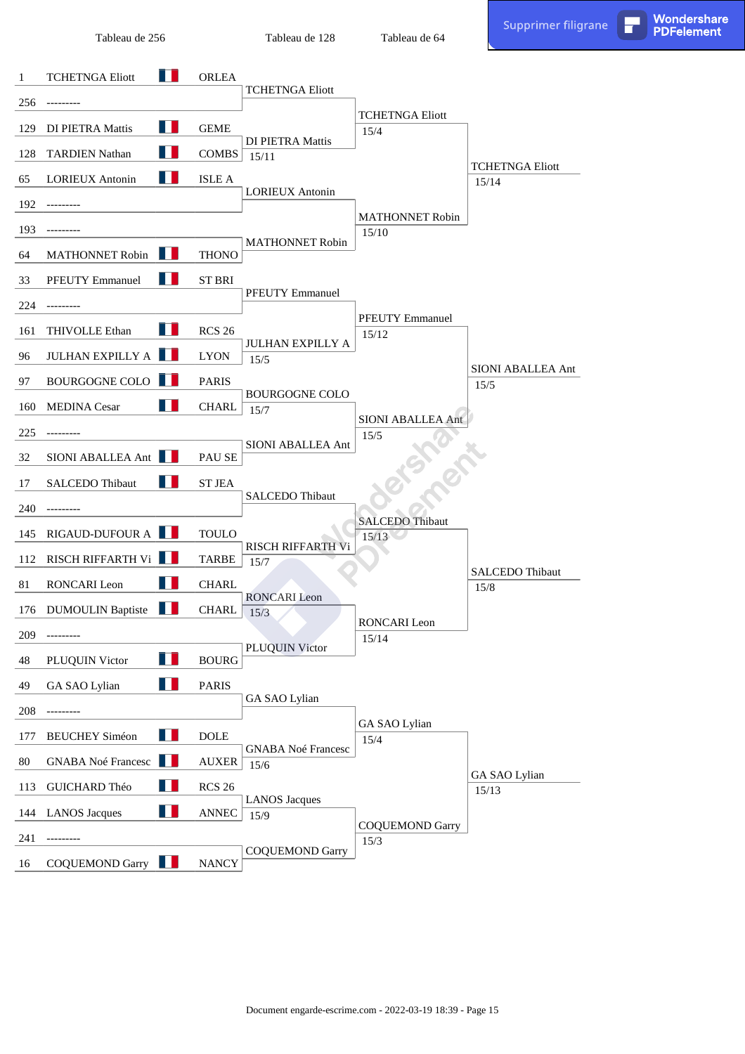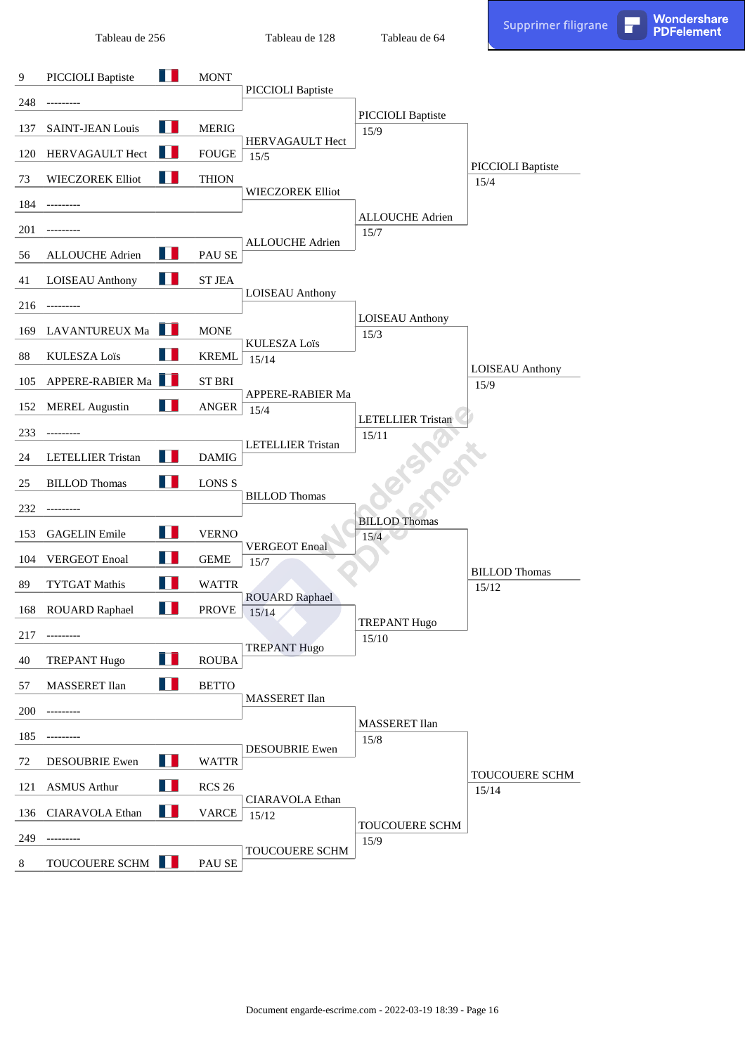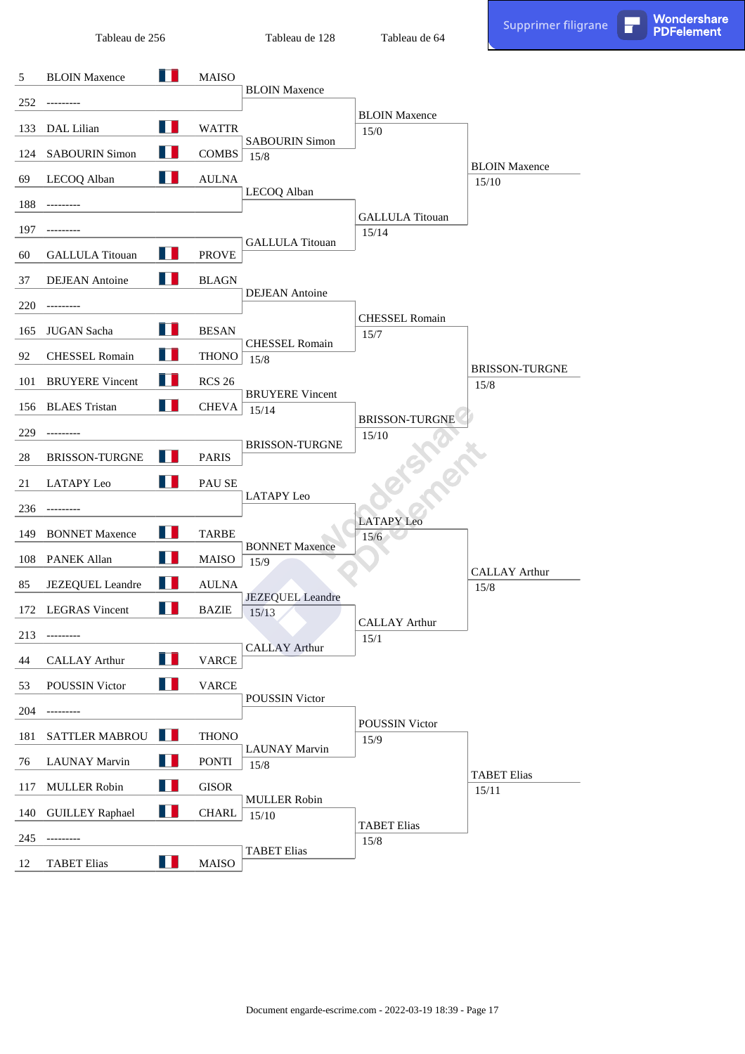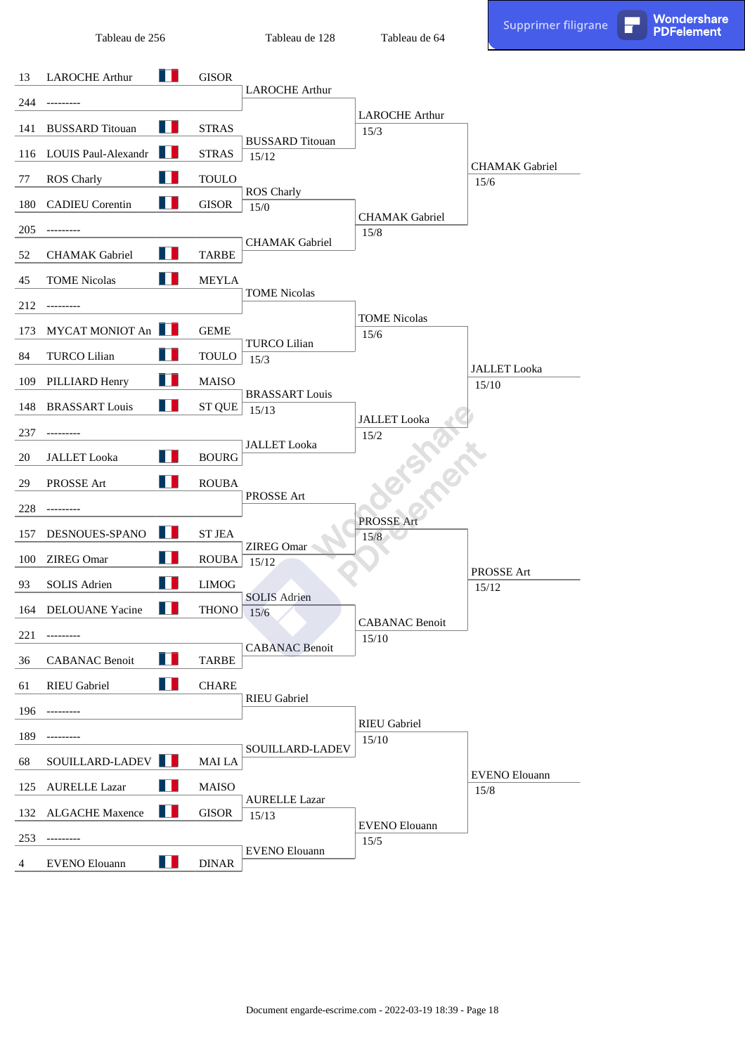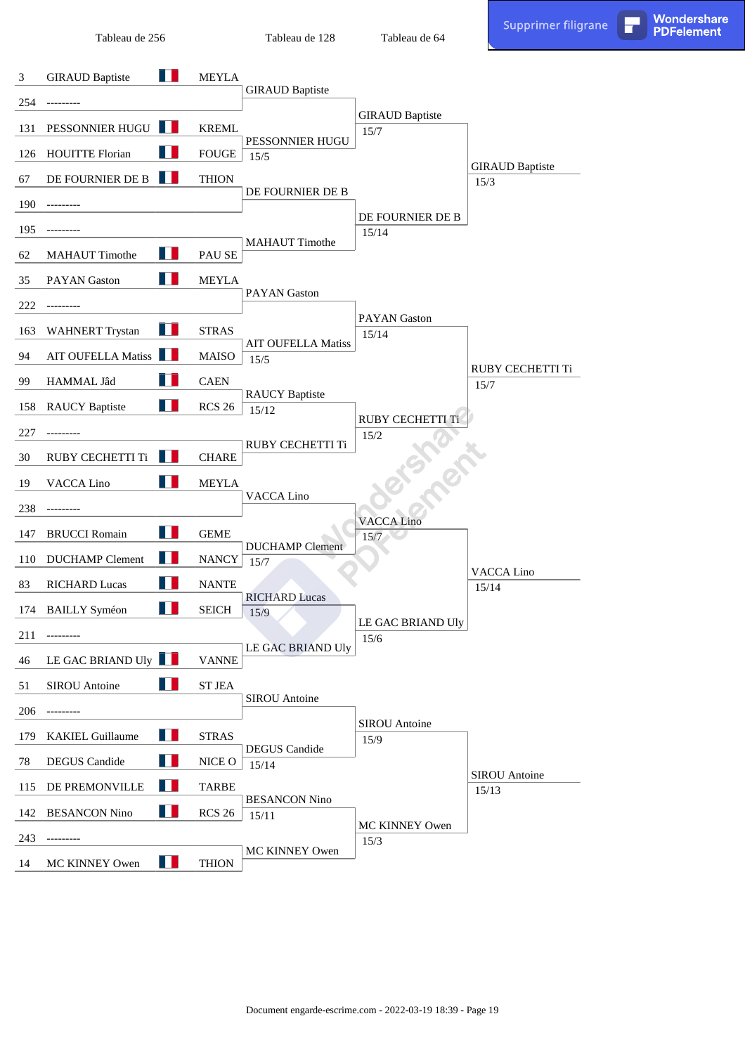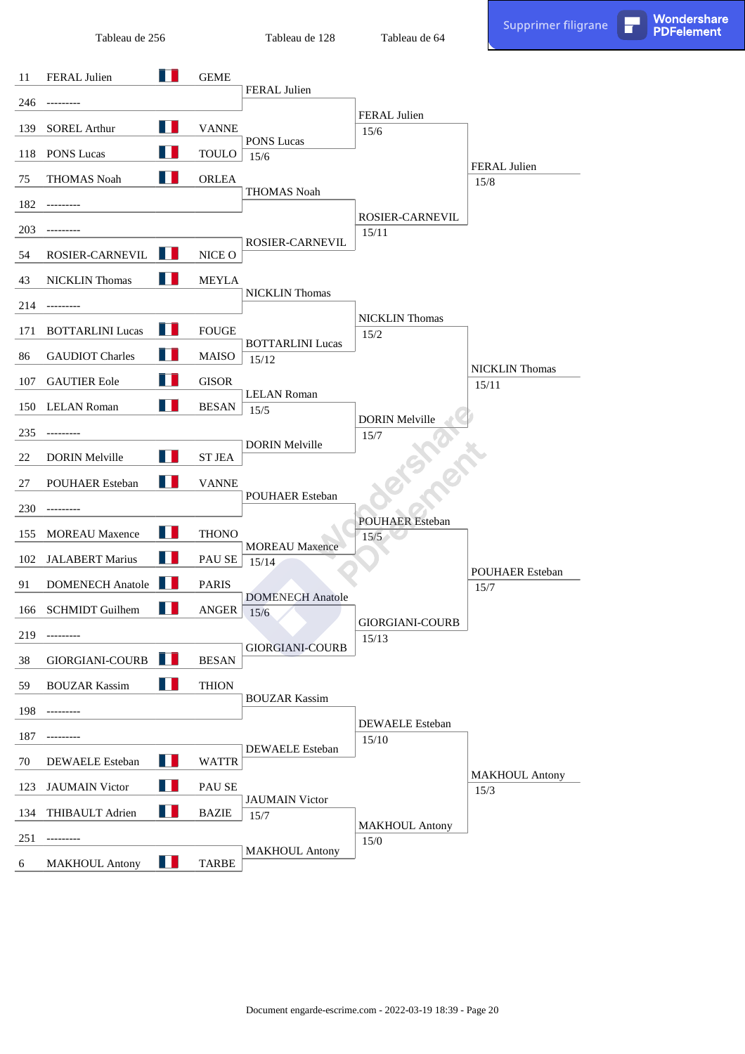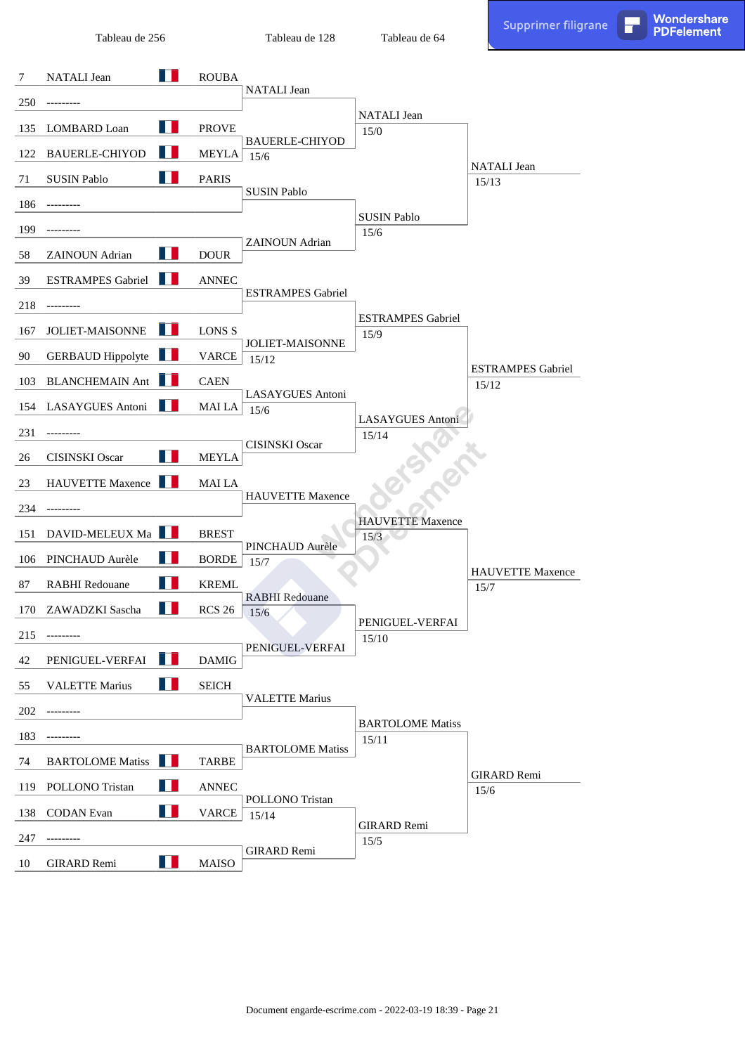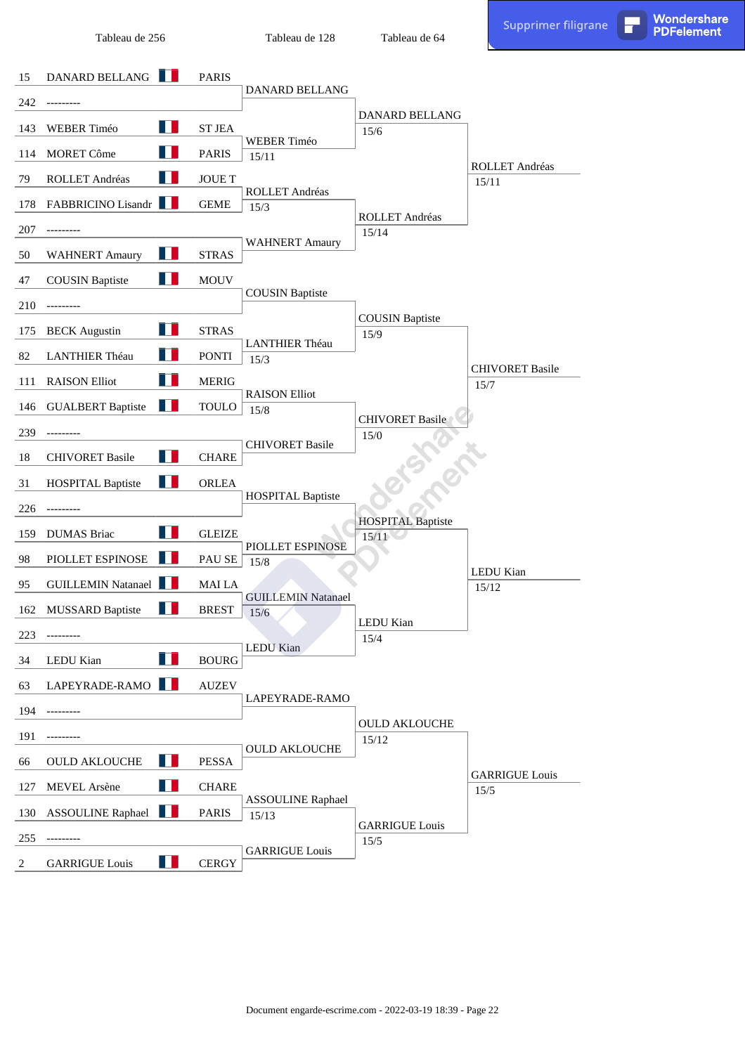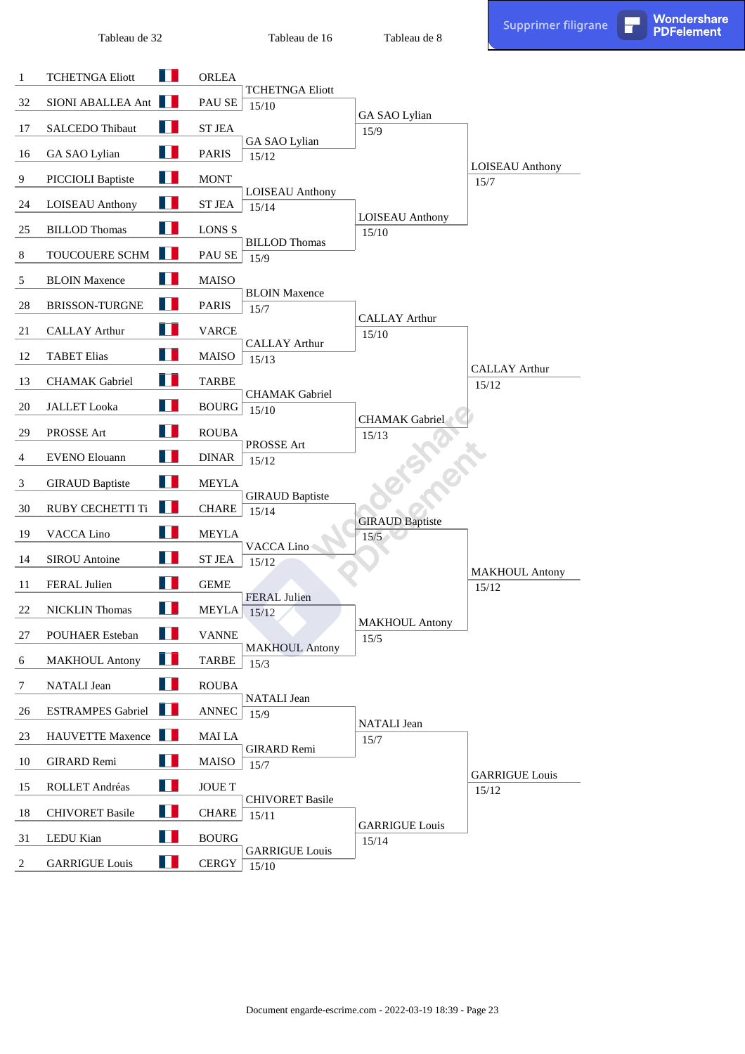Tableau de 16

**PDFelement** 

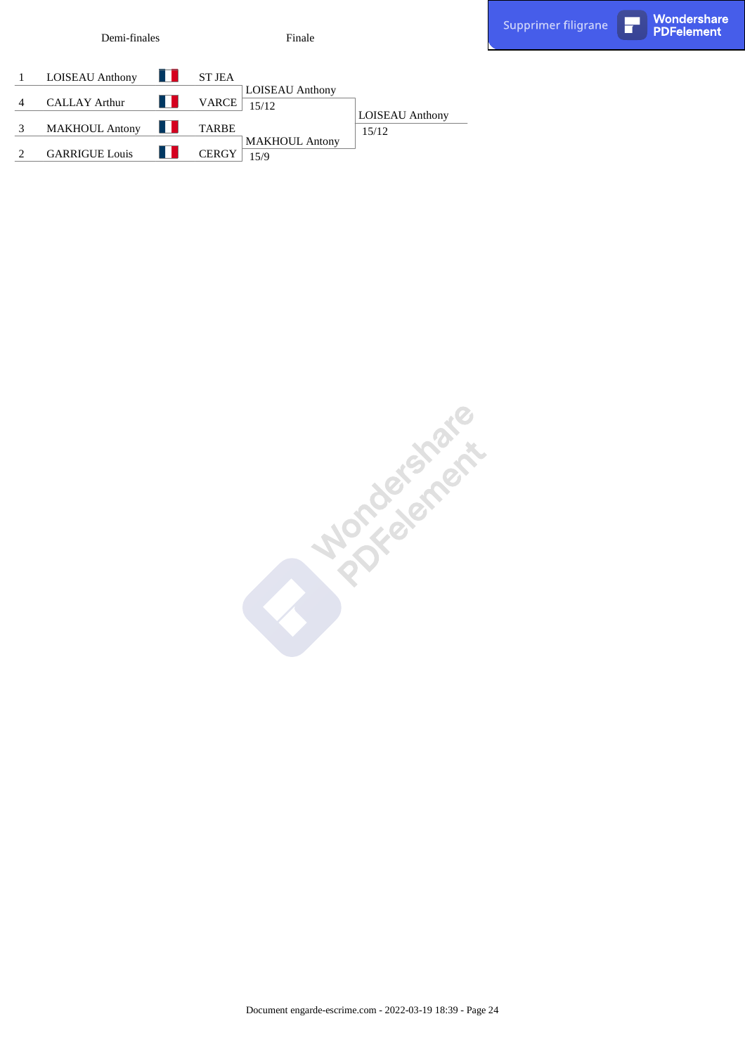| $\mathbf{1}$   | LOISEAU Anthony <b>LE</b> ST JEA |     |              |                        |                        |
|----------------|----------------------------------|-----|--------------|------------------------|------------------------|
|                |                                  |     |              | <b>LOISEAU</b> Anthony |                        |
| $\overline{4}$ | <b>CALLAY Arthur</b>             | n n | VARCE        | 15/12                  |                        |
|                |                                  |     |              |                        | <b>LOISEAU</b> Anthony |
| 3 <sup>7</sup> | MAKHOUL Antony                   |     | <b>TARBE</b> |                        | 15/12                  |
|                |                                  |     |              | <b>MAKHOUL Antony</b>  |                        |
| 2              | <b>GARRIGUE Louis</b>            |     | <b>CERGY</b> | 15/9                   |                        |

Finale

Demi-finales

Finale<br>  $\frac{A}{2!}$  | JST2  
\n1 16512  
\n1 16512  
\n1 1652  
\n1 1659  
\n1 1639  
\n1 1639  
\n1 1639  
\n1 1639  
\n1 1639  
\n1 1639  
\n1 1639  
\n1 1639  
\n1 1639  
\n1 1639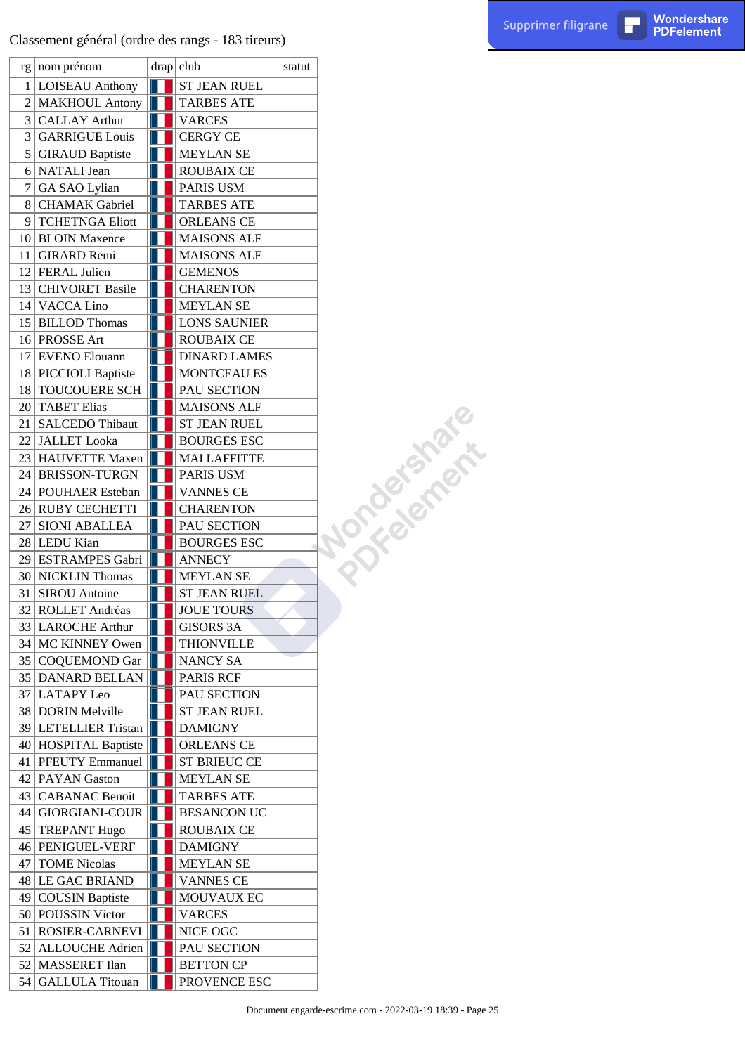Classement général (ordre des rangs - 183 tireurs)

|    | $rg \mid nom$ prénom   | drap club           | statut |             |
|----|------------------------|---------------------|--------|-------------|
|    | 1   LOISEAU Anthony    | <b>ST JEAN RUEL</b> |        |             |
|    | 2 MAKHOUL Antony       | <b>TARBES ATE</b>   |        |             |
|    | 3 CALLAY Arthur        | <b>VARCES</b>       |        |             |
|    | 3 GARRIGUE Louis       | <b>CERGY CE</b>     |        |             |
|    | 5 GIRAUD Baptiste      | <b>MEYLAN SE</b>    |        |             |
|    | 6 NATALI Jean          | <b>ROUBAIX CE</b>   |        |             |
| 7  | GA SAO Lylian          | PARIS USM           |        |             |
|    | 8 CHAMAK Gabriel       | <b>TARBES ATE</b>   |        |             |
| 9  | <b>TCHETNGA Eliott</b> | ORLEANS CE          |        |             |
|    | 10 BLOIN Maxence       | <b>MAISONS ALF</b>  |        |             |
| 11 | <b>GIRARD Remi</b>     | <b>MAISONS ALF</b>  |        |             |
|    | 12 FERAL Julien        | <b>GEMENOS</b>      |        |             |
|    | 13 CHIVORET Basile     | <b>CHARENTON</b>    |        |             |
|    | 14 VACCA Lino          | <b>MEYLAN SE</b>    |        |             |
|    | 15 BILLOD Thomas       | <b>LONS SAUNIER</b> |        |             |
|    | 16 PROSSE Art          | <b>ROUBAIX CE</b>   |        |             |
|    | 17 EVENO Elouann       | <b>DINARD LAMES</b> |        |             |
|    | 18 PICCIOLI Baptiste   | MONTCEAU ES         |        |             |
|    | 18 TOUCOUERE SCH       | PAU SECTION         |        |             |
|    | 20 TABET Elias         | <b>MAISONS ALF</b>  |        | Nordelamere |
| 21 | <b>SALCEDO</b> Thibaut | <b>ST JEAN RUEL</b> |        |             |
|    | 22 JALLET Looka        | <b>BOURGES ESC</b>  |        |             |
|    | 23 HAUVETTE Maxen      | <b>MAI LAFFITTE</b> |        |             |
|    | 24 BRISSON-TURGN       | PARIS USM           |        |             |
|    | 24 POUHAER Esteban     | <b>VANNES CE</b>    |        |             |
|    | 26 RUBY CECHETTI       | <b>CHARENTON</b>    |        |             |
| 27 | <b>SIONI ABALLEA</b>   | PAU SECTION         |        |             |
|    | 28 LEDU Kian           | <b>BOURGES ESC</b>  |        |             |
|    | 29 ESTRAMPES Gabri     | <b>ANNECY</b>       |        |             |
|    | 30 NICKLIN Thomas      | <b>MEYLAN SE</b>    |        |             |
| 31 | <b>SIROU</b> Antoine   | <b>ST JEAN RUEL</b> |        |             |
| 32 | ROLLET Andréas         | <b>JOUE TOURS</b>   |        |             |
|    | 33 LAROCHE Arthur      | <b>GISORS 3A</b>    |        |             |
|    | 34   MC KINNEY Owen    | <b>THIONVILLE</b>   |        |             |
|    | 35 COQUEMOND Gar       | NANCY SA            |        |             |
|    | 35 DANARD BELLAN       | PARIS RCF           |        |             |
|    | 37 LATAPY Leo          | PAU SECTION         |        |             |
|    | 38 DORIN Melville      | <b>ST JEAN RUEL</b> |        |             |
|    | 39 LETELLIER Tristan   | <b>DAMIGNY</b>      |        |             |
|    | 40 HOSPITAL Baptiste   | <b>ORLEANS CE</b>   |        |             |
|    | 41   PFEUTY Emmanuel   | <b>ST BRIEUC CE</b> |        |             |
|    | 42   PAYAN Gaston      | <b>MEYLAN SE</b>    |        |             |
|    | 43   CABANAC Benoit    | <b>TARBES ATE</b>   |        |             |
|    | 44 GIORGIANI-COUR      | <b>BESANCON UC</b>  |        |             |
|    | 45 TREPANT Hugo        | <b>ROUBAIX CE</b>   |        |             |
|    | 46   PENIGUEL-VERF     | <b>DAMIGNY</b>      |        |             |
| 47 | <b>TOME Nicolas</b>    | <b>MEYLAN SE</b>    |        |             |
|    | 48 LE GAC BRIAND       | <b>VANNES CE</b>    |        |             |
|    | 49 COUSIN Baptiste     | MOUVAUX EC          |        |             |
|    | 50 POUSSIN Victor      | <b>VARCES</b>       |        |             |
|    | 51   ROSIER-CARNEVI    | NICE OGC            |        |             |
|    | 52 ALLOUCHE Adrien     | PAU SECTION         |        |             |
|    | 52 MASSERET Ilan       | <b>BETTON CP</b>    |        |             |
|    | 54 GALLULA Titouan     | PROVENCE ESC        |        |             |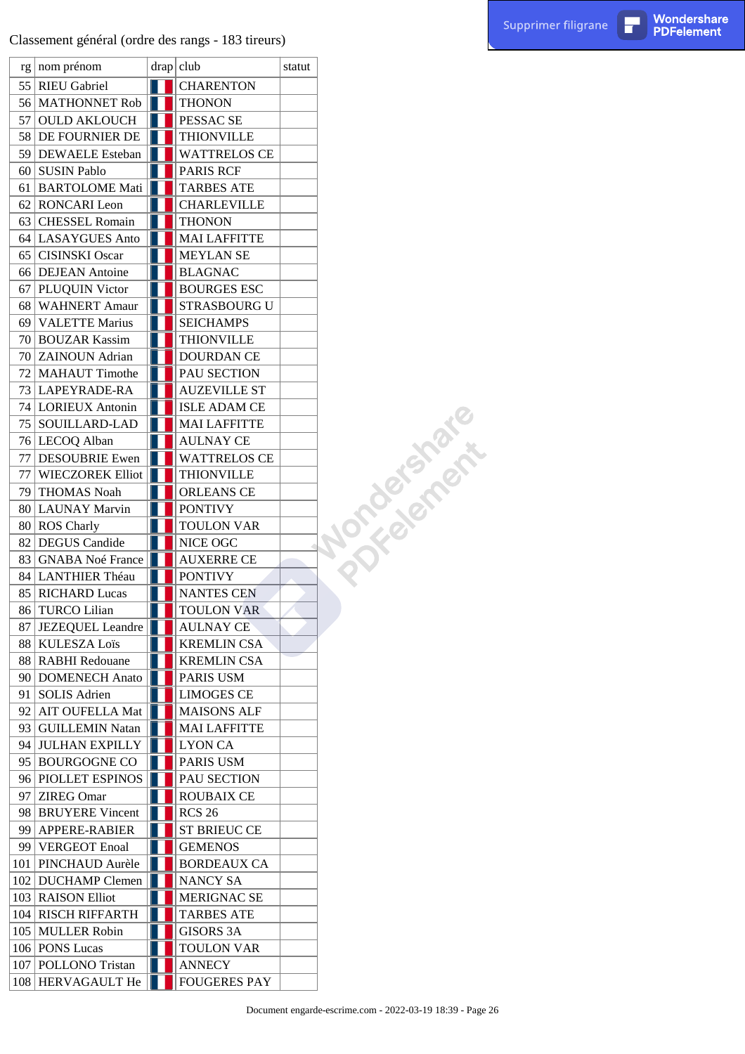|    | rg nom prénom           | drap club           | statut |               |
|----|-------------------------|---------------------|--------|---------------|
|    | 55 RIEU Gabriel         | <b>CHARENTON</b>    |        |               |
|    | 56 MATHONNET Rob        | <b>THONON</b>       |        |               |
|    | 57 OULD AKLOUCH         | PESSAC SE           |        |               |
|    | 58 DE FOURNIER DE       | <b>THIONVILLE</b>   |        |               |
|    | 59 DEWAELE Esteban      | <b>WATTRELOS CE</b> |        |               |
|    | 60 SUSIN Pablo          | <b>PARIS RCF</b>    |        |               |
|    | 61 BARTOLOME Mati       | <b>TARBES ATE</b>   |        |               |
|    | 62 RONCARI Leon         | <b>CHARLEVILLE</b>  |        |               |
|    | 63 CHESSEL Romain       | <b>THONON</b>       |        |               |
|    | 64 LASAYGUES Anto       | <b>MAI LAFFITTE</b> |        |               |
|    | 65 CISINSKI Oscar       | <b>MEYLAN SE</b>    |        |               |
|    | 66 DEJEAN Antoine       | <b>BLAGNAC</b>      |        |               |
|    | 67 PLUQUIN Victor       | <b>BOURGES ESC</b>  |        |               |
|    | 68 WAHNERT Amaur        | STRASBOURG U        |        |               |
|    | 69 VALETTE Marius       | <b>SEICHAMPS</b>    |        |               |
|    | 70 BOUZAR Kassim        | <b>THIONVILLE</b>   |        |               |
|    | 70 ZAINOUN Adrian       |                     |        |               |
|    |                         | <b>DOURDAN CE</b>   |        |               |
|    | 72 MAHAUT Timothe       | PAU SECTION         |        |               |
|    | 73 LAPEYRADE-RA         | <b>AUZEVILLE ST</b> |        | Orcotes marie |
|    | 74 LORIEUX Antonin      | <b>ISLE ADAM CE</b> |        |               |
|    | 75 SOUILLARD-LAD        | <b>MAI LAFFITTE</b> |        |               |
|    | 76 LECOQ Alban          | <b>AULNAY CE</b>    |        |               |
|    | 77 DESOUBRIE Ewen       | <b>WATTRELOS CE</b> |        |               |
|    | 77 WIECZOREK Elliot     | <b>THIONVILLE</b>   |        |               |
|    | 79 THOMAS Noah          | <b>ORLEANS CE</b>   |        |               |
|    | 80 LAUNAY Marvin        | <b>PONTIVY</b>      |        |               |
|    | 80 ROS Charly           | <b>TOULON VAR</b>   |        |               |
|    | 82 DEGUS Candide        | NICE OGC            |        |               |
| 83 | <b>GNABA Noé France</b> | <b>AUXERRE CE</b>   |        |               |
|    | 84 LANTHIER Théau       | <b>PONTIVY</b>      |        |               |
| 85 | <b>RICHARD Lucas</b>    | <b>NANTES CEN</b>   |        |               |
| 86 | <b>TURCO Lilian</b>     | <b>TOULON VAR</b>   |        |               |
|    | 87 JEZEQUEL Leandre     | <b>AULNAY CE</b>    |        |               |
|    | 88 KULESZA Loïs         | <b>KREMLIN CSA</b>  |        |               |
|    | 88 RABHI Redouane       | <b>KREMLIN CSA</b>  |        |               |
|    | 90 DOMENECH Anato       | PARIS USM           |        |               |
|    | 91 SOLIS Adrien         | <b>LIMOGES CE</b>   |        |               |
|    | 92 AIT OUFELLA Mat      | <b>MAISONS ALF</b>  |        |               |
|    | 93   GUILLEMIN Natan    | <b>MAI LAFFITTE</b> |        |               |
|    | 94 JULHAN EXPILLY       | <b>LYON CA</b>      |        |               |
|    | 95 BOURGOGNE CO         | PARIS USM           |        |               |
|    | 96 PIOLLET ESPINOS      | PAU SECTION         |        |               |
|    | 97 ZIREG Omar           | ROUBAIX CE          |        |               |
|    | 98 BRUYERE Vincent      | <b>RCS 26</b>       |        |               |
|    | 99 APPERE-RABIER        | <b>ST BRIEUC CE</b> |        |               |
|    | 99   VERGEOT Enoal      | <b>GEMENOS</b>      |        |               |
|    | 101   PINCHAUD Aurèle   | <b>BORDEAUX CA</b>  |        |               |
|    | 102 DUCHAMP Clemen      | NANCY SA            |        |               |
|    | 103   RAISON Elliot     | <b>MERIGNAC SE</b>  |        |               |
|    | 104 RISCH RIFFARTH      | <b>TARBES ATE</b>   |        |               |
|    | 105   MULLER Robin      | GISORS 3A           |        |               |
|    | 106   PONS Lucas        | TOULON VAR          |        |               |
|    | 107 POLLONO Tristan     | <b>ANNECY</b>       |        |               |
|    | 108 HERVAGAULT He       | <b>FOUGERES PAY</b> |        |               |
|    |                         |                     |        |               |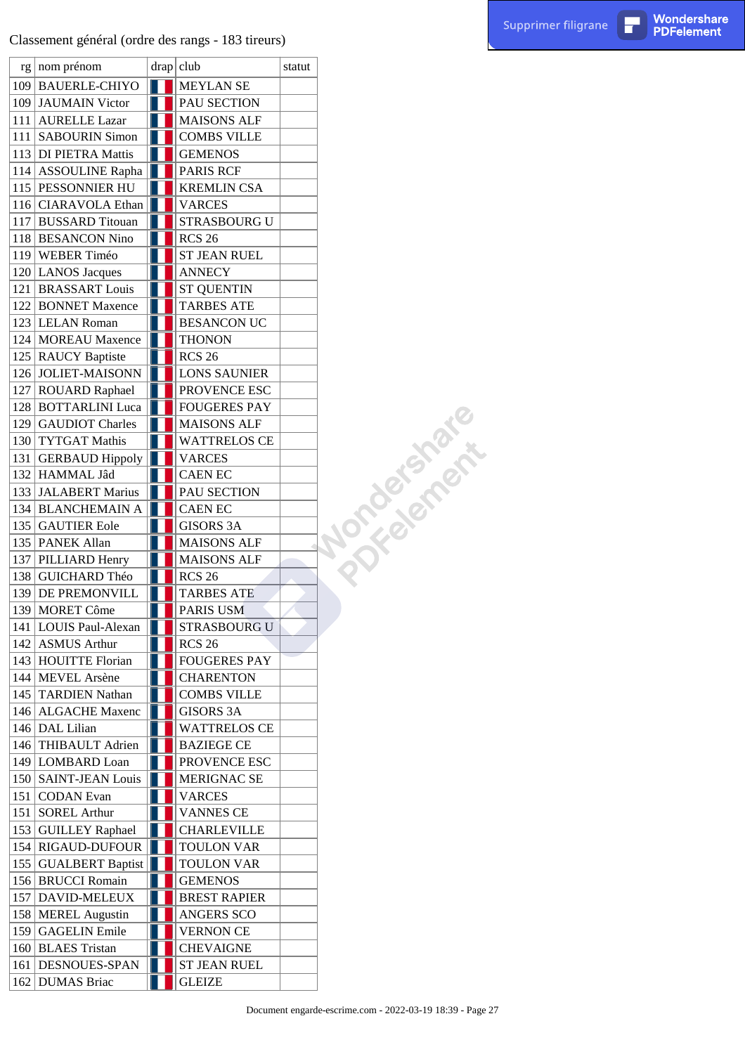|  | $rg \mid nom$ prénom    | drap club           | statut |            |
|--|-------------------------|---------------------|--------|------------|
|  | 109 BAUERLE-CHIYO       | <b>MEYLAN SE</b>    |        |            |
|  | 109 JAUMAIN Victor      | PAU SECTION         |        |            |
|  | 111 AURELLE Lazar       | <b>MAISONS ALF</b>  |        |            |
|  | 111 SABOURIN Simon      | <b>COMBS VILLE</b>  |        |            |
|  | 113 DI PIETRA Mattis    | <b>GEMENOS</b>      |        |            |
|  | 114 ASSOULINE Rapha     | <b>PARIS RCF</b>    |        |            |
|  | 115 PESSONNIER HU       | <b>KREMLIN CSA</b>  |        |            |
|  | 116 CIARAVOLA Ethan     | <b>VARCES</b>       |        |            |
|  | 117 BUSSARD Titouan     | <b>STRASBOURG U</b> |        |            |
|  | 118 BESANCON Nino       | <b>RCS 26</b>       |        |            |
|  | 119 WEBER Timéo         | <b>ST JEAN RUEL</b> |        |            |
|  | 120 LANOS Jacques       | <b>ANNECY</b>       |        |            |
|  | 121 BRASSART Louis      | <b>ST QUENTIN</b>   |        |            |
|  | 122 BONNET Maxence      | <b>TARBES ATE</b>   |        |            |
|  | 123 LELAN Roman         | <b>BESANCON UC</b>  |        |            |
|  | 124 MOREAU Maxence      | <b>THONON</b>       |        |            |
|  |                         |                     |        |            |
|  | 125   RAUCY Baptiste    | <b>RCS 26</b>       |        |            |
|  | 126 JOLIET-MAISONN      | <b>LONS SAUNIER</b> |        |            |
|  | 127 ROUARD Raphael      | PROVENCE ESC        |        | Jonagement |
|  | 128 BOTTARLINI Luca     | <b>FOUGERES PAY</b> |        |            |
|  | 129 GAUDIOT Charles     | <b>MAISONS ALF</b>  |        |            |
|  | 130 TYTGAT Mathis       | <b>WATTRELOS CE</b> |        |            |
|  | 131 GERBAUD Hippoly     | <b>VARCES</b>       |        |            |
|  | 132 HAMMAL Jâd          | <b>CAEN EC</b>      |        |            |
|  | 133 JALABERT Marius     | PAU SECTION         |        |            |
|  | 134 BLANCHEMAIN A       | <b>CAEN EC</b>      |        |            |
|  | 135 GAUTIER Eole        | <b>GISORS 3A</b>    |        |            |
|  | 135   PANEK Allan       | <b>MAISONS ALF</b>  |        |            |
|  | 137 PILLIARD Henry      | <b>MAISONS ALF</b>  |        |            |
|  | 138 GUICHARD Théo       | <b>RCS 26</b>       |        |            |
|  | 139 DE PREMONVILL       | <b>TARBES ATE</b>   |        |            |
|  | 139 MORET Côme          | PARIS USM           |        |            |
|  | 141   LOUIS Paul-Alexan | <b>STRASBOURG U</b> |        |            |
|  | 142 ASMUS Arthur        | <b>RCS 26</b>       |        |            |
|  | 143 HOUITTE Florian     | <b>FOUGERES PAY</b> |        |            |
|  | 144 MEVEL Arsène        | <b>CHARENTON</b>    |        |            |
|  | 145 TARDIEN Nathan      | <b>COMBS VILLE</b>  |        |            |
|  | 146 ALGACHE Maxenc      | <b>GISORS 3A</b>    |        |            |
|  | 146 DAL Lilian          | <b>WATTRELOS CE</b> |        |            |
|  | 146 THIBAULT Adrien     | <b>BAZIEGE CE</b>   |        |            |
|  | 149 LOMBARD Loan        | PROVENCE ESC        |        |            |
|  | 150   SAINT-JEAN Louis  | <b>MERIGNAC SE</b>  |        |            |
|  | 151   CODAN Evan        | <b>VARCES</b>       |        |            |
|  | 151 SOREL Arthur        | <b>VANNES CE</b>    |        |            |
|  | 153 GUILLEY Raphael     | <b>CHARLEVILLE</b>  |        |            |
|  | 154 RIGAUD-DUFOUR       | TOULON VAR          |        |            |
|  | 155 GUALBERT Baptist    | TOULON VAR          |        |            |
|  | 156 BRUCCI Romain       | <b>GEMENOS</b>      |        |            |
|  | 157   DAVID-MELEUX      | <b>BREST RAPIER</b> |        |            |
|  | 158   MEREL Augustin    | ANGERS SCO          |        |            |
|  | 159 GAGELIN Emile       | <b>VERNON CE</b>    |        |            |
|  | 160 BLAES Tristan       | <b>CHEVAIGNE</b>    |        |            |
|  | 161   DESNOUES-SPAN     | <b>ST JEAN RUEL</b> |        |            |
|  | 162 DUMAS Briac         | <b>GLEIZE</b>       |        |            |
|  |                         |                     |        |            |